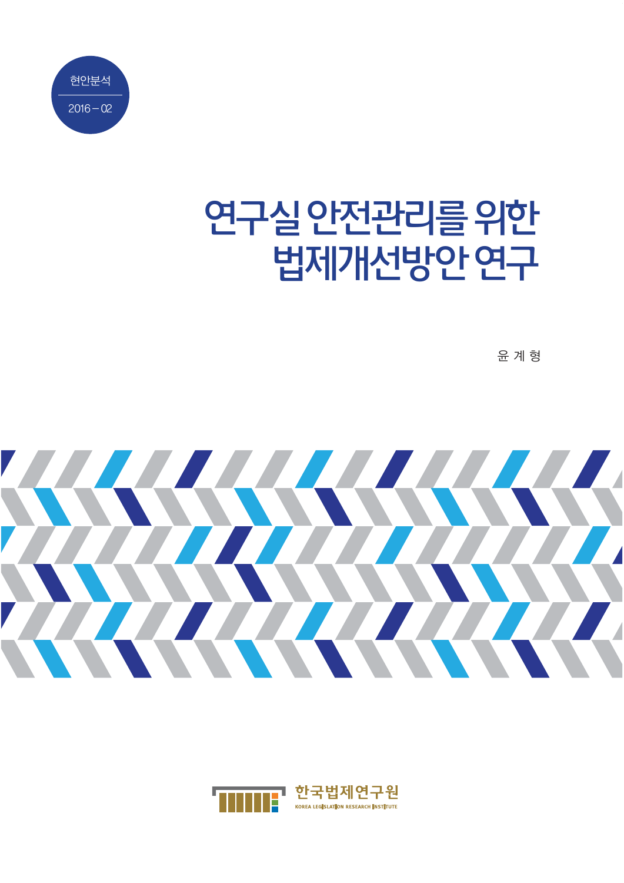

# 연구실 안전관 ·리를 위한 법제개선방안연구

윤 계 형



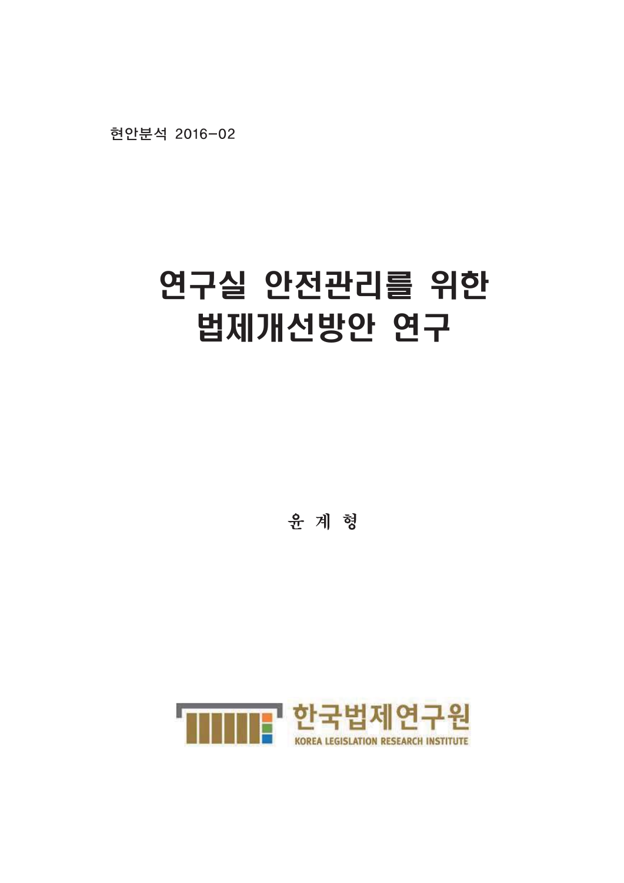현안분석 2016-02

# 연구실 안전관리를 위한 법제개선방안 연구

윤계형

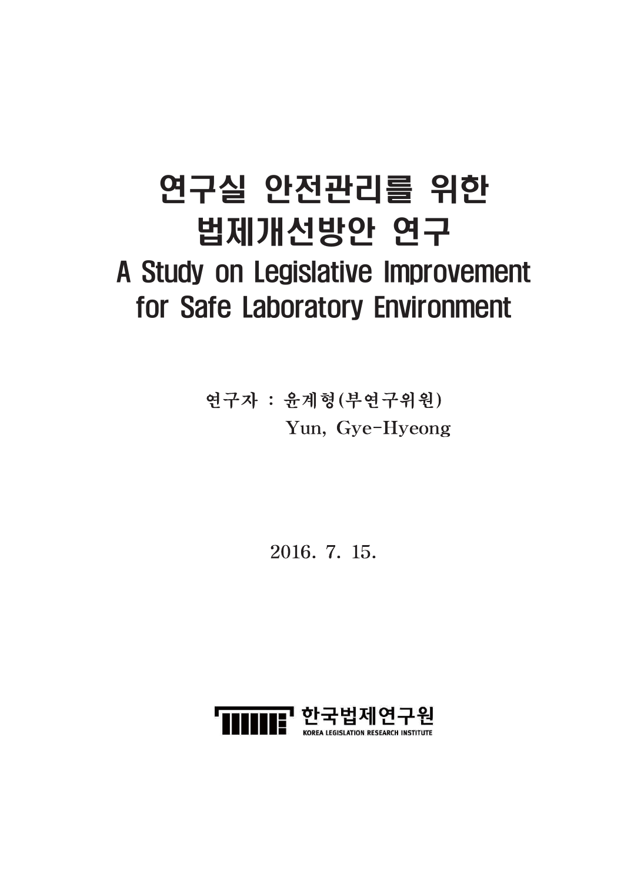# 연구실 안전관리를 위한 법제개선방안 연구 A Study on Legislative Improvement for Safe Laboratory Environment

연구자 : 윤계형(부연구위원) Yun, Gye-Hyeong

2016. 7. 15.

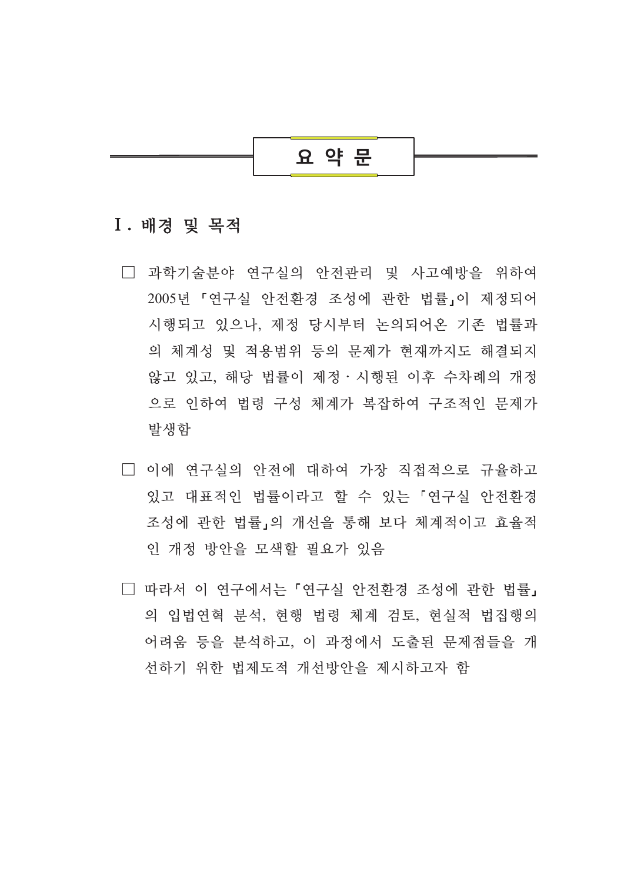

# I. 배경 및 목적

- □ 과학기술분야 연구실의 안전관리 및 사고예방을 위하여 2005년 「연구실 안전환경 조성에 관한 법률」이 제정되어 시행되고 있으나, 제정 당시부터 논의되어온 기존 법률과 의 체계성 및 적용범위 등의 문제가 현재까지도 해결되지 않고 있고, 해당 법률이 제정 · 시행된 이후 수차례의 개정 으로 인하여 법령 구성 체계가 복잡하여 구조적인 문제가 발생함
- □ 이에 연구실의 안전에 대하여 가장 직접적으로 규율하고 있고 대표적인 법률이라고 할 수 있는 「연구실 안전환경 조성에 관한 법률」의 개선을 통해 보다 체계적이고 효율적 인 개정 방안을 모색할 필요가 있음
- □ 따라서 이 연구에서는 「연구실 안전환경 조성에 관한 법률」 의 입법연혁 분석, 현행 법령 체계 검토, 현실적 법집행의 어려움 등을 분석하고, 이 과정에서 도출된 문제점들을 개 서하기 위하 법제도적 개선방안을 제시하고자 함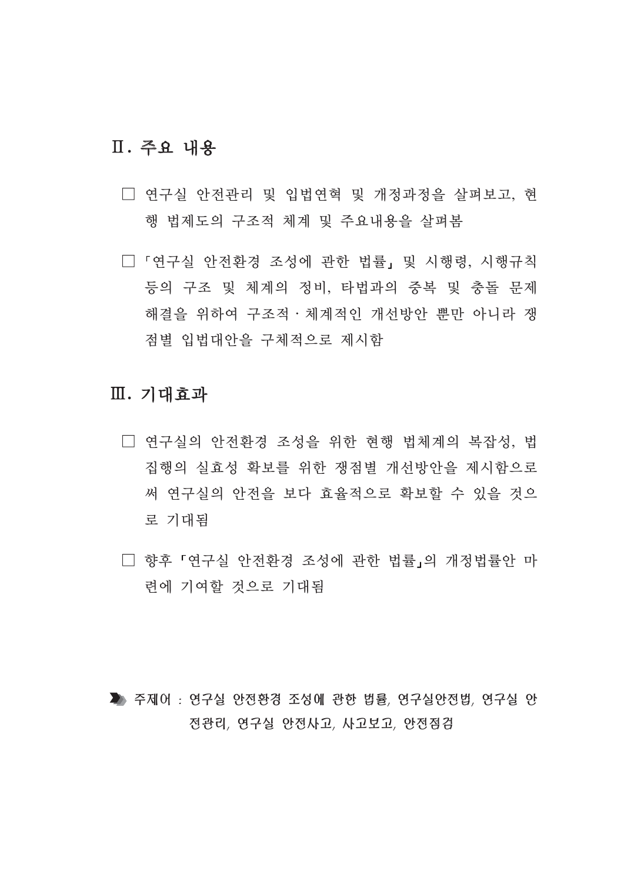# Ⅱ. 주요 내용

- □ 연구실 안전관리 및 입법연혁 및 개정과정을 살펴보고, 현 행 법제도의 구조적 체계 및 주요내용을 살펴봄
- □ 「연구실 안전환경 조성에 관한 법률」 및 시행령, 시행규칙 등의 구조 및 체계의 정비, 타법과의 중복 및 충돌 문제 해결을 위하여 구조적 · 체계적인 개선방안 뿐만 아니라 쟁 점별 입법대안을 구체적으로 제시함

## Ⅲ. 기대효과

- □ 연구실의 안전화경 조성을 위한 현행 법체계의 복잡성, 법 집행의 실효성 확보를 위한 쟁점별 개선방안을 제시함으로 써 연구실의 안전을 보다 효율적으로 확보할 수 있을 것으 로 기대됨
- □ 향후 「여구실 안전화경 조성에 과한 법률」의 개정법률안 마 련에 기여할 것으로 기대됨

■ 주제어 : 연구실 안전환경 조성에 관한 법률, 연구실안전법, 연구실 안 전관리, 연구실 안전사고, 사고보고, 안전점검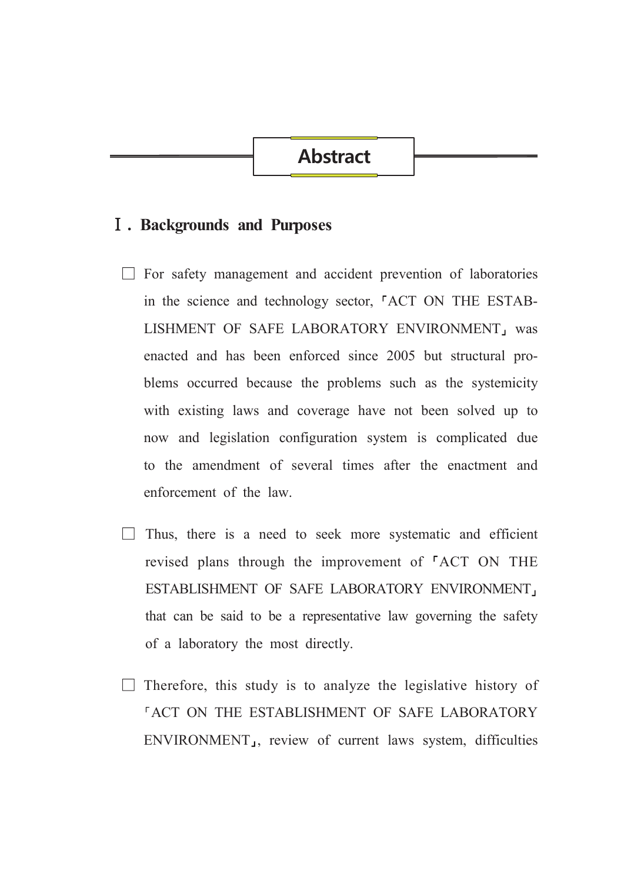# **Abstract**

# **I**. Backgrounds and Purposes

- $\Box$  For safety management and accident prevention of laboratories in the science and technology sector, <sup>"</sup>ACT ON THE ESTAB-LISHMENT OF SAFE LABORATORY ENVIRONMENT, was enacted and has been enforced since 2005 but structural problems occurred because the problems such as the systemicity with existing laws and coverage have not been solved up to now and legislation configuration system is complicated due to the amendment of several times after the enactment and enforcement of the law
- $\Box$  Thus, there is a need to seek more systematic and efficient revised plans through the improvement of "ACT ON THE ESTABLISHMENT OF SAFE LABORATORY ENVIRONMENT, that can be said to be a representative law governing the safety of a laboratory the most directly.
- $\Box$  Therefore, this study is to analyze the legislative history of "ACT ON THE ESTABLISHMENT OF SAFE LABORATORY ENVIRONMENT<sub>1</sub>, review of current laws system, difficulties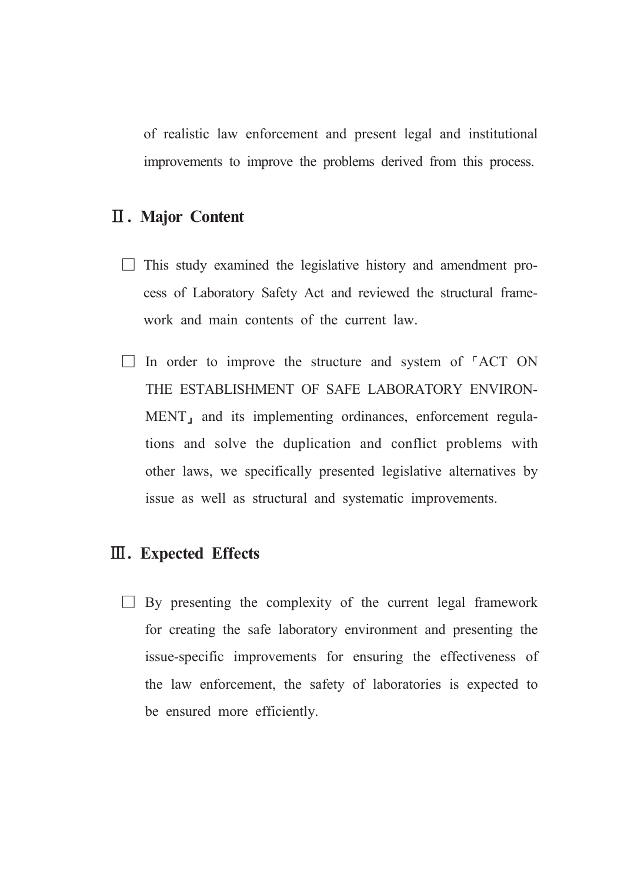of realistic law enforcement and present legal and institutional improvements to improve the problems derived from this process.

# **II. Major Content**

- $\Box$  This study examined the legislative history and amendment process of Laboratory Safety Act and reviewed the structural framework and main contents of the current law.
- $\Box$  In order to improve the structure and system of  $\ulcorner$  ACT ON THE ESTABLISHMENT OF SAFE LABORATORY ENVIRON-MENT, and its implementing ordinances, enforcement regulations and solve the duplication and conflict problems with other laws, we specifically presented legislative alternatives by issue as well as structural and systematic improvements.

# **III.** Expected Effects

 $\Box$  By presenting the complexity of the current legal framework for creating the safe laboratory environment and presenting the issue-specific improvements for ensuring the effectiveness of the law enforcement, the safety of laboratories is expected to be ensured more efficiently.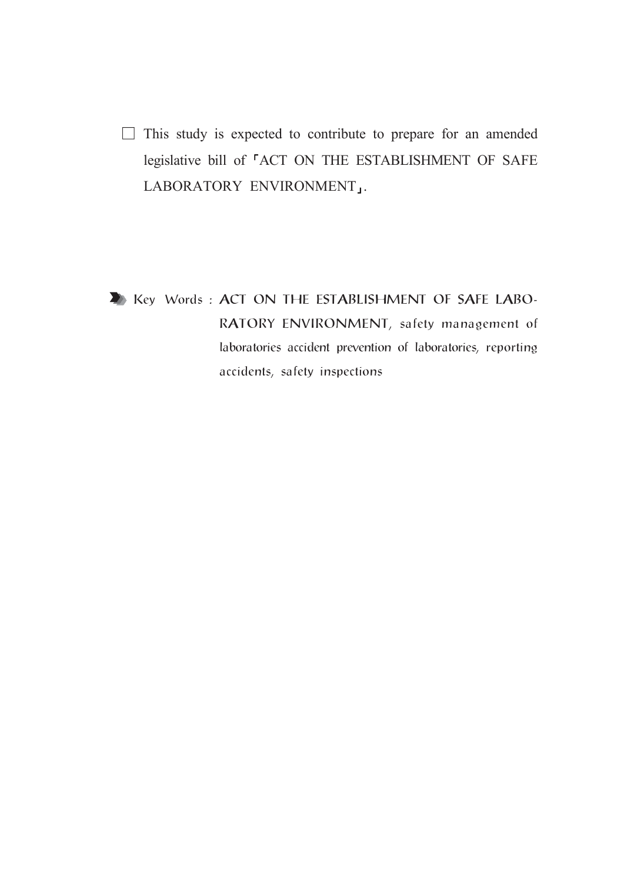$\Box$  This study is expected to contribute to prepare for an amended legislative bill of <sup>r</sup>ACT ON THE ESTABLISHMENT OF SAFE LABORATORY ENVIRONMENT」.

E Key Words: ACT ON THE ESTABLISHMENT OF SAFE LABO-RATORY ENVIRONMENT, safety management of laboratories accident prevention of laboratories, reporting accidents, safety inspections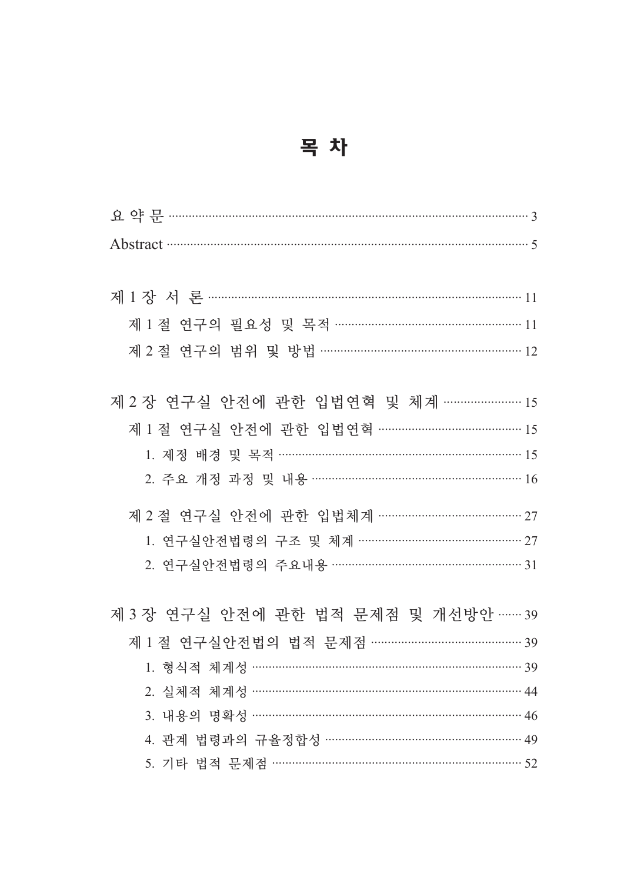|--|--|

| Abstract 35                                |
|--------------------------------------------|
|                                            |
|                                            |
|                                            |
| 제 2 절 연구의 범위 및 방법 …………………………………………………… 12  |
|                                            |
| 제 2 장 연구실 안전에 관한 입법연혁 및 체계 …………………… 15     |
| 제 1 절 연구실 안전에 관한 입법연혁 …………………………………… 15    |
| 1. 제정 배경 및 목적 …………………………………………………………… 15   |
| 2. 주요 개정 과정 및 내용 …………………………………………………… 16   |
| 제 2 절 연구실 안전에 관한 입법체계 ………………………………… 27     |
| 1. 연구실안전법령의 구조 및 체계 ……………………………………… 27     |
| 2. 연구실안전법령의 주요내용 ……………………………………………… 31     |
|                                            |
| 제 3 장 연구실 안전에 관한 법적 문제점 및 개선방안 …… 39       |
| 제 1 절 연구실안전법의 법적 문제점 ……………………………………… 39    |
| 1. 형식적 체계성 …………………………………………………………………… 39   |
| 2. 실체적 체계성 ………………………………………………………………… 44    |
| 3. 내용의 명확성 ………………………………………………………………… 46    |
| 4. 관계 법령과의 규율정합성 ………………………………………………… 49    |
| 5. 기타 법적 문제점 …………………………………………………………………… 52 |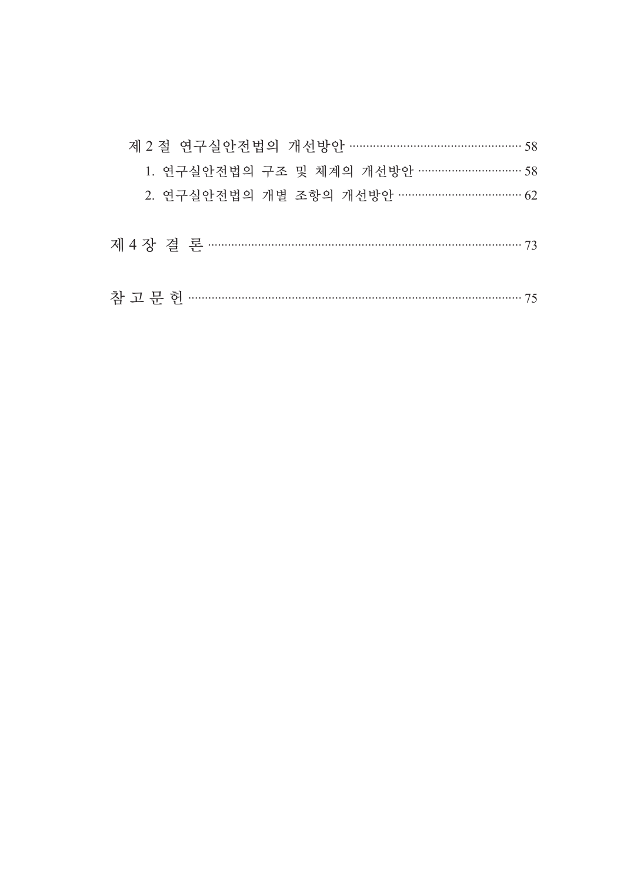| 제 2 절 연구실안전법의 개선방안 …………………………………………… 58 |  |
|-----------------------------------------|--|
| 1. 연구실안전법의 구조 및 체계의 개선방안 ………………………… 58  |  |
| 2. 연구실안전법의 개별 조항의 개선방안 ……………………………… 62  |  |
|                                         |  |
|                                         |  |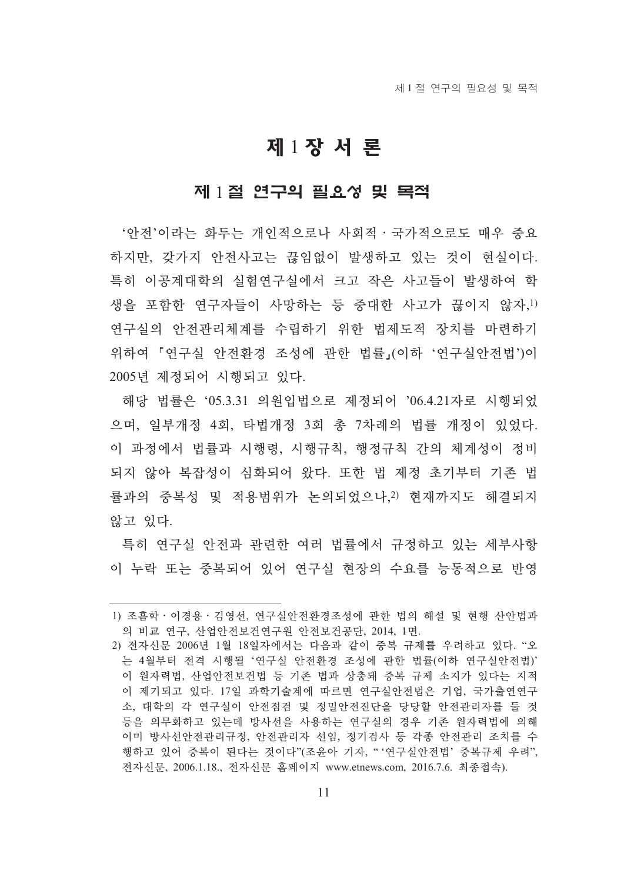# 제 1 장 서 론

### 제 1절 연구의 필요성 및 목적

'안전'이라는 화두는 개인적으로나 사회적·국가적으로도 매우 중요 하지만, 갖가지 안전사고는 끊임없이 발생하고 있는 것이 현실이다. 특히 이공계대학의 실험여구실에서 크고 작은 사고들이 발생하여 학 생을 포함한 연구자들이 사망하는 등 중대한 사고가 끊이지 않자.1) 연구실의 안전관리체계를 수립하기 위한 법제도적 장치를 마련하기 위하여 「연구실 안전환경 조성에 관한 법률」(이하'연구실안전법')이 2005년 제정되어 시행되고 있다.

해당 법률은 '05.3.31 의워입법으로 제정되어 '06.4.21자로 시행되었 으며, 일부개정 4회, 타법개정 3회 총 7차례의 법률 개정이 있었다. 이 과정에서 법률과 시행령, 시행규칙, 행정규칙 간의 체계성이 정비 되지 않아 복잡성이 심화되어 왔다. 또한 법 제정 초기부터 기존 법 률과의 중복성 및 적용범위가 논의되었으나,2) 현재까지도 해결되지 않고 있다.

특히 연구실 안전과 관련한 여러 법률에서 규정하고 있는 세부사항 이 누락 또는 중복되어 있어 연구실 현장의 수요를 능동적으로 반영

<sup>1)</sup> 조흠학 · 이경용 · 김영선, 연구실안전환경조성에 관한 법의 해설 및 현행 산안법과 의 비교 연구, 산업안전보건연구원 안전보건공단, 2014, 1면.

<sup>2)</sup> 전자신문 2006년 1월 18일자에서는 다음과 같이 중복 규제를 우려하고 있다. "오 는 4월부터 저격 시행될 '여구실 안전화경 조성에 과한 법률(이하 여구실안전법)' 이 원자력법, 산업안전보건법 등 기존 법과 상충돼 중복 규제 소지가 있다는 지적 이 제기되고 있다. 17일 과학기술계에 따르면 연구실안전법은 기업, 국가출연연구 소, 대학의 각 연구실이 안전점검 및 정밀안전진단을 당당할 안전관리자를 둘 것 등을 의무화하고 있는데 방사선을 사용하는 연구실의 경우 기존 워자력법에 의해 이미 방사선안전관리규정, 안전관리자 선임, 정기검사 등 각종 안전관리 조치를 수 행하고 있어 중복이 된다는 것이다"(조윤아 기자, "'연구실안전법' 중복규제 우려", 전자신문, 2006.1.18., 전자신문 홈페이지 www.etnews.com, 2016.7.6. 최종접속).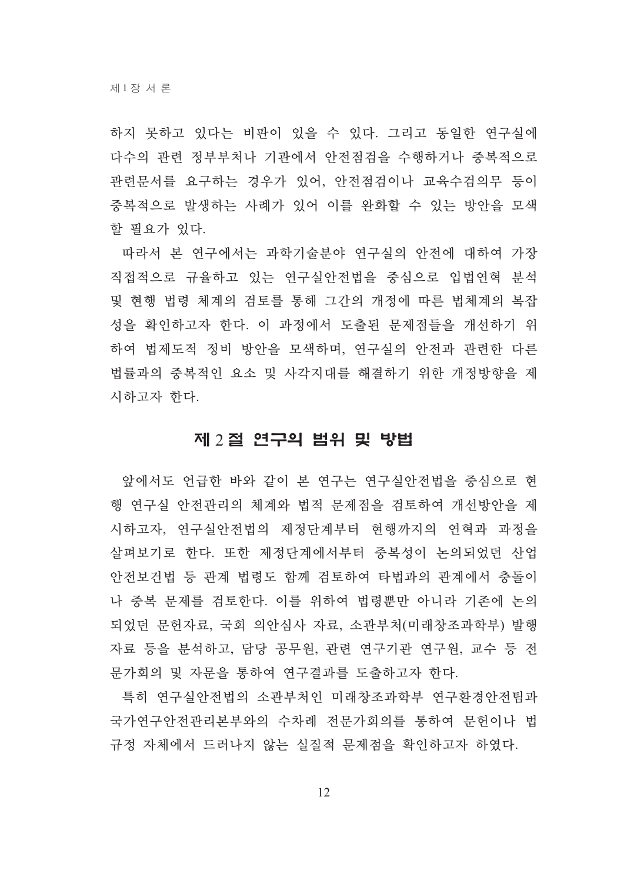하지 못하고 있다는 비판이 있을 수 있다. 그리고 동일한 연구실에 다수의 관련 정부부처나 기관에서 안전점검을 수행하거나 중복적으로 관련문서를 요구하는 경우가 있어, 안전점검이나 교육수검의무 등이 중복적으로 발생하는 사례가 있어 이를 완화할 수 있는 방안을 모색 할 필요가 있다.

따라서 본 연구에서는 과학기술분야 연구실의 안전에 대하여 가장 직접적으로 규율하고 있는 연구실안전법을 중심으로 입법연혁 분석 및 현행 법령 체계의 검토를 통해 그간의 개정에 따른 법체계의 복잡 성을 확인하고자 한다. 이 과정에서 도출된 문제점들을 개선하기 위 하여 법제도적 정비 방안을 모색하며, 연구실의 안전과 관련한 다른 법률과의 중복적인 요소 및 사각지대를 해결하기 위한 개정방향을 제 시하고자 한다.

#### 제 2 절 연구의 범위 및 방법

앞에서도 언급한 바와 같이 본 연구는 연구실안전법을 중심으로 현 행 연구실 안전관리의 체계와 법적 문제점을 검토하여 개선방안을 제 시하고자, 연구실안전법의 제정단계부터 현행까지의 연혁과 과정을 살펴보기로 한다. 또한 제정단계에서부터 중복성이 논의되었던 산업 안전보건법 등 관계 법령도 함께 검토하여 타법과의 관계에서 충돌이 나 중복 문제를 검토한다. 이를 위하여 법령뿐만 아니라 기존에 논의 되었던 문헌자료, 국회 의안심사 자료, 소관부처(미래창조과학부) 발행 자료 등을 분석하고, 담당 공무원, 관련 연구기관 연구원, 교수 등 전 문가회의 및 자문을 통하여 연구결과를 도출하고자 한다.

특히 연구실안전법의 소관부처인 미래창조과학부 연구환경안전팀과 국가연구안전관리본부와의 수차례 전문가회의를 통하여 문헌이나 법 규정 자체에서 드러나지 않는 실질적 문제점을 확인하고자 하였다.

12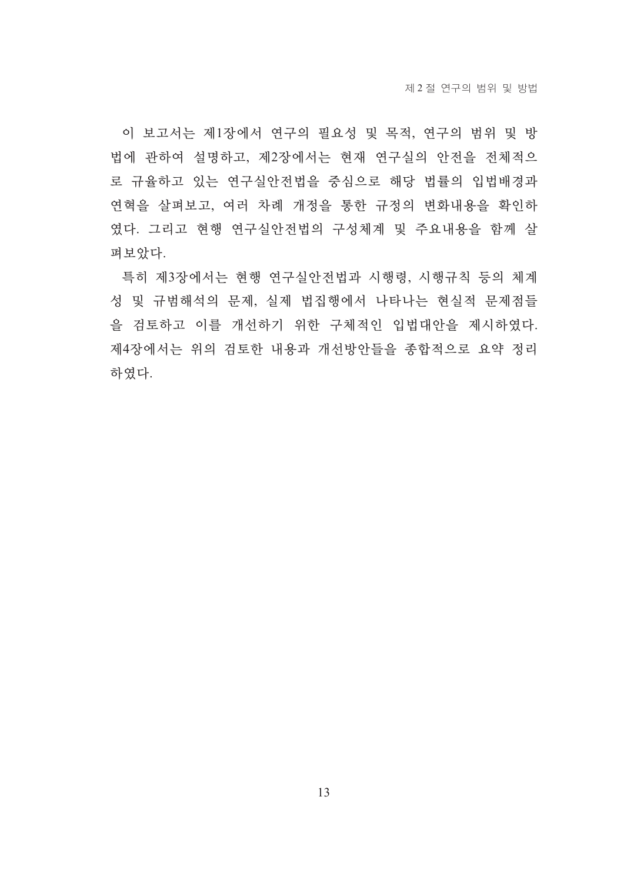이 보고서는 제1장에서 연구의 필요성 및 목적, 연구의 범위 및 방 법에 관하여 설명하고, 제2장에서는 현재 연구실의 안전을 전체적으 로 규율하고 있는 연구실안전법을 중심으로 해당 법률의 입법배경과 연혁을 살펴보고, 여러 차례 개정을 통한 규정의 변화내용을 확인하 였다. 그리고 현행 연구실안전법의 구성체계 및 주요내용을 함께 살 펴보았다.

특히 제3장에서는 현행 연구실안전법과 시행령, 시행규칙 등의 체계 성 및 규범해석의 문제, 실제 법집행에서 나타나는 현실적 문제점들 을 검토하고 이를 개선하기 위한 구체적인 입법대안을 제시하였다. 제4장에서는 위의 검토한 내용과 개선방안들을 종합적으로 요약 정리 하였다.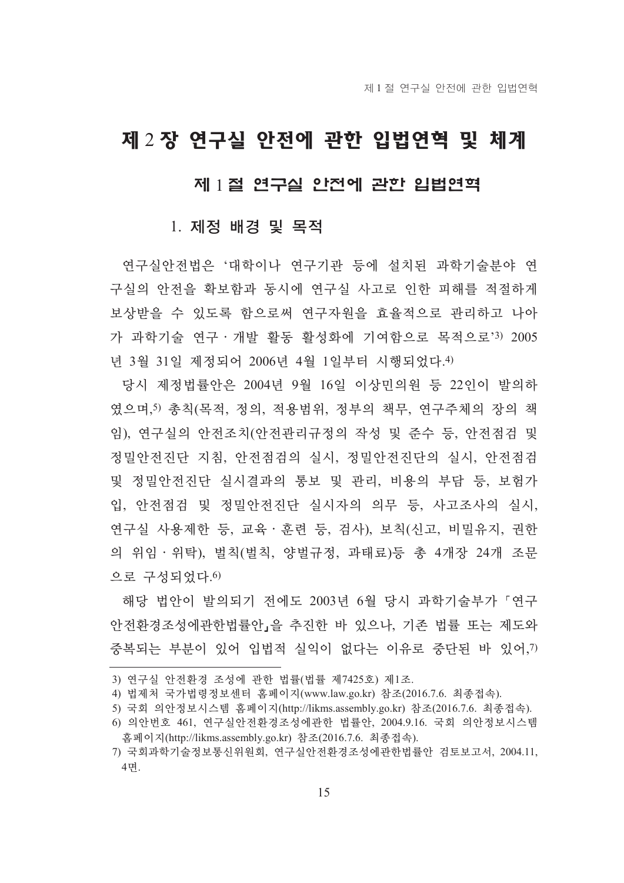# 제 2 장 연구실 안전에 관한 입법연혁 및 체계

## 제 1절 연구실 안전에 관한 입법연혁

# 1. 제정 배경 및 목적

연구실안전법은 '대학이나 연구기관 등에 설치된 과학기술분야 연 구실의 안전을 확보함과 동시에 연구실 사고로 인한 피해를 적절하게 보상받을 수 있도록 함으로써 연구자원을 효율적으로 관리하고 나아 가 과학기술 연구 · 개발 활동 활성화에 기여학으로 목적으로'3) 2005 년 3월 31일 제정되어 2006년 4월 1일부터 시행되었다. 4)

당시 제정법률안은 2004년 9월 16일 이상민의원 등 22인이 발의하 였으며,5) 총칙(목적, 정의, 적용범위, 정부의 책무, 연구주체의 장의 책 임), 연구실의 안전조치(안전관리규정의 작성 및 준수 등, 안전점검 및 정밀안전진단 지침, 안전점검의 실시, 정밀안전진단의 실시, 안전점검 및 정밀안전진단 실시결과의 통보 및 관리, 비용의 부담 등, 보험가 입, 안전점검 및 정밀안전진단 실시자의 의무 등, 사고조사의 실시, 연구실 사용제한 등, 교육 · 훈련 등, 검사), 보칙(신고, 비밀유지, 권한 의 위임·위탁), 벌칙(벌칙, 양벌규정, 과태료)등 총 4개장 24개 조문 으로 구성되었다.6)

해당 법안이 발의되기 전에도 2003년 6월 당시 과학기술부가 「연구 안전환경조성에관한법률안」을 추진한 바 있으나, 기존 법률 또는 제도와 중복되는 부부이 있어 입법적 실익이 없다는 이유로 중단된 바 있어.7)

<sup>3)</sup> 여구실 안전화경 조성에 관한 법률(법률 제7425호) 제1조.

<sup>4)</sup> 법제처 국가법령정보센터 홈페이지(www.law.go.kr) 참조(2016.7.6. 최종접속).

<sup>5)</sup> 국회 의안정보시스템 홈페이지(http://likms.assembly.go.kr) 참조(2016.7.6. 최종접속).

<sup>6)</sup> 의안번호 461, 연구실안전환경조성에관한 법률안, 2004.9.16. 국회 의안정보시스템 홈페이지(http://likms.assembly.go.kr) 참조(2016.7.6. 최종접속).

<sup>7)</sup> 국회과학기술정보통신위원회, 연구실안전환경조성에관한법률안 검토보고서, 2004.11, 4면.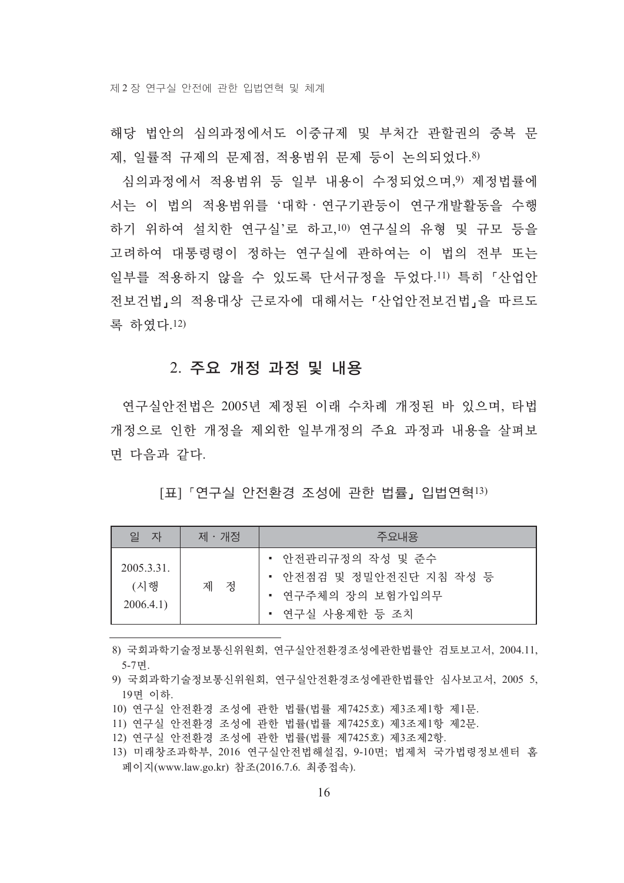해당 법안의 심의과정에서도 이중규제 및 부처가 관할궈의 중복 뮤 제, 일률적 규제의 문제점, 적용범위 문제 등이 논의되었다.8)

심의과정에서 적용범위 등 일부 내용이 수정되었으며 9) 제정법률에 서는 이 법의 적용범위를 '대학 · 연구기관등이 연구개발활동을 수행 하기 위하여 설치한 연구실'로 하고,10) 연구실의 유형 및 규모 등을 고려하여 대통령령이 정하는 연구실에 관하여는 이 법의 전부 또는 일부를 적용하지 않을 수 있도록 단서규정을 두었다.11) 특히 「산업안 전보건법」의 적용대상 근로자에 대해서는 「산업안전보건법」을 따르도 록 하였다.12)

### 2. 주요 개정 과정 및 내용

연구실안전법은 2005년 제정된 이래 수차례 개정된 바 있으며, 타법 개정으로 이한 개정을 제외한 일부개정의 주요 과정과 내용을 살펴보 면 다음과 같다.

#### [표] 「연구실 안전환경 조성에 관한 법률, 입법연혁13)

| 일 자                            | 제 ㆍ개정 | 주요내용                                                                                 |  |
|--------------------------------|-------|--------------------------------------------------------------------------------------|--|
| 2005.3.31.<br>(시행<br>2006.4.1) | 제 정   | ▪ 안전관리규정의 작성 및 준수<br>• 안전점검 및 정밀안전진단 지침 작성 등<br>▪ 연구주체의 장의 보험가입의무<br>▪ 연구실 사용제한 등 조치 |  |

8) 국회과학기술정보통신위원회, 여구실안전화경조성에과한법률안 검토보고서, 2004.11. 5-7면.

- 9) 국회과학기술정보통신위원회, 연구실안전환경조성에관한법률안 심사보고서, 2005 5, 19면 이하.
- 10) 연구실 안전화경 조성에 과하 법률(법률 제7425호) 제3조제1항 제1문.

11) 연구실 안전환경 조성에 관한 법률(법률 제7425호) 제3조제1항 제2문.

- 12) 연구실 안전환경 조성에 관한 법률(법률 제7425호) 제3조제2항.
- 13) 미래창조과학부, 2016 연구실안전법해설집, 9-10면; 법제처 국가법령정보센터 홈 페이지(www.law.go.kr) 참조(2016.7.6. 최종접속).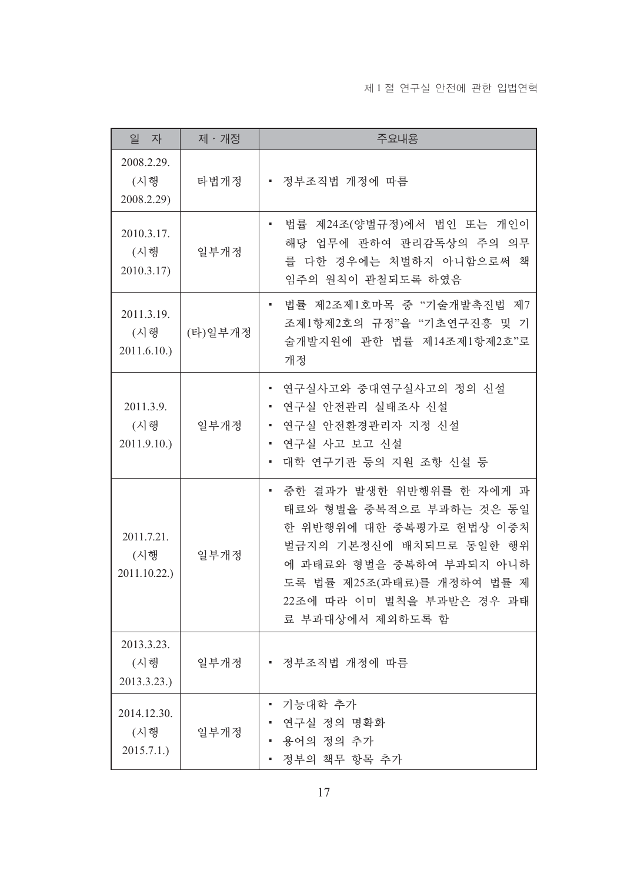#### 제 1 절 연구실 안전에 관한 입법연혁

| 일 자                               | 제 ㆍ 개정  | 주요내용                                                                                                                                                                                                                   |  |
|-----------------------------------|---------|------------------------------------------------------------------------------------------------------------------------------------------------------------------------------------------------------------------------|--|
| 2008.2.29.<br>(시행<br>2008.2.29)   | 타법개정    | • 정부조직법 개정에 따름                                                                                                                                                                                                         |  |
| 2010.3.17.<br>(시행<br>2010.3.17)   | 일부개정    | 제24조(양벌규정)에서 법인 또는 개인이<br>법률<br>해당 업무에 관하여 관리감독상의 주의 의무<br>를 다한 경우에는 처벌하지 아니함으로써 책<br>임주의 원칙이 관철되도록 하였음                                                                                                                |  |
| 2011.3.19.<br>(시행<br>2011.6.10.   | (타)일부개정 | • 법률 제2조제1호마목 중 "기술개발촉진법 제7<br>조제1항제2호의 규정"을 "기초연구진흥 및 기<br>술개발지원에 관한 법률 제14조제1항제2호"로<br>개정                                                                                                                            |  |
| 2011.3.9.<br>(시행<br>2011.9.10.    | 일부개정    | ▪ 연구실사고와 중대연구실사고의 정의 신설<br>▪ 연구실 안전관리 실태조사 신설<br>• 연구실 안전환경관리자 지정 신설<br>• 연구실 사고 보고 신설<br>• 대학 연구기관 등의 지원 조항 신설 등                                                                                                      |  |
| 2011.7.21.<br>(시행<br>2011.10.22.) | 일부개정    | 중한 결과가 발생한 위반행위를 한 자에게 과<br>태료와 형벌을 중복적으로 부과하는 것은 동일<br>한 위반행위에 대한 중복평가로 헌법상 이중처<br>벌금지의 기본정신에 배치되므로 동일한 행위<br>에 과태료와 형벌을 중복하여 부과되지 아니하<br>도록 법률 제25조(과태료)를 개정하여 법률 제<br>22조에 따라 이미 벌칙을 부과받은 경우 과태<br>료 부과대상에서 제외하도록 함 |  |
| 2013.3.23.<br>(시행<br>2013.3.23.)  | 일부개정    | • 정부조직법 개정에 따름                                                                                                                                                                                                         |  |
| 2014.12.30.<br>(시행<br>2015.7.1.   | 일부개정    | 기능대학 추가<br>연구실 정의 명확화<br>용어의 정의 추가<br>정부의 책무 항목 추가                                                                                                                                                                     |  |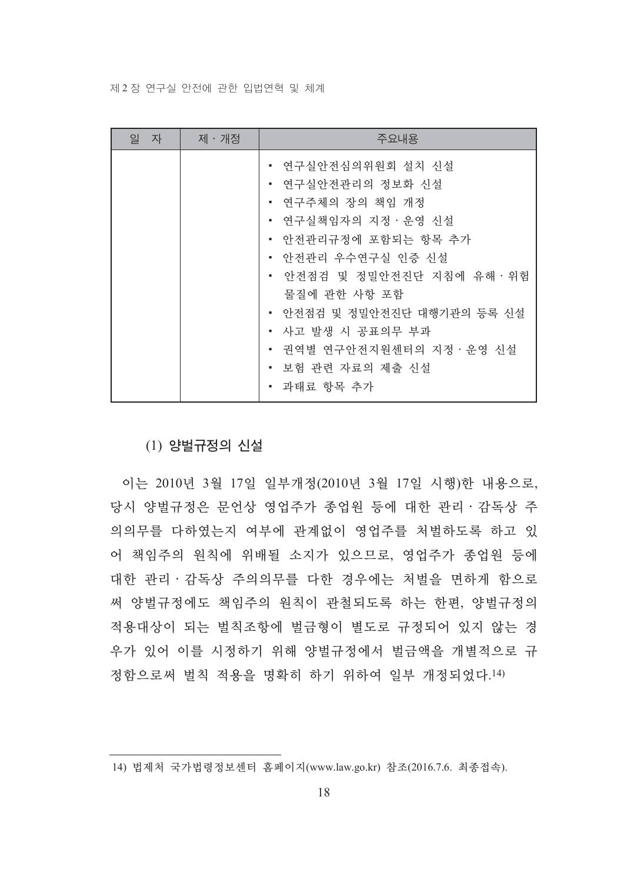제 2 장 연구실 안전에 관한 입법연혁 및 체계

| 일<br>자 | 제 ㆍ개정 | 주요내용                                                                                                                                                                                                                                                                                             |
|--------|-------|--------------------------------------------------------------------------------------------------------------------------------------------------------------------------------------------------------------------------------------------------------------------------------------------------|
|        |       | ▪ 연구실안전심의위원회 설치 신설<br>▪ 연구실안전관리의 정보화 신설<br>▪ 연구주체의 장의 책임 개정<br>▪ 연구실책임자의 지정·운영 신설<br>• 안전관리규정에 포함되는 항목 추가<br>▪ 안전관리 우수연구실 인증 신설<br>• 안전점검 및 정밀안전진단 지침에 유해·위험<br>물질에 관한 사항 포함<br>▪ 안전점검 및 정밀안전진단 대행기관의 등록 신설<br>▪ 사고 발생 시 공표의무 부과<br>▪ 권역별 연구안전지원센터의 지정·운영 신설<br>▪ 보험 관련 자료의 제출 신설<br>▪ 과태료 항목 추가 |

(1) 양벌규정의 신설

이는 2010년 3월 17일 일부개정(2010년 3월 17일 시행)한 내용으로, 당시 양벌규정은 문언상 영업주가 종업원 등에 대한 관리 · 감독상 주 의의무를 다하였는지 여부에 관계없이 영업주를 처벌하도록 하고 있 어 책임주의 원칙에 위배될 소지가 있으므로, 영업주가 종업원 등에 대한 관리 · 감독상 주의의무를 다한 경우에는 처벌을 면하게 함으로 써 양벌규정에도 책임주의 원칙이 관철되도록 하는 한편, 양벌규정의 적용대상이 되는 벌칙조항에 벌금형이 별도로 규정되어 있지 않는 경 우가 있어 이를 시정하기 위해 양벌규정에서 벌금액을 개별적으로 규 정함으로써 벌칙 적용을 명확히 하기 위하여 일부 개정되었다.14)

<sup>14)</sup> 법제처 국가법령정보센터 홈페이지(www.law.go.kr) 참조(2016.7.6. 최종접속).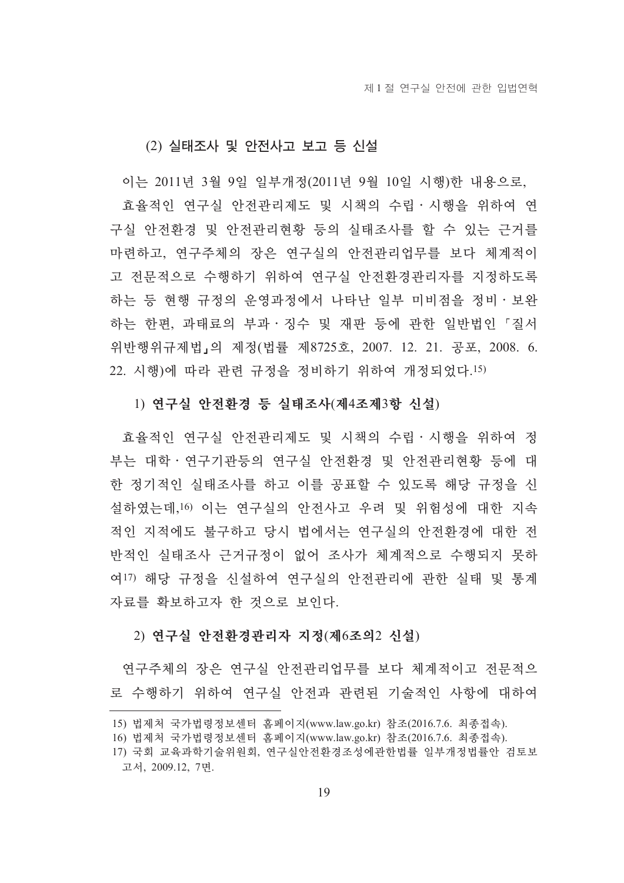#### (2) 실태조사 및 안전사고 보고 등 시설

이는 2011년 3월 9일 일부개정(2011년 9월 10일 시행)한 내용으로, 효율적인 연구실 안전관리제도 및 시책의 수립 · 시행을 위하여 연 구실 안전환경 및 안전관리현황 등의 실태조사를 할 수 있는 근거를 마련하고, 연구주체의 장은 연구실의 안전관리업무를 보다 체계적이 고 전문적으로 수행하기 위하여 연구실 안전환경관리자를 지정하도록 하는 등 현행 규정의 운영과정에서 나타난 일부 미비점을 정비 · 보완 하는 한편, 과태료의 부과 · 징수 및 재판 등에 관한 일반법인 「질서 위반행위규제법」의 제정(법률 제8725호, 2007. 12. 21. 공포, 2008. 6. 22. 시행)에 따라 관련 규정을 정비하기 위하여 개정되었다.15)

#### 1) 연구실 안전환경 등 실태조사(제4조제3항 신설)

효율적인 연구실 안전관리제도 및 시책의 수립 · 시행을 위하여 정 부는 대학·연구기관등의 연구실 안전환경 및 안전관리현황 등에 대 한 정기적인 실태조사를 하고 이를 공표할 수 있도록 해당 규정을 신 설하였는데,16) 이는 연구실의 안전사고 우려 및 위험성에 대한 지속 적인 지적에도 불구하고 당시 법에서는 연구실의 안전환경에 대한 전 반적인 실태조사 근거규정이 없어 조사가 체계적으로 수행되지 못하 여17) 해당 규정을 시설하여 여구실의 안전과리에 과한 실태 및 통계 자료를 확보하고자 한 것으로 보이다.

#### 2) 연구실 안전환경관리자 지정(제6조의2 신설)

연구주체의 장은 연구실 안전관리업무를 보다 체계적이고 전문적으 로 수행하기 위하여 연구실 안전과 관련된 기술적인 사항에 대하여

<sup>15)</sup> 법제처 국가법령정보세터 홈페이지(www.law.go.kr) 참조(2016.7.6. 최종접속).

<sup>16)</sup> 법제처 국가법령정보센터 홈페이지(www.law.go.kr) 참조(2016.7.6. 최종접속).

<sup>17)</sup> 국회 교육과학기술위워회, 여구실안전화경조성에과하법률 일부개정법률안 검토보 고서, 2009.12, 7면.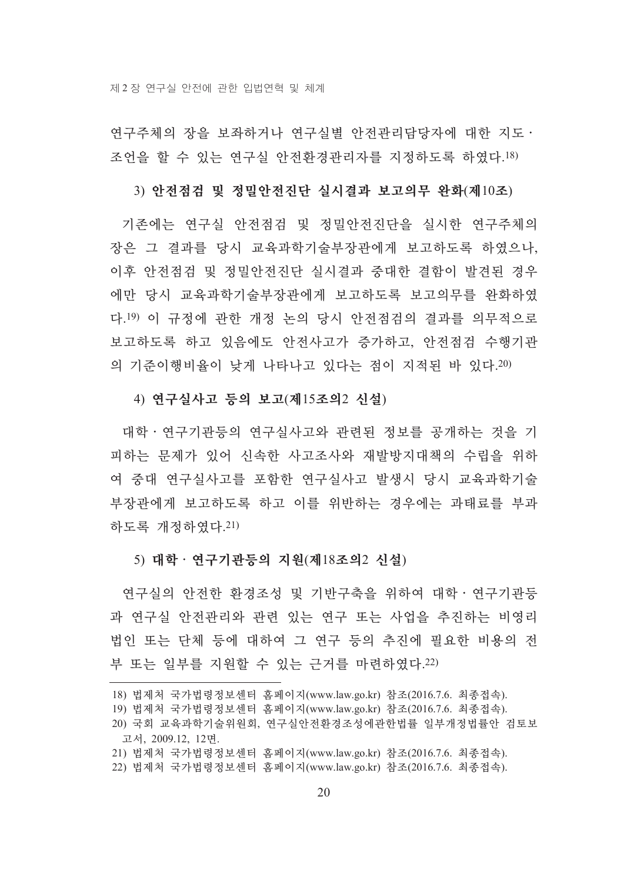여구주체의 장을 보좌하거나 여구실별 안전과리담당자에 대한 지도 · 조언을 할 수 있는 연구실 안전화경관리자를 지정하도록 하였다.18)

#### 3) 아저점검 및 정밀아저지다 실시결과 보고의무 와화(제10조)

기존에는 여구실 안전점검 및 정밀안전진다을 실시한 여구주체의 장은 그 결과를 당시 교육과학기술부장관에게 보고하도록 하였으나, 이후 안전점검 및 정밀안전진단 실시결과 중대한 결함이 발견된 경우 에만 당시 교육과학기술부장관에게 보고하도록 보고의무를 완화하였 다.19) 이 규정에 관한 개정 논의 당시 안전점검의 결과를 의무적으로 보고하도록 하고 있음에도 안전사고가 증가하고, 안전점검 수행기관 의 기준이행비율이 낮게 나타나고 있다는 점이 지적된 바 있다.20)

#### 4) 여구실사고 등의 보고(제15조의2 시설)

대학 · 여구기관등의 여구실사고와 관련된 정보를 공개하는 것을 기 피하는 뮤제가 있어 시속하 사고조사와 재발방지대책의 수립을 위하 여 중대 여구실사고를 포함한 여구실사고 발생시 당시 교육과학기술 부장관에게 보고하도록 하고 이를 위반하는 경우에는 과태료를 부과 하도록 개정하였다. 21)

#### 5) 대학 · 연구기관등의 지원(제18조의2 신설)

여구실의 안전한 화경조성 및 기반구축을 위하여 대학 · 여구기과등 과 연구실 안전관리와 관련 있는 연구 또는 사업을 추진하는 비영리 법인 또는 단체 등에 대하여 그 여구 등의 추진에 필요한 비용의 전 부 또는 일부를 지원할 수 있는 근거를 마련하였다. 22)

<sup>18)</sup> 법제처 국가법령정보세터 홈페이지(www.law.go.kr) 참조(2016.7.6. 최종접속).

<sup>19)</sup> 법제처 국가법령정보세터 홈페이지(www.law.go.kr) 참조(2016.7.6. 최종접속).

<sup>20)</sup> 국회 교육과학기술위워회, 연구실안전환경조성에관한법률 일부개정법률안 검토보 고서, 2009.12, 12면.

<sup>21)</sup> 법제처 국가법령정보세터 홈페이지(www.law.go.kr) 참조(2016.7.6. 최종접속).

<sup>22)</sup> 법제처 국가법령정보센터 홈페이지(www.law.go.kr) 참조(2016.7.6. 최종접속).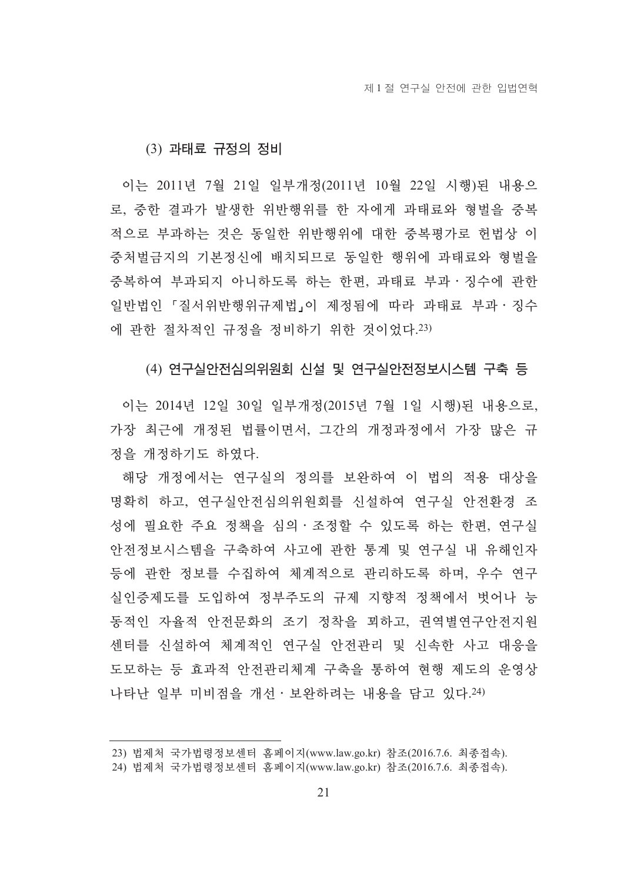#### (3) 과태료 규정의 정비

이는 2011년 7월 21일 일부개정(2011년 10월 22일 시행)된 내용으 로, 중한 결과가 발생한 위반행위를 한 자에게 과태료와 형벌을 중복 적으로 부과하는 것은 동일한 위반행위에 대한 중복평가로 헌법상 이 중처벌금지의 기본정신에 배치되므로 동일한 행위에 과태료와 형벌을 중복하여 부과되지 아니하도록 하는 한편, 과태료 부과 · 징수에 관한 일반법인 「질서위반행위규제법」이 제정됨에 따라 과태료 부과 · 징수 에 관한 절차적인 규정을 정비하기 위한 것이었다.23)

#### (4) 연구실안전심의위원회 신설 및 연구실안전정보시스템 구축 등

이는 2014년 12일 30일 일부개정(2015년 7월 1일 시행)된 내용으로, 가장 최근에 개정된 법률이면서, 그간의 개정과정에서 가장 많은 규 정을 개정하기도 하였다.

해당 개정에서는 여구실의 정의를 보완하여 이 법의 적용 대상을 명확히 하고, 연구실안전심의위원회를 신설하여 연구실 안전환경 조 성에 필요한 주요 정책을 심의 · 조정할 수 있도록 하는 한편, 여구실 안전정보시스템을 구축하여 사고에 관한 통계 및 연구실 내 유해인자 등에 관한 정보를 수집하여 체계적으로 관리하도록 하며, 우수 연구 실인증제도를 도입하여 정부주도의 규제 지향적 정책에서 벗어나 능 동적인 자율적 안전문화의 조기 정착을 꾀하고, 권역별연구안전지원 센터를 신설하여 체계적인 연구실 안전관리 및 신속한 사고 대응을 도모하는 등 효과적 안전관리체계 구축을 통하여 현행 제도의 운영상 나타난 일부 미비점을 개선 · 보완하려는 내용을 담고 있다. 24)

<sup>23)</sup> 법제처 국가법령정보세터 홈페이지(www.law.go.kr) 참조(2016.7.6. 최종접속).

<sup>24)</sup> 법제처 국가법령정보센터 홈페이지(www.law.go.kr) 참조(2016.7.6. 최종접속).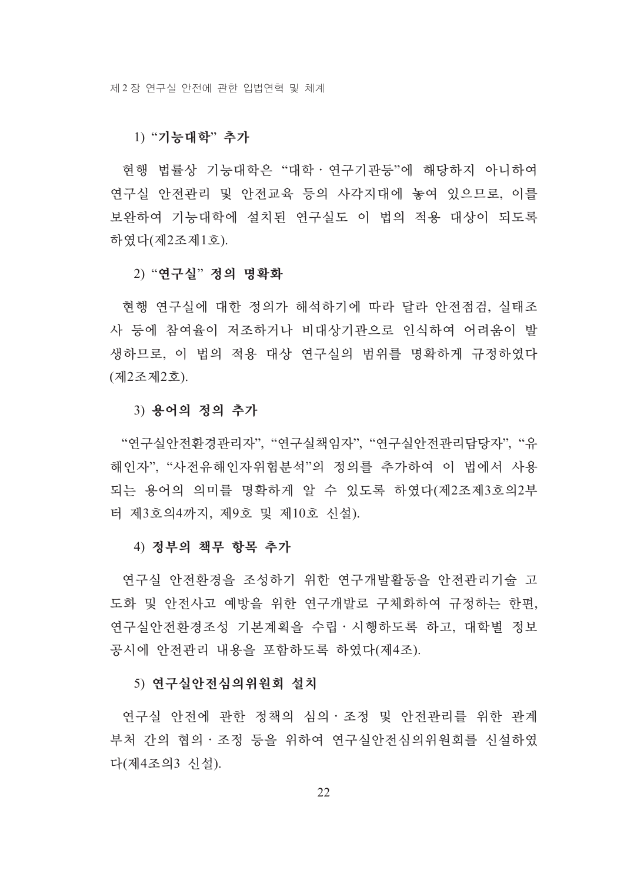#### 1) "기능대학" 추가

현행 법률상 기능대학은 "대학 · 연구기관등"에 해당하지 아니하여 연구실 안전관리 및 안전교육 등의 사각지대에 놓여 있으므로, 이를 보완하여 기능대학에 설치된 연구실도 이 법의 적용 대상이 되도록 하였다(제2조제1호).

#### 2) "여구실" 정의 명확화

현행 연구실에 대한 정의가 해석하기에 따라 달라 안전점검, 실태조 사 등에 참여율이 저조하거나 비대상기관으로 인식하여 어려움이 발 생하므로, 이 법의 적용 대상 연구실의 범위를 명확하게 규정하였다 (제2조제2호).

#### 3) 용어의 정의 추가

"여구실아저화경과리자". "여구실책임자". "여구실아저과리담당자". "유 해인자". "사전유해인자위험부석"의 정의를 추가하여 이 법에서 사용 되는 용어의 의미를 명확하게 알 수 있도록 하였다(제2조제3호의2부 터 제3호의4까지, 제9호 및 제10호 신설).

#### 4) 정부의 책무 항목 추가

여구실 아저화경을 조성하기 위한 여구개발활동을 아저과리기술 고 도화 및 안전사고 예방을 위한 연구개발로 구체화하여 규정하는 한편, 연구실안전환경조성 기본계획을 수립 · 시행하도록 하고, 대학별 정보 공시에 안전과리 내용을 포함하도록 하였다(제4조).

#### 5) 연구실안전심의위원회 설치

연구실 안전에 관한 정책의 심의 조정 및 안전관리를 위한 관계 부처 간의 협의 · 조정 등을 위하여 여구실안전심의위원회를 시설하였 다(제4조의3 신설).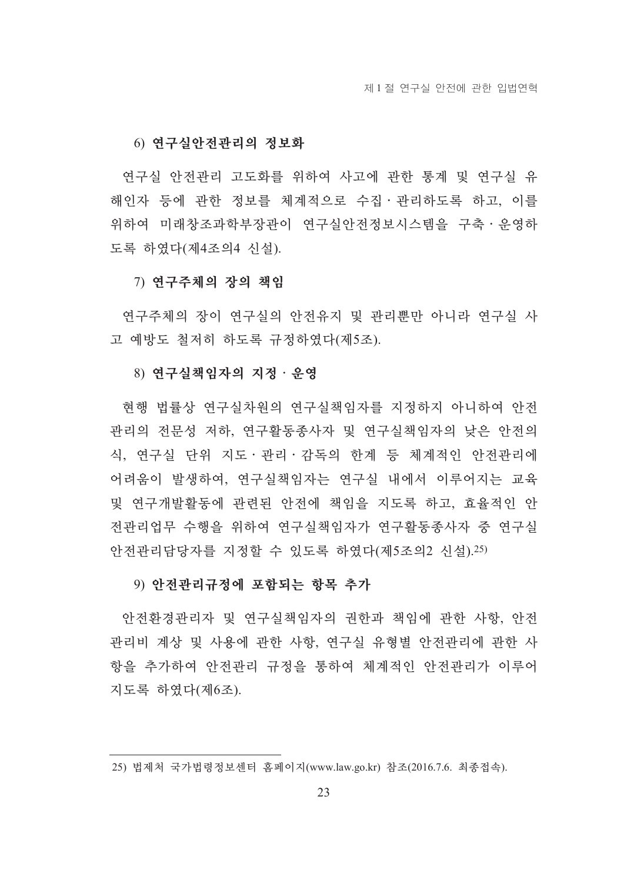#### 6) 연구실안전관리의 정보화

연구실 안전관리 고도화를 위하여 사고에 관한 통계 및 연구실 유 해인자 등에 관한 정보를 체계적으로 수집 · 관리하도록 하고, 이를 위하여 미래창조과학부장과이 여구실안전정보시스템을 구축 · 유영하 도록 하였다(제4조의4 신설).

#### 7) 연구주체의 장의 책임

연구주체의 장이 연구실의 안전유지 및 관리뿐만 아니라 연구실 사 고 예방도 철저히 하도록 규정하였다(제5조).

#### 8) 연구실책임자의 지정·운영

현행 법률상 연구실차원의 연구실책임자를 지정하지 아니하여 안전 관리의 전문성 저하, 연구활동종사자 및 연구실책임자의 낮은 안전의 식, 여구실 다위 지도 · 과리 · 감독의 한계 등 체계적이 아저과리에 어려움이 발생하여, 여구실책임자는 여구실 내에서 이루어지는 교육 및 여구개발홬동에 과려되 아저에 책임을 지도록 하고, 효율적인 안 저과리업무 수행을 위하여 여구실책임자가 여구활동종사자 중 여구실 안전관리담당자를 지정할 수 있도록 하였다(제5조의2 신설).25)

#### 9) 아저과리규정에 포함되는 항목 추가

안전환경관리자 및 연구실책임자의 권한과 책임에 관한 사항, 안전 관리비 계상 및 사용에 관한 사항, 연구실 유형별 안전관리에 관한 사 항을 추가하여 안전관리 규정을 통하여 체계적인 안전관리가 이루어 지도록 하였다(제6조).

<sup>25)</sup> 법제처 국가법령정보센터 홈페이지(www.law.go.kr) 참조(2016.7.6. 최종접속).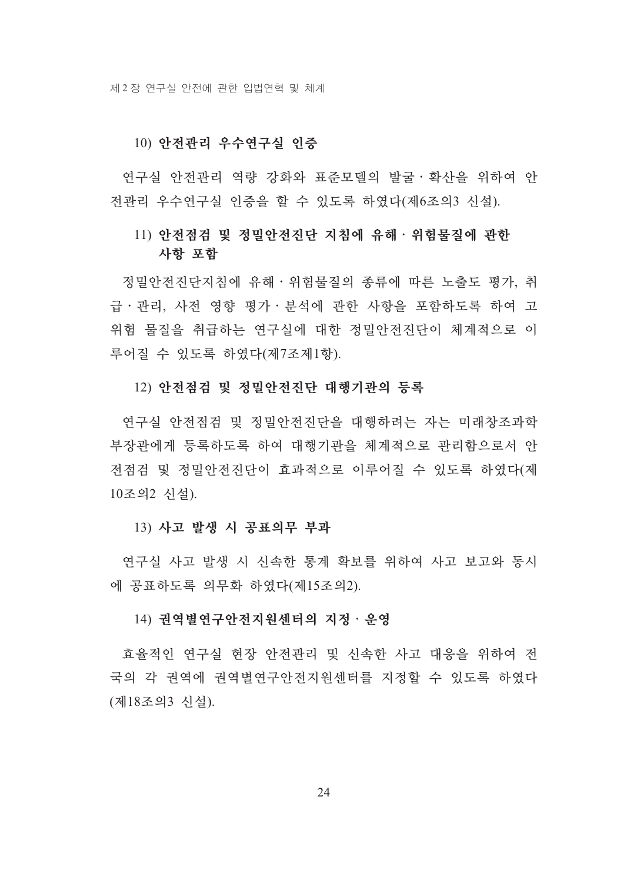#### 10) 안전관리 우수연구실 인증

연구실 안전관리 역량 강화와 표준모델의 발굴 · 확산을 위하여 안 전관리 우수연구실 인증을 할 수 있도록 하였다(제6조의3 신설).

### 11) 안전점검 및 정밀안전진단 지침에 유해 · 위험물질에 관한 사항 포함

정밀안전진단지침에 유해 · 위험물질의 종류에 따른 노출도 평가, 취 급 · 관리, 사전 영향 평가 · 분석에 관한 사항을 포함하도록 하여 고 위험 물질을 취급하는 연구실에 대한 정밀안전진단이 체계적으로 이 루어질 수 있도록 하였다(제7조제1항).

#### 12) 아저점검 및 정밀아저지다 대행기관의 등록

연구실 안전점검 및 정밀안전진단을 대행하려는 자는 미래창조과학 부장관에게 등록하도록 하여 대행기관을 체계적으로 관리함으로서 안 전점검 및 정밀안전지다이 효과적으로 이루어질 수 있도록 하였다(제 10조의2 신설).

#### 13) 사고 발생 시 공표의무 부과

연구실 사고 발생 시 신속한 통계 확보를 위하여 사고 보고와 동시 에 공표하도록 의무화 하였다(제15조의2).

#### 14) 권역별여구아저지워세터의 지정 · 유영

효율적인 연구실 현장 안전관리 및 신속한 사고 대응을 위하여 전 국의 각 권역에 권역별연구안전지원센터를 지정할 수 있도록 하였다 (제18조의3 신설).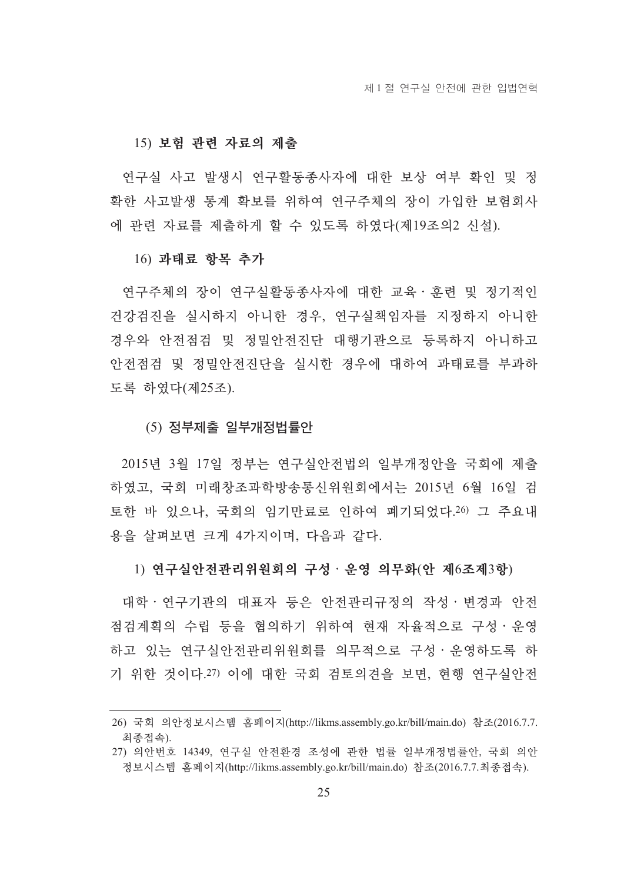제 1 절 연구실 안전에 관한 입법연혁

#### 15) 보험 관련 자료의 제출

연구실 사고 발생시 연구활동종사자에 대한 보상 여부 확인 및 정 확한 사고발생 통계 확보를 위하여 연구주체의 장이 가입한 보험회사 에 관련 자료를 제출하게 할 수 있도록 하였다(제19조의2 신설).

#### 16) 과태료 항목 추가

연구주체의 장이 연구실활동종사자에 대한 교육 훈련 및 정기적인 건강검진을 실시하지 아니한 경우, 연구실책임자를 지정하지 아니한 경우와 안전점검 및 정밀안전진단 대행기관으로 등록하지 아니하고 안전점검 및 정밀안전진단을 실시한 경우에 대하여 과태료를 부과하 도록 하였다(제25조).

#### (5) 정부제출 일부개정법률안

2015년 3월 17일 정부는 연구실안전법의 일부개정안을 국회에 제출 하였고, 국회 미래창조과학방송통신위워회에서는 2015년 6월 16일 검 토한 바 있으나. 국회의 임기만료로 이하여 폐기되었다.26) 그 주요내 용을 살펴보면 크게 4가지이며, 다음과 같다.

1) 여구실안전관리위워회의 구성 · 유영 의무화(안 제6조제3항)

대학 · 연구기관의 대표자 등은 안전관리규정의 작성 · 변경과 안전 점검계획의 수립 등을 협의하기 위하여 현재 자율적으로 구성 · 유영 하고 있는 연구실안전관리위원회를 의무적으로 구성 · 운영하도록 하 기 위한 것이다. 27) 이에 대한 국회 검토의견을 보면, 현행 연구실안전

<sup>26)</sup> 국회 의안정보시스템 홈페이지(http://likms.assembly.go.kr/bill/main.do) 참조(2016.7.7. 최종접속).

<sup>27)</sup> 의안번호 14349. 연구실 안전화경 조성에 과한 법률 일부개정법률안, 국회 의안 정보시스템 홈페이지(http://likms.assembly.go.kr/bill/main.do) 참조(2016.7.7.최종접속).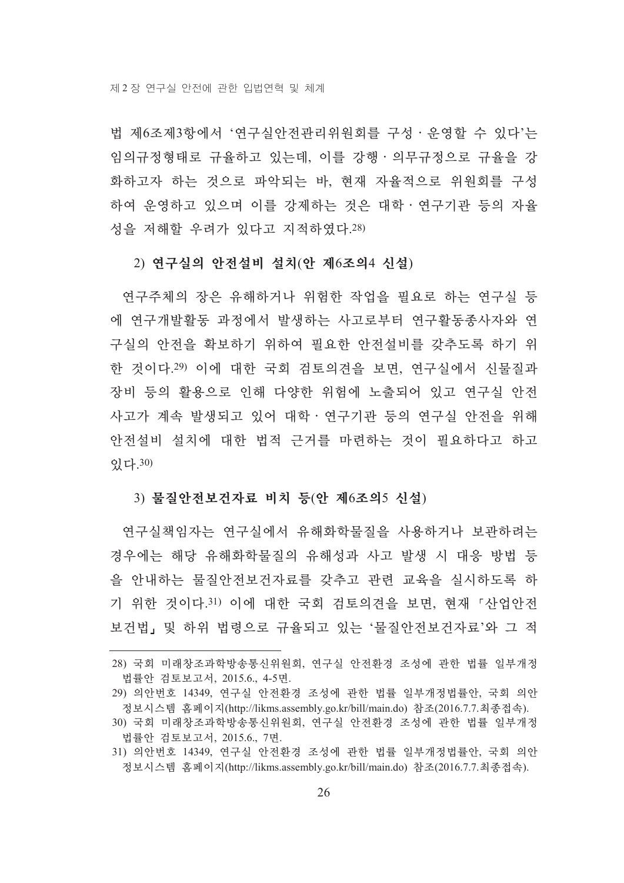법 제6조제3항에서 '여구실안전관리위워회를 구성 · 유영할 수 있다'는 임의규정형태로 규율하고 있는데, 이를 강행 · 의무규정으로 규율을 강 화하고자 하는 것으로 파악되는 바, 현재 자율적으로 위워회를 구성 하여 운영하고 있으며 이를 강제하는 것은 대학 · 연구기관 등의 자율 성을 저해할 우려가 있다고 지적하였다. 28)

#### 2) 여구실의 아저설비 설치(아 제6조의4 시설)

연구주체의 장은 유해하거나 위험한 작업을 필요로 하는 연구실 등 에 연구개발활동 과정에서 발생하는 사고로부터 연구활동종사자와 연 구실의 안전을 확보하기 위하여 필요한 안전설비를 갖추도록 하기 위 한 것이다.29) 이에 대한 국회 검토의견을 보면, 연구실에서 신물질과 장비 등의 활용으로 인해 다양한 위험에 노출되어 있고 연구실 안전 사고가 계속 발생되고 있어 대학 · 연구기관 등의 연구실 안전을 위해 안전설비 설치에 대한 법적 근거를 마련하는 것이 필요하다고 하고 있다.30)

#### 3) 물질안전보건자료 비치 등(안 제6조의5 신설)

연구실책임자는 연구실에서 유해화학물질을 사용하거나 보관하려는 경우에는 해당 유해화학물질의 유해성과 사고 발생 시 대응 방법 등 을 아내하는 물질안전보거자료를 갖추고 과려 교육을 실시하도록 하 기 위한 것이다. 31) 이에 대한 국회 검토의견을 보면, 현재 「산업안전 보건법」 및 하위 법령으로 규율되고 있는 '물질안전보건자료'와 그 적

<sup>28)</sup> 국회 미래창조과학방송통신위원회, 연구실 안전환경 조성에 관한 법률 일부개정 법률안 검토보고서, 2015.6., 4-5면.

<sup>29)</sup> 의안번호 14349, 연구실 안전환경 조성에 관한 법률 일부개정법률안, 국회 의안 정보시스템 홈페이지(http://likms.assemblv.go.kr/bill/main.do) 참조(2016.7.7.최종접속).

<sup>30)</sup> 국회 미래창조과학방송통신위원회, 연구실 안전환경 조성에 관한 법률 일부개정 법률안 검토보고서, 2015.6., 7면.

<sup>31)</sup> 의안번호 14349, 연구실 안전환경 조성에 관한 법률 일부개정법률안, 국회 의안 정보시스템 홈페이지(http://likms.assembly.go.kr/bill/main.do) 참조(2016.7.7.최종접속).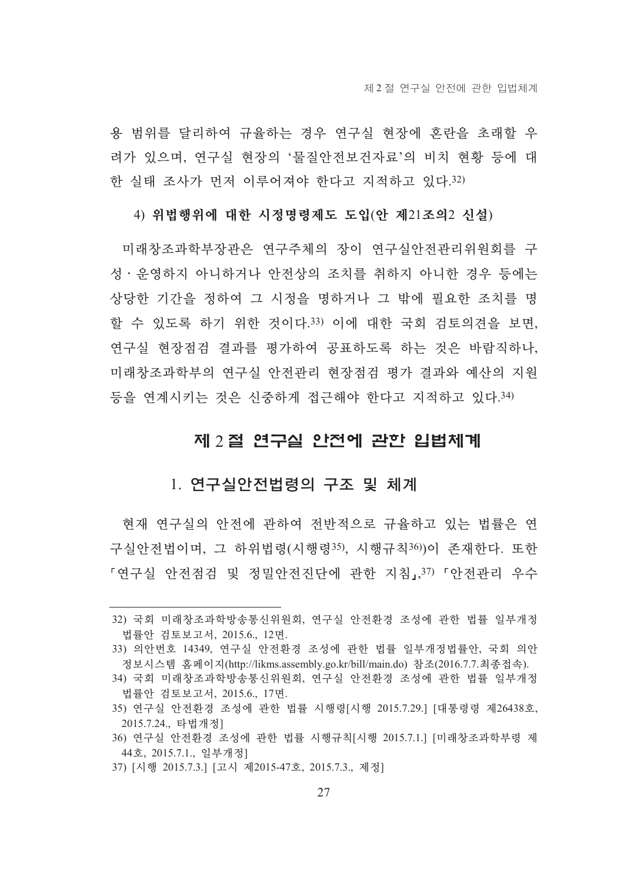용 범위를 달리하여 규율하는 경우 여구실 현장에 혼란을 초래할 우 려가 있으며, 연구실 현장의 '물질안전보건자료'의 비치 현황 등에 대 한 실태 조사가 먼저 이루어져야 하다고 지적하고 있다.32)

#### 4) 위법행위에 대한 시정명령제도 도입(안 제21조의2 시설)

미래창조과학부장관은 연구주체의 장이 연구실안전관리위원회를 구 성·운영하지 아니하거나 안전상의 조치를 취하지 아니한 경우 등에는 상당한 기간을 정하여 그 시정을 명하거나 그 밖에 필요한 조치를 명 할 수 있도록 하기 위한 것이다.33) 이에 대한 국회 검토의견을 보면, 연구실 현장점검 결과를 평가하여 공표하도록 하는 것은 바람직하나, 미래창조과학부의 연구실 안전관리 현장점검 평가 결과와 예산의 지워 등을 연계시키는 것은 신중하게 접근해야 한다고 지적하고 있다.34)

#### 제 2 절 연구실 안전에 관한 입법체계

#### 1. 연구실안전법령의 구조 및 체계

현재 연구실의 안전에 관하여 전반적으로 규율하고 있는 법률은 연 구실아저법이며, 그 하위법령(시행령35), 시행규칙36))이 존재하다. 또하 「여구실 아저점검 및 정밀아저지다에 과하 지침」37) 「아저과리 우수

<sup>32)</sup> 국회 미래창조과학방송통신위원회, 연구실 안전환경 조성에 관한 법률 일부개정 법률안 검토보고서, 2015.6., 12면.

<sup>33)</sup> 의안번호 14349. 연구실 안전화경 조성에 관한 법률 일부개정법률안, 국회 의안 정보시스템 홈페이지(http://likms.assembly.go.kr/bill/main.do) 참조(2016.7.7.최종접속).

<sup>34)</sup> 국회 미래창조과학방송통신위원회, 연구실 안전환경 조성에 관한 법률 일부개정 법률안 검토보고서, 2015.6., 17면.

<sup>35)</sup> 연구실 안전환경 조성에 관한 법률 시행령[시행 2015.7.29.] [대통령령 제26438호, 2015.7.24., 타법개정]

<sup>36)</sup> 연구실 안전환경 조성에 관한 법률 시행규칙[시행 2015.7.1.] [미래창조과학부령 제 44호, 2015.7.1., 일부개정1

<sup>37) [</sup>시행 2015.7.3.] [고시 제2015-47호, 2015.7.3., 제정]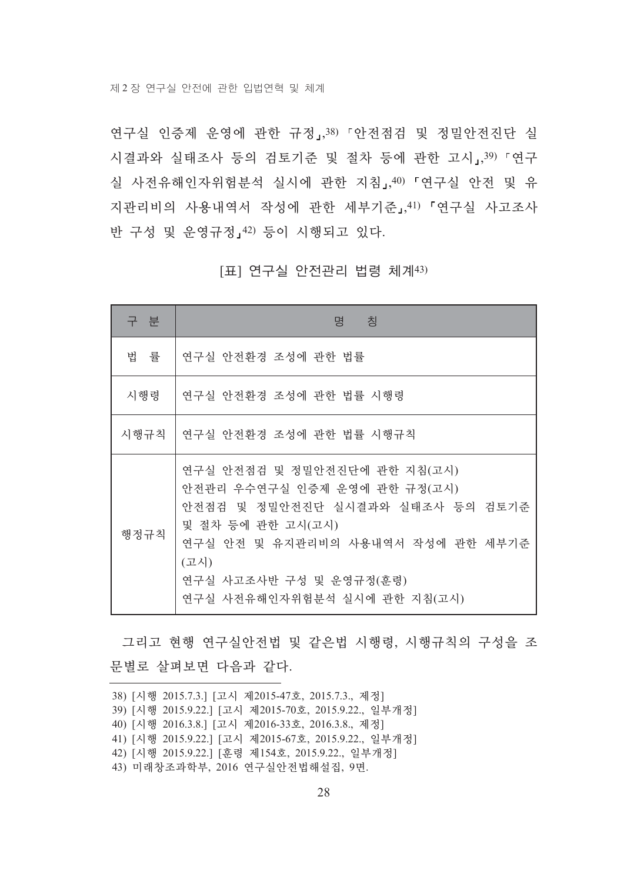연구실 인증제 운영에 관한 규정, 38) 「안전점검 및 정밀안전진단 실 시결과와 실태조사 등의 검토기준 및 절차 등에 관한 고시」, 39) 「연구 실 사전유해인자위험분석 실시에 관한 지침」, 40) 「연구실 안전 및 유 지관리비의 사용내역서 작성에 관한 세부기준, 41) 「연구실 사고조사 반 구성 및 운영규정」42) 등이 시행되고 있다.

#### [표] 연구실 안전관리 법령 체계43)

| 구 분  | 명<br>칭                                                                                                                                                                                                                        |
|------|-------------------------------------------------------------------------------------------------------------------------------------------------------------------------------------------------------------------------------|
| 법 률  | 연구실 안전환경 조성에 관한 법률                                                                                                                                                                                                            |
| 시행령  | 연구실 안전환경 조성에 관한 법률 시행령                                                                                                                                                                                                        |
| 시행규칙 | 연구실 안전환경 조성에 관한 법률 시행규칙                                                                                                                                                                                                       |
| 행정규칙 | 연구실 안전점검 및 정밀안전진단에 관한 지침(고시)<br>안전관리 우수연구실 인증제 운영에 관한 규정(고시)<br>안전점검 및 정밀안전진단 실시결과와 실태조사 등의 검토기준<br>및 절차 등에 관한 고시(고시)<br>연구실 안전 및 유지관리비의 사용내역서 작성에 관한 세부기준<br>(고시)<br>연구실 사고조사반 구성 및 운영규정(훈령)<br>연구실 사전유해인자위험분석 실시에 관한 지침(고시) |

그리고 현행 연구실안전법 및 같은법 시행령, 시행규칙의 구성을 조 문별로 살펴보면 다음과 같다.

38) [시행 2015.7.3.] [고시 제2015-47호, 2015.7.3., 제정]

41) [시행 2015.9.22.] [고시 제2015-67호, 2015.9.22., 일부개정]

- 42) [시행 2015.9.22.] [훈령 제154호, 2015.9.22., 일부개정]
- 43) 미래창조과학부, 2016 연구실안전법해설집, 9면.

<sup>39) [</sup>시행 2015.9.22.] [고시 제2015-70호, 2015.9.22., 일부개정]

<sup>40) [</sup>시행 2016.3.8.] [고시 제2016-33호, 2016.3.8., 제정]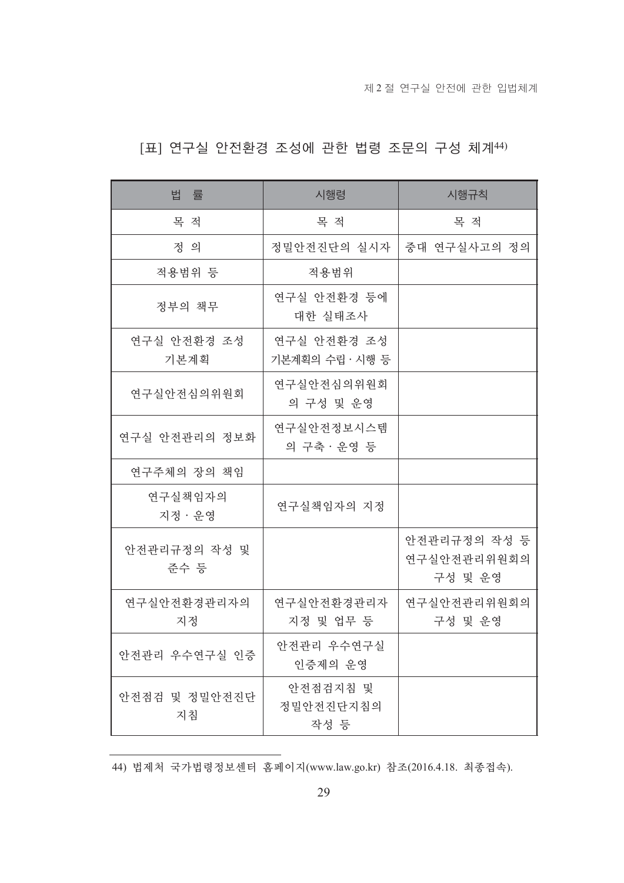# [표] 연구실 안전환경 조성에 관한 법령 조문의 구성 체계44)

| 법 률                  | 시행령                            | 시행규칙                                   |
|----------------------|--------------------------------|----------------------------------------|
| 목 적                  | 목 적                            | 목 적                                    |
| 정 의                  | 정밀안전진단의 실시자                    | 중대 연구실사고의 정의                           |
| 적용범위 등               | 적용범위                           |                                        |
| 정부의 책무               | 연구실 안전환경 등에<br>대한 실태조사         |                                        |
| 연구실 안전환경 조성<br>기본계획  | 연구실 안전환경 조성<br>기본계획의 수립 · 시행 등 |                                        |
| 연구실안전심의위원회           | 연구실안전심의위원회<br>의 구성 및 운영        |                                        |
| 연구실 안전관리의 정보화        | 연구실안전정보시스템<br>의 구축·운영 등        |                                        |
| 연구주체의 장의 책임          |                                |                                        |
| 연구실책임자의<br>지정·운영     | 연구실책임자의 지정                     |                                        |
| 안전관리규정의 작성 및<br>준수 등 |                                | 안전관리규정의 작성 등<br>연구실안전관리위원회의<br>구성 및 운영 |
| 연구실안전환경관리자의<br>지정    | 연구실안전환경관리자<br>지정 및 업무 등        | 연구실안전관리위원회의<br>구성 및 운영                 |
| 안전관리 우수연구실 인증        | 안전관리 우수연구실<br>인증제의 운영          |                                        |
| 안전점검 및 정밀안전진단<br>지침  | 안전점검지침 및<br>정밀안전진단지침의<br>작성 등  |                                        |

44) 법제처 국가법령정보센터 홈페이지(www.law.go.kr) 참조(2016.4.18. 최종접속).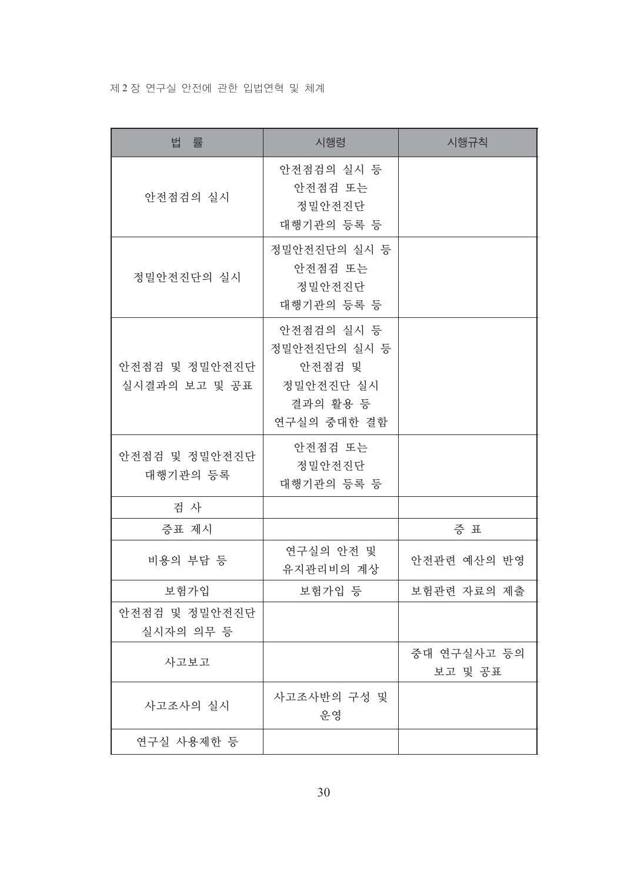#### 제 2 장 연구실 안전에 관한 입법연혁 및 체계

| 법<br>률                         | 시행령                                                                          | 시행규칙                   |
|--------------------------------|------------------------------------------------------------------------------|------------------------|
| 안전점검의 실시                       | 안전점검의 실시 등<br>안전점검 또는<br>정밀안전진단<br>대행기관의 등록 등                                |                        |
| 정밀안전진단의 실시                     | 정밀안전진단의 실시 등<br>안전점검 또는<br>정밀안전진단<br>대행기관의 등록 등                              |                        |
| 안전점검 및 정밀안전진단<br>실시결과의 보고 및 공표 | 안전점검의 실시 등<br>정밀안전진단의 실시 등<br>안전점검 및<br>정밀안전진단 실시<br>결과의 활용 등<br>연구실의 중대한 결함 |                        |
| 안전점검 및 정밀안전진단<br>대행기관의 등록      | 안전점검 또는<br>정밀안전진단<br>대행기관의 등록 등                                              |                        |
| 검 사                            |                                                                              |                        |
| 증표 제시                          |                                                                              | 증 표                    |
| 비용의 부담 등                       | 연구실의 안전 및<br>유지관리비의 계상                                                       | 안전관련 예산의 반영            |
| 보험가입                           | 보험가입 등                                                                       | 보험관련 자료의 제출            |
| 안전점검 및 정밀안전진단<br>실시자의 의무 등     |                                                                              |                        |
| 사고보고                           |                                                                              | 중대 연구실사고 등의<br>보고 및 공표 |
| 사고조사의 실시                       | 사고조사반의 구성 및<br>운영                                                            |                        |
| 연구실 사용제한 등                     |                                                                              |                        |

30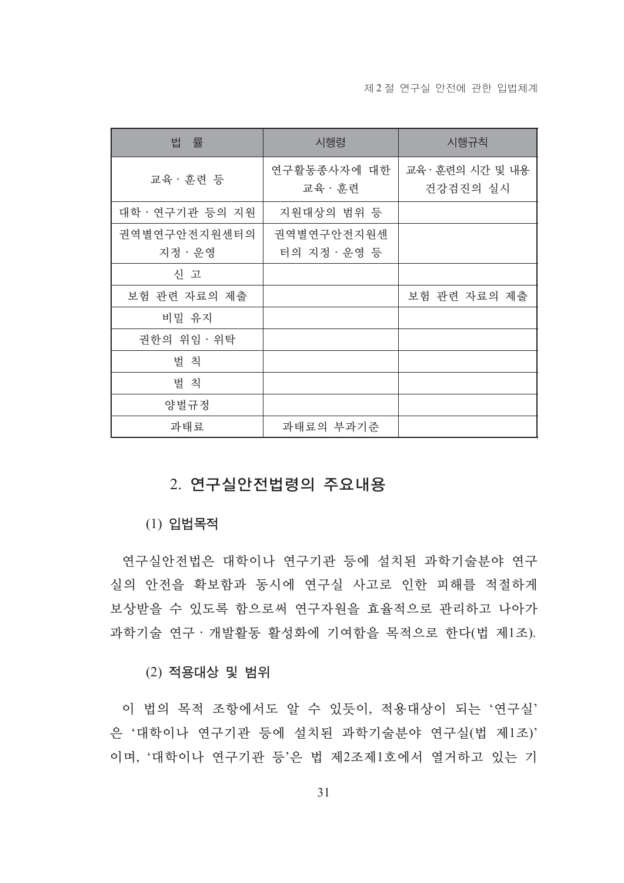제 2 절 연구실 안전에 관한 입법체계

| 법 률                   | 시행령                        | 시행규칙                         |
|-----------------------|----------------------------|------------------------------|
| 교육·훈련 등               | 연구활동종사자에 대한<br>교육·훈련       | 교육 · 훈련의 시간 및 내용<br>건강검진의 실시 |
| 대학 · 연구기관 등의 지원       | 지원대상의 범위 등                 |                              |
| 권역별연구안전지원센터의<br>지정ㆍ운영 | 권역별연구안전지원센<br>터의 지정 · 운영 등 |                              |
| 신 고                   |                            |                              |
| 보험 관련 자료의 제출          |                            | 보험 관련 자료의 제출                 |
| 비밀 유지                 |                            |                              |
| 권한의 위임 · 위탁           |                            |                              |
| 벌 칙                   |                            |                              |
| 벌 칙                   |                            |                              |
| 양벌규정                  |                            |                              |
| 과태료                   | 과태료의 부과기준                  |                              |

# 2. 연구실안전법령의 주요내용

(1) 입법목적

연구실안전법은 대학이나 연구기관 등에 설치된 과학기술분야 연구 실의 안전을 확보함과 동시에 연구실 사고로 인한 피해를 적절하게 보상받을 수 있도록 함으로써 연구자원을 효율적으로 관리하고 나아가 과학기술 연구 · 개발활동 활성화에 기여함을 목적으로 한다(법 제1조).

#### (2) 적용대상 및 범위

이 법의 목적 조항에서도 알 수 있듯이, 적용대상이 되는 '연구실' 은 '대학이나 연구기관 등에 설치된 과학기술분야 연구실(법 제1조)' 이며, '대학이나 연구기관 등'은 법 제2조제1호에서 열거하고 있는 기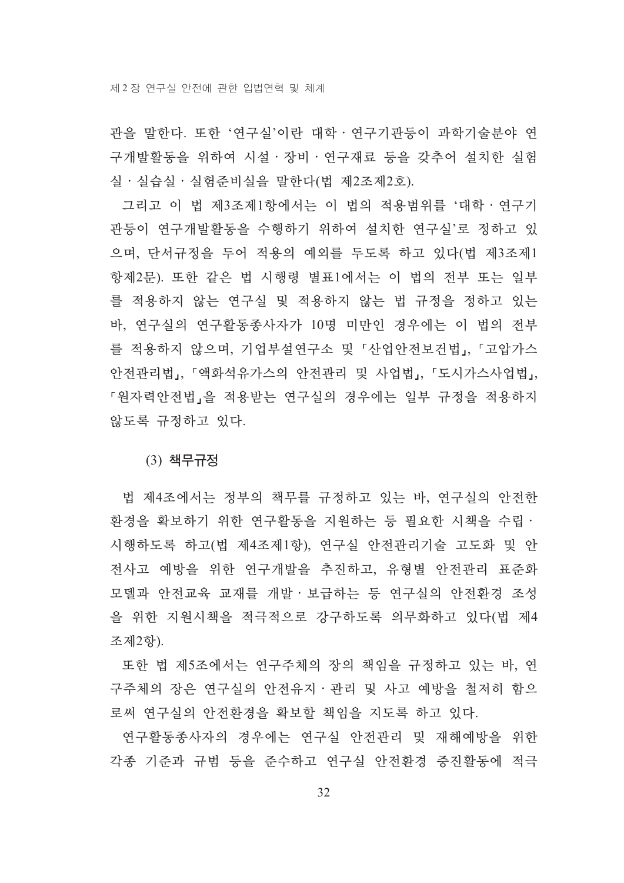과을 말하다. 또하 '여구실'이라 대학 · 여구기과등이 과학기술부야 여 구개발활동을 위하여 시설·장비·연구재료 등을 갖추어 설치한 실험 실 · 실습실 · 실험준비실을 말한다(법 제2조제2호).

그리고 이 법 제3조제1항에서는 이 법의 적용범위를 '대학 · 연구기 관등이 연구개발활동을 수행하기 위하여 설치한 연구실'로 정하고 있 으며, 단서규정을 두어 적용의 예외를 두도록 하고 있다(법 제3조제1 항제2문). 또한 같은 법 시행령 별표1에서는 이 법의 전부 또는 일부 를 적용하지 않는 연구실 및 적용하지 않는 법 규정을 정하고 있는 바, 연구실의 연구활동종사자가 10명 미만인 경우에는 이 법의 전부 를 적용하지 않으며, 기업부설연구소 및「산업안전보건법」,「고압가스 안전관리법」, 「액화석유가스의 안전관리 및 사업법」, 「도시가스사업법」, 「워자력안전법」을 적용받는 연구실의 경우에는 일부 규정을 적용하지 않도록 규정하고 있다.

(3) 책무규정

법 제4조에서는 정부의 책무를 규정하고 있는 바, 연구실의 안전한 환경을 확보하기 위한 연구활동을 지원하는 등 필요한 시책을 수립 · 시행하도록 하고(법 제4조제1항). 여구실 아저과리기술 고도화 및 아 전사고 예방을 위한 연구개발을 추진하고, 유형별 안전관리 표준화 모델과 안전교육 교재를 개발 · 보급하는 등 연구실의 안전환경 조성 을 위한 지워시책을 적극적으로 강구하도록 의무화하고 있다(법 제4 조제2항).

또한 법 제5조에서는 연구주체의 장의 책임을 규정하고 있는 바, 연 구주체의 장은 연구실의 안전유지·관리 및 사고 예방을 철저히 함으 로써 연구실의 안전화경을 확보할 책임을 지도록 하고 있다.

연구활동종사자의 경우에는 연구실 안전관리 및 재해예방을 위한 각종 기준과 규범 등을 준수하고 연구실 안전화경 증진활동에 적극

32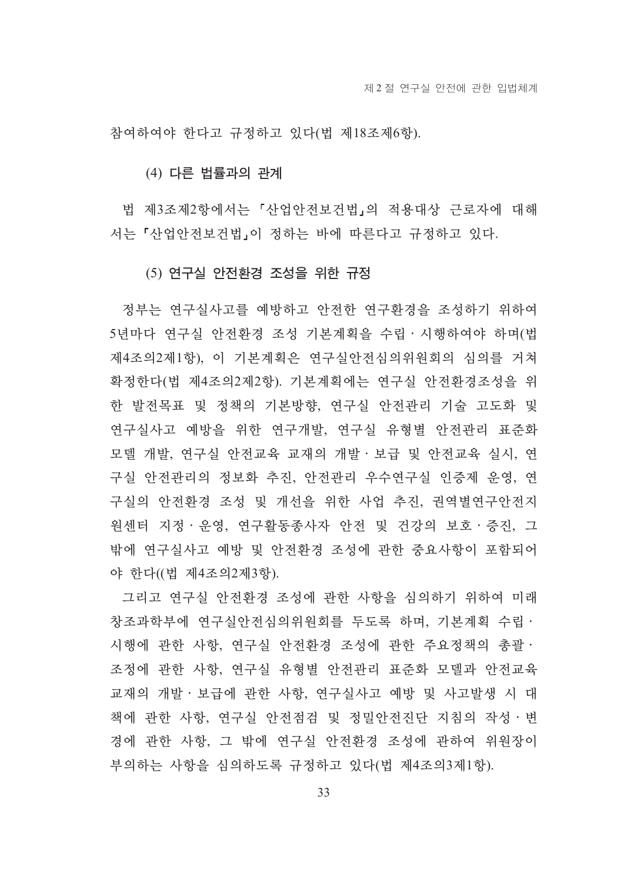참여하여야 한다고 규정하고 있다(법 제18조제6항).

(4) 다른 법률과의 관계

법 제3조제2항에서는 「산업안전보건법」의 적용대상 근로자에 대해 서는 「산업안전보건법」이 정하는 바에 따른다고 규정하고 있다.

#### (5) 여구실 안전환경 조성을 위한 규정

정부는 연구실사고를 예방하고 안전한 연구환경을 조성하기 위하여 5년마다 연구실 안전환경 조성 기본계획을 수립 · 시행하여야 하며(법 제4조의2제1항), 이 기본계획은 연구실안전심의위워회의 심의를 거쳐 확정한다(법 제4조의2제2항). 기본계획에는 연구실 안전환경조성을 위 한 발전목표 및 정책의 기본방향, 연구실 안전관리 기술 고도화 및 연구실사고 예방을 위한 연구개발, 연구실 유형별 안전관리 표준화 모델 개발, 연구실 안전교육 교재의 개발 · 보급 및 안전교육 실시, 연 구실 안전관리의 정보화 추진, 안전관리 우수연구실 인증제 운영, 연 구실의 안전환경 조성 및 개선을 위한 사업 추진, 권역별연구안전지 원센터 지정 · 운영, 연구활동종사자 안전 및 건강의 보호 · 증진, 그 밖에 연구실사고 예방 및 안전환경 조성에 관한 중요사항이 포함되어 야 한다((법 제4조의2제3항).

그리고 연구실 안전환경 조성에 관한 사항을 심의하기 위하여 미래 창조과학부에 연구실안전심의위원회를 두도록 하며, 기본계획 수립ㆍ 시행에 관한 사항, 연구실 안전화경 조성에 관한 주요정책의 총괄ㆍ 조정에 관한 사항, 연구실 유형별 안전관리 표준화 모델과 안전교육 교재의 개발 · 보급에 관한 사항, 연구실사고 예방 및 사고발생 시 대 책에 과하 사항, 여구실 아저점검 및 정밀아저지다 지침의 작성ㆍ변 경에 관한 사항, 그 밖에 연구실 안전화경 조성에 관하여 위워장이 부의하는 사항을 심의하도록 규정하고 있다(법 제4조의3제1항).

33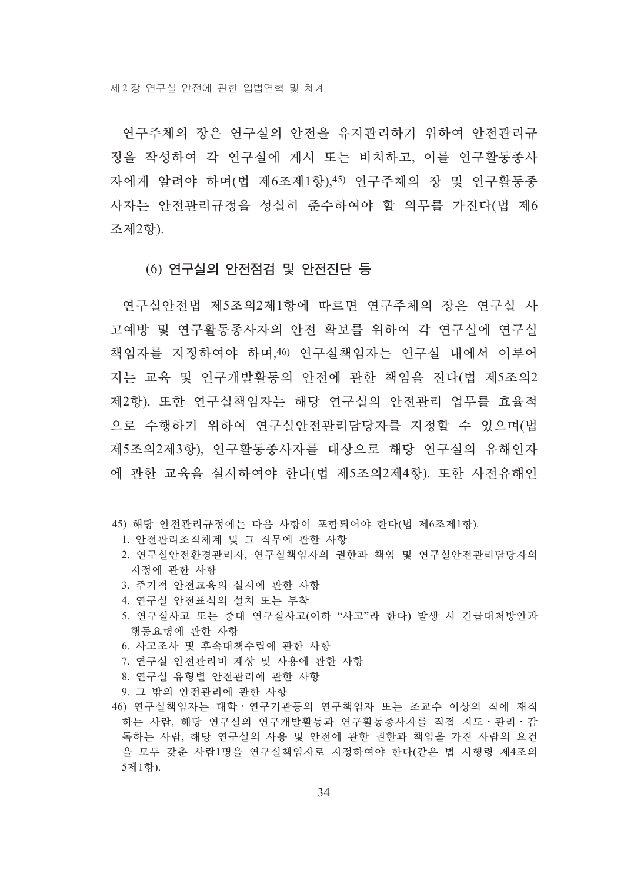연구주체의 장은 연구실의 안전을 유지과리하기 위하여 안전과리규 정을 작성하여 각 연구실에 게시 또는 비치하고, 이를 연구활동종사 자에게 알려야 하며(법 제6조제1항).45) 여구주체의 장 및 여구활동종 사자는 안전관리규정을 성실히 준수하여야 할 의무를 가진다(법 제6 조제2항).

#### (6) 연구실의 안전점검 및 안전진단 등

여구실아저법 제5조의2제1항에 따르며 여구주체의 장은 여구실 사 고예방 및 연구활동종사자의 안전 확보를 위하여 각 연구실에 연구실 책임자를 지정하여야 하며,46) 여구실책임자는 여구실 내에서 이루어 지는 교육 및 연구개발활동의 안전에 관한 책임을 진다(법 제5조의2 제2항). 또한 연구실책임자는 해당 연구실의 안전관리 업무를 효율적 으로 수행하기 위하여 연구실안전관리담당자를 지정할 수 있으며(법 제5조의2제3항), 연구활동종사자를 대상으로 해당 연구실의 유해인자 에 관한 교육을 실시하여야 한다(법 제5조의2제4항). 또한 사전유해인

- 3. 주기적 아저교육의 실시에 과한 사항
- 4. 연구실 안전표식의 설치 또는 부착
- 5. 연구실사고 또는 중대 연구실사고(이하 "사고"라 한다) 발생 시 긴급대처방안과 행동요령에 관한 사항
- 6. 사고조사 및 후속대책수립에 관한 사항
- 7. 연구실 안전관리비 계상 및 사용에 관한 사항
- 8. 여구실 유형별 아저과리에 과하 사항
- 9. 그 밖의 안전관리에 관한 사항
- 46) 연구실책임자는 대학 · 연구기관등의 연구책임자 또는 조교수 이상의 직에 재직 하는 사람, 해당 연구실의 연구개발활동과 연구활동종사자를 직접 지도 · 관리 · 감 독하는 사람, 해당 연구실의 사용 및 안전에 관한 권한과 책임을 가진 사람의 요건 을 모두 갖춘 사람1명을 연구실책임자로 지정하여야 한다(같은 법 시행령 제4조의 5제1항).

<sup>45)</sup> 해당 안전관리규정에는 다음 사항이 포함되어야 한다(법 제6조제1항).

<sup>1.</sup> 안전관리조직체계 및 그 직무에 관한 사항

<sup>2.</sup> 연구실안전환경관리자, 연구실책임자의 권한과 책임 및 연구실안전관리담당자의 지정에 과한 사항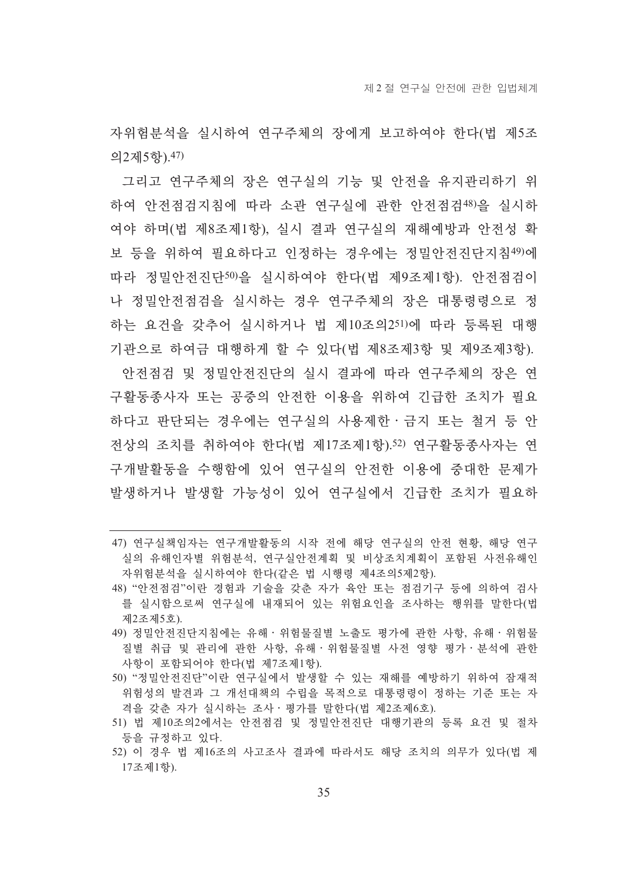자위험부석을 실시하여 여구주체의 장에게 보고하여야 하다(법 제5조 의2제5항).47)

그리고 연구주체의 장은 연구실의 기능 및 안전을 유지관리하기 위 하여 안전점검지침에 따라 소관 연구실에 관한 안전점검48)을 실시하 여야 하며(법 제8조제1항), 실시 결과 연구실의 재해예방과 안전성 확 보 등을 위하여 필요하다고 인정하는 경우에는 정밀안전진단지침49)에 따라 정밀안전진단50)을 실시하여야 한다(법 제9조제1항). 안전점검이 나 정밀안전점검을 실시하는 경우 연구주체의 장은 대통령령으로 정 하는 요건을 갖추어 실시하거나 법 제10조의251)에 따라 등록된 대행 기관으로 하여금 대행하게 할 수 있다(법 제8조제3항 및 제9조제3항). 안전점검 및 정밀안전진단의 실시 결과에 따라 연구주체의 장은 연 구활동종사자 또는 공중의 안전한 이용을 위하여 긴급한 조치가 필요 하다고 판다되는 경우에는 연구실의 사용제하ㆍ금지 또는 철거 등 안 전상의 조치를 취하여야 한다(법 제17조제1항).52) 연구활동종사자는 연 구개발활동을 수행함에 있어 연구실의 안전한 이용에 중대한 문제가 발생하거나 발생할 가능성이 있어 연구실에서 긴급한 조치가 필요하

47) 연구실책임자는 연구개발활동의 시작 전에 해당 연구실의 안전 현황, 해당 연구 실의 유해인자별 위험분석, 여구실안전계획 및 비상조치계획이 포함된 사전유해인 자위험부석을 실시하여야 하다(같은 법 시행령 제4조의5제2항).

- 49) 정밀안전진단지침에는 유해·위험물질별 노출도 평가에 관한 사항, 유해·위험물 질별 취급 및 관리에 관한 사항, 유해 · 위험물질별 사전 영향 평가 · 분석에 관한 사항이 포함되어야 한다(법 제7조제1항).
- 50) "정밀안전진단"이란 연구실에서 발생할 수 있는 재해를 예방하기 위하여 잠재적 위험성의 발견과 그 개선대책의 수립을 목적으로 대통령령이 정하는 기준 또는 자 격을 갖춘 자가 실시하는 조사 · 평가를 말하다(법 제2조제6호).
- 51) 법 제10조의2에서는 안전점검 및 정밀안전진단 대행기관의 등록 요건 및 절차 등을 규정하고 있다.

<sup>48)&</sup>quot;안전점검"이란 경험과 기술을 갖춘 자가 육안 또는 점검기구 등에 의하여 검사 를 실시함으로써 연구실에 내재되어 있는 위험요이을 조사하는 행위를 말한다(법 제2조제5호)

<sup>52)</sup> 이 경우 법 제16조의 사고조사 결과에 따라서도 해당 조치의 의무가 있다(법 제 17조제1항).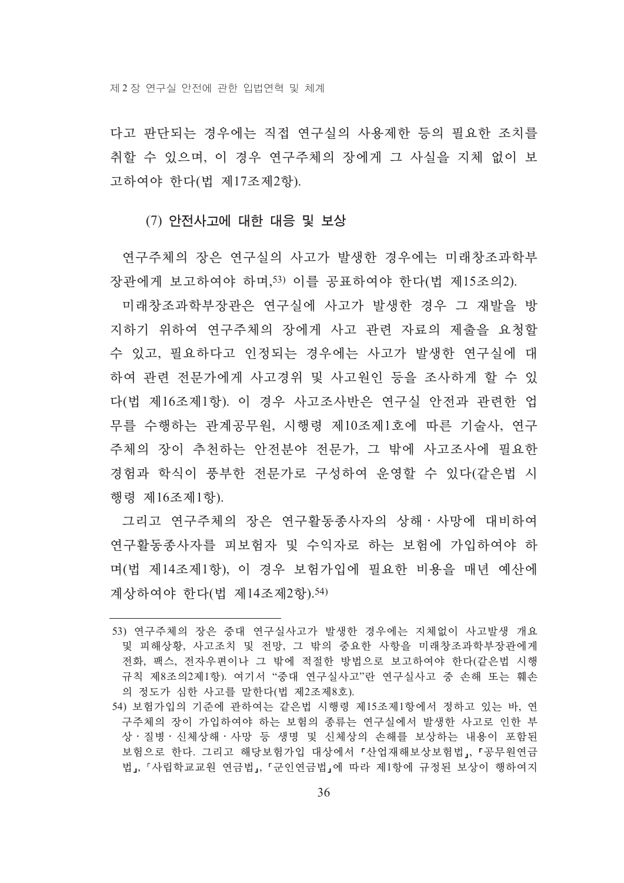다고 파다되는 경우에는 직접 여구실의 사용제한 등의 필요한 조치를 취할 수 있으며, 이 경우 연구주체의 장에게 그 사실을 지체 없이 보 고하여야 하다(법 제17조제2항).

#### (7) 안전사고에 대한 대응 및 보상

연구주체의 장은 연구실의 사고가 발생한 경우에는 미래창조과학부 장관에게 보고하여야 하며, 53) 이를 공표하여야 한다(법 제15조의2).

미래창조과학부장관은 연구실에 사고가 발생한 경우 그 재발을 방 지하기 위하여 연구주체의 장에게 사고 과련 자료의 제출을 요청할 수 있고, 필요하다고 인정되는 경우에는 사고가 발생한 연구실에 대 하여 관련 전문가에게 사고경위 및 사고워인 등을 조사하게 할 수 있 다(법 제16조제1항). 이 경우 사고조사반은 연구실 안전과 관련한 업 무를 수행하는 관계공무원, 시행령 제10조제1호에 따른 기술사, 연구 주체의 장이 추천하는 안전분야 전문가, 그 밖에 사고조사에 필요한 경험과 학식이 풍부한 전문가로 구성하여 운영할 수 있다(같은법 시 행령 제16조제1항).

그리고 연구주체의 장은 연구활동종사자의 상해 사망에 대비하여 연구활동종사자를 피보험자 및 수익자로 하는 보험에 가입하여야 하 며(법 제14조제1항), 이 경우 보험가입에 필요한 비용을 매년 예사에 계상하여야 하다(법 제14조제2항). 54)

<sup>53)</sup> 연구주체의 장은 중대 연구실사고가 발생한 경우에는 지체없이 사고발생 개요 및 피해상황, 사고조치 및 전망, 그 밖의 중요한 사항을 미래창조과학부장관에게 전화, 팩스, 전자우편이나 그 밖에 적절한 방법으로 보고하여야 한다(같은법 시행 규칙 제8조의2제1항). 여기서 "중대 여구실사고"라 여구실사고 중 손해 또는 훼손 의 정도가 심한 사고를 말한다(법 제2조제8호).

<sup>54)</sup> 보험가입의 기준에 관하여는 같은법 시행령 제15조제1항에서 정하고 있는 바, 연 구주체의 장이 가입하여야 하는 보험의 종류는 연구실에서 발생한 사고로 인한 부 상 · 질병 · 신체상해 · 사망 등 생명 및 신체상의 손해를 보상하는 내용이 포함된 보험으로 한다. 그리고 해당보험가입 대상에서 「사업재해보상보험법」、「공무워연금 법」, 「사립학교교원 연금법」, 「군인연금법」에 따라 제1항에 규정된 보상이 행하여지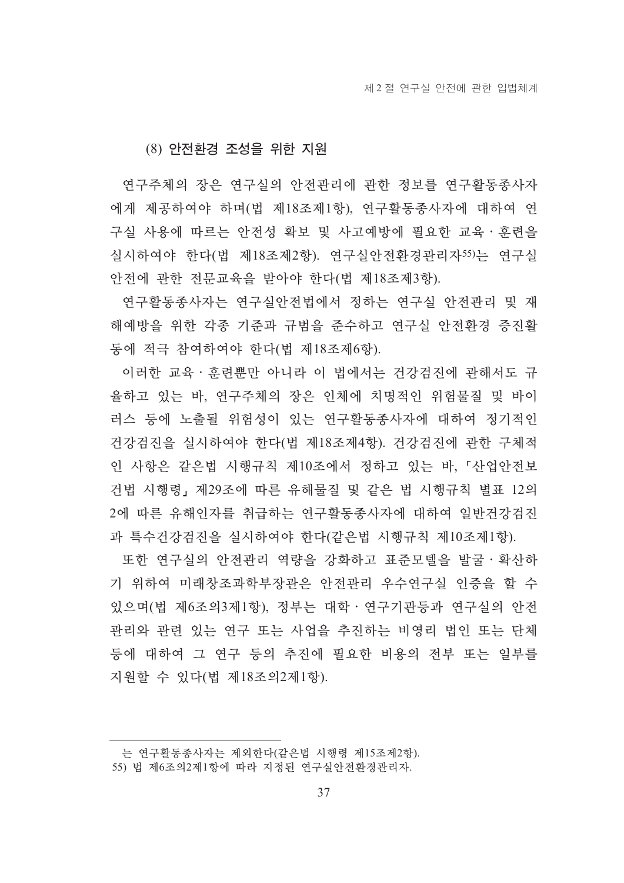#### (8) 안전환경 조성을 위한 지원

연구주체의 장은 연구실의 안전관리에 관한 정보를 연구활동종사자 에게 제공하여야 하며(법 제18조제1항), 연구활동종사자에 대하여 연 구실 사용에 따르는 안전성 확보 및 사고예방에 필요한 교육ㆍ훈련을 실시하여야 한다(법 제18조제2항). 연구실안전환경관리자55)는 연구실 안전에 관한 전문교육을 받아야 한다(법 제18조제3항).

연구활동종사자는 연구실안전법에서 정하는 연구실 안전관리 및 재 해예방을 위한 각종 기준과 규범을 준수하고 연구실 안전환경 증진활 동에 적극 참여하여야 한다(법 제18조제6항).

이러한 교육 · 후련뿐만 아니라 이 법에서는 건강검진에 관해서도 규 율하고 있는 바, 여구주체의 장은 인체에 치명적인 위험물질 및 바이 러스 등에 노출될 위험성이 있는 여구활동종사자에 대하여 정기적인 건강검진을 실시하여야 한다(법 제18조제4항). 건강검진에 관한 구체적 인 사항은 같은법 시행규칙 제10조에서 정하고 있는 바, 「산업안전보 건법 시행령, 제29조에 따른 유해물질 및 같은 법 시행규칙 별표 12의 2에 따른 유해인자를 취급하는 연구활동종사자에 대하여 일반건강검진 과 특수건강검진을 실시하여야 한다(같은법 시행규칙 제10조제1항).

또한 연구실의 안전관리 역량을 강화하고 표준모델을 발굴·확산하 기 위하여 미래창조과학부장관은 안전관리 우수연구실 인증을 할 수 있으며(법 제6조의3제1항), 정부는 대학 · 연구기관등과 연구실의 안전 관리와 관련 있는 연구 또는 사업을 추진하는 비영리 법인 또는 단체 등에 대하여 그 연구 등의 추진에 필요한 비용의 전부 또는 일부를 지원할 수 있다(법 제18조의2제1항).

는 여구활동종사자는 제외한다(같은법 시행령 제15조제2항).

<sup>55)</sup> 법 제6조의2제1항에 따라 지정된 연구실안전환경관리자.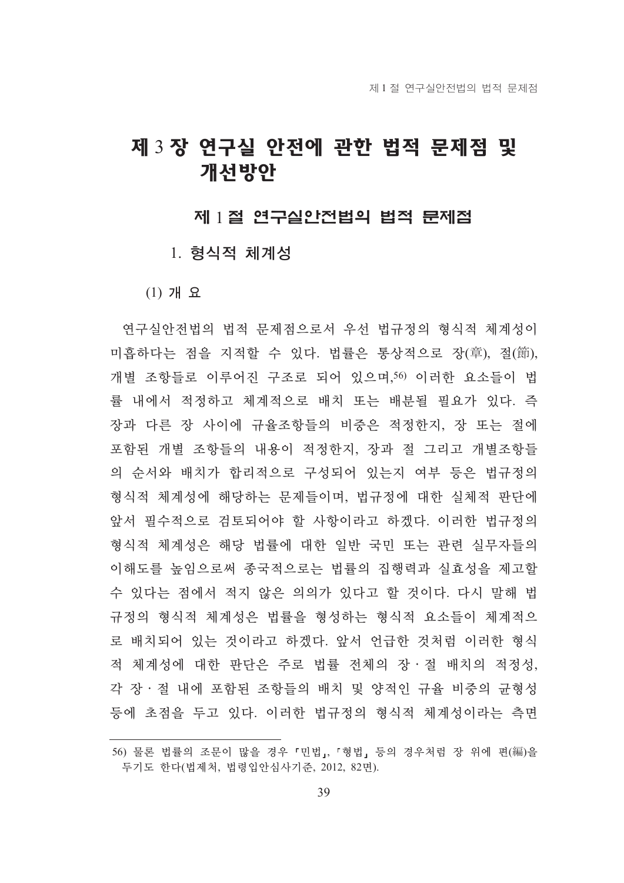## 제 1절 연구실안전법의 법적 문제점

#### 1. 형식적 체계성

 $(1)$  개 요

연구실안전법의 법적 문제점으로서 우선 법규정의 형식적 체계성이 미흡하다는 점을 지적할 수 있다. 법률은 통상적으로 장(章), 절(節), 개별 조항들로 이루어진 구조로 되어 있으며,50 이러한 요소들이 법 률 내에서 적정하고 체계적으로 배치 또는 배분될 필요가 있다. 즉 장과 다른 장 사이에 규율조항들의 비중은 적정한지, 장 또는 절에 포함된 개별 조항들의 내용이 적정한지, 장과 절 그리고 개별조항들 의 순서와 배치가 합리적으로 구성되어 있는지 여부 등은 법규정의 형식적 체계성에 해당하는 문제들이며, 법규정에 대한 실체적 판단에 앞서 필수적으로 검토되어야 할 사항이라고 하겠다. 이러한 법규정의 형식적 체계성은 해당 법률에 대한 일반 국민 또는 관련 실무자들의 이해도를 높임으로써 종국적으로는 법률의 집행력과 실효성을 제고할 수 있다는 점에서 적지 않은 의의가 있다고 할 것이다. 다시 말해 법 규정의 형식적 체계성은 법률을 형성하는 형식적 요소들이 체계적으 로 배치되어 있는 것이라고 하겠다. 앞서 언급한 것처럼 이러한 형식 적 체계성에 대한 판단은 주로 법률 전체의 장ㆍ절 배치의 적정성, 각 장·절 내에 포함된 조항들의 배치 및 양적인 규율 비중의 균형성 등에 초점을 두고 있다. 이러한 법규정의 형식적 체계성이라는 측면

<sup>56)</sup> 물론 법률의 조문이 많을 경우 「민법」, 「형법」 등의 경우처럼 장 위에 편(編)을 두기도 한다(법제처, 법령입안심사기준, 2012, 82면).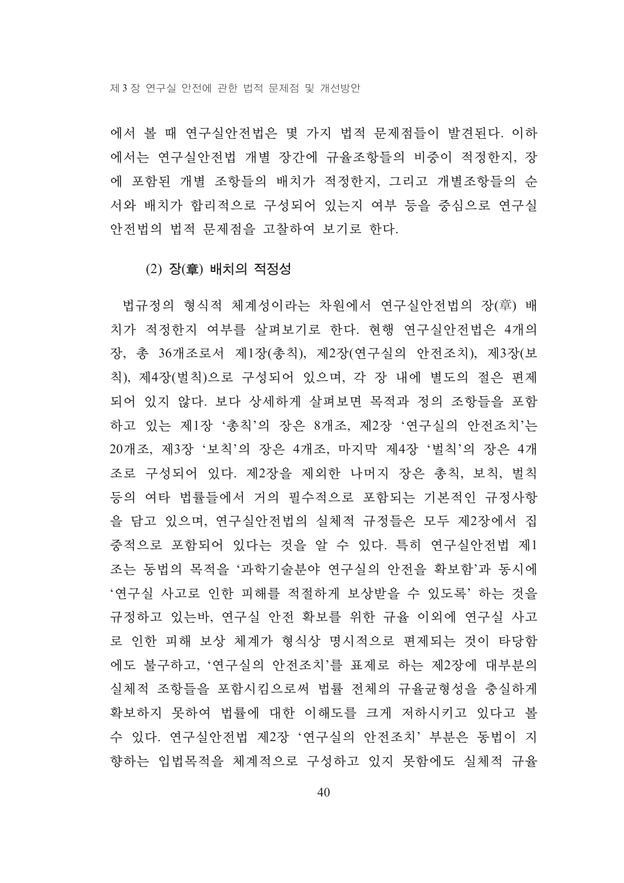에서 볼 때 연구실안전법은 몇 가지 법적 문제점들이 발견된다. 이하 에서는 연구실안전법 개별 장간에 규율조항들의 비중이 적정한지, 장 에 포함된 개별 조항들의 배치가 적정한지, 그리고 개별조항들의 순 서와 배치가 합리적으로 구성되어 있는지 여부 등을 중심으로 연구실 안전법의 법적 문제점을 고찰하여 보기로 한다.

#### (2) 장(章) 배치의 적정성

법규정의 형식적 체계성이라는 차원에서 연구실안전법의 장(章) 배 치가 적정한지 여부를 살펴보기로 한다. 현행 연구실안전법은 4개의 장, 총 36개조로서 제1장(총칙), 제2장(연구실의 안전조치), 제3장(보 칙), 제4장(벌칙)으로 구성되어 있으며, 각 장 내에 별도의 절은 편제 되어 있지 않다. 보다 상세하게 살펴보면 목적과 정의 조항들을 포함 하고 있는 제1장 '총칙'의 장은 8개조, 제2장 '연구실의 안전조치'는 20개조, 제3장 '보칙'의 장은 4개조, 마지막 제4장 '벌칙'의 장은 4개 조로 구성되어 있다. 제2장을 제외한 나머지 장은 총칙, 보칙, 벌칙 등의 여타 법률들에서 거의 필수적으로 포함되는 기본적인 규정사항 을 담고 있으며, 연구실안전법의 실체적 규정들은 모두 제2장에서 집 중적으로 포함되어 있다는 것을 알 수 있다. 특히 연구실안전법 제1 조는 동법의 목적을 '과학기술분야 연구실의 안전을 확보함'과 동시에 '연구실 사고로 인한 피해를 적절하게 보상받을 수 있도록' 하는 것을 규정하고 있는바, 연구실 안전 확보를 위한 규율 이외에 연구실 사고 로 인한 피해 보상 체계가 형식상 명시적으로 편제되는 것이 타당함 에도 불구하고, '연구실의 안전조치'를 표제로 하는 제2장에 대부분의 실체적 조항들을 포함시킴으로써 법률 전체의 규율균형성을 충실하게 확보하지 못하여 법률에 대한 이해도를 크게 저하시키고 있다고 볼 수 있다. 연구실안전법 제2장 '연구실의 안전조치'부분은 동법이 지 향하는 입법목적을 체계적으로 구성하고 있지 못함에도 실체적 규율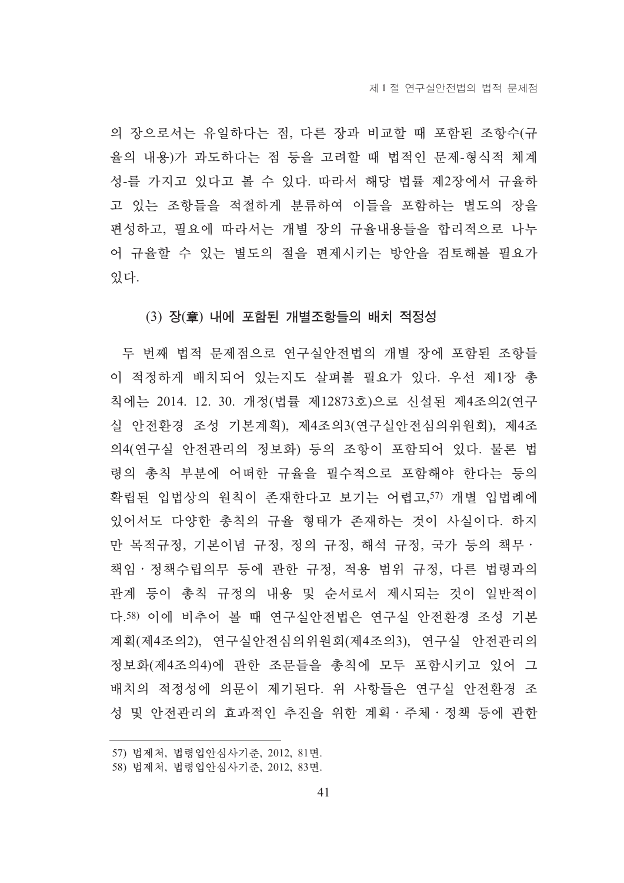의 장으로서는 유일하다는 점, 다른 장과 비교할 때 포함된 조항수(규 율의 내용)가 과도하다는 점 등을 고려할 때 법적인 문제-형식적 체계 성-를 가지고 있다고 볼 수 있다. 따라서 해당 법률 제2장에서 규율하 고 있는 조항들을 적절하게 분류하여 이들을 포함하는 별도의 장을 편성하고, 필요에 따라서는 개별 장의 규율내용들을 합리적으로 나누 어 규율할 수 있는 별도의 절을 편제시키는 방안을 검토해볼 필요가 있다.

#### (3) 장(章) 내에 포함된 개별조항들의 배치 적정성

두 번째 법적 문제점으로 연구실안전법의 개별 장에 포함된 조항들 이 적정하게 배치되어 있는지도 살펴볼 필요가 있다. 우선 제1장 총 칙에는 2014. 12. 30. 개정(법률 제12873호)으로 신설된 제4조의2(연구 실 안전화경 조성 기본계획), 제4조의3(연구실안전심의위원회), 제4조 의4(연구실 안전관리의 정보화) 등의 조항이 포함되어 있다. 물론 법 령의 총칙 부분에 어떠한 규율을 필수적으로 포함해야 한다는 등의 확립된 입법상의 원칙이 존재한다고 보기는 어렵고,57) 개별 입법례에 있어서도 다양한 총칙의 규율 형태가 존재하는 것이 사실이다. 하지 만 목적규정, 기본이념 규정, 정의 규정, 해석 규정, 국가 등의 책무 · 책임 · 정책수립의무 등에 관한 규정, 적용 범위 규정, 다른 법령과의 관계 등이 총칙 규정의 내용 및 순서로서 제시되는 것이 일반적이 다.58) 이에 비추어 볼 때 연구실안전법은 연구실 안전화경 조성 기본 계획(제4조의2), 연구실안전심의위원회(제4조의3), 연구실 안전관리의 정보화(제4조의4)에 관한 조문들을 총칙에 모두 포함시키고 있어 그 배치의 적정성에 의문이 제기된다. 위 사항들은 연구실 안전환경 조 성 및 안전관리의 효과적인 추진을 위한 계획·주체·정책 등에 관한

<sup>57)</sup> 법제처, 법령입안심사기준, 2012, 81면,

<sup>58)</sup> 법제처, 법령입안심사기준, 2012, 83면.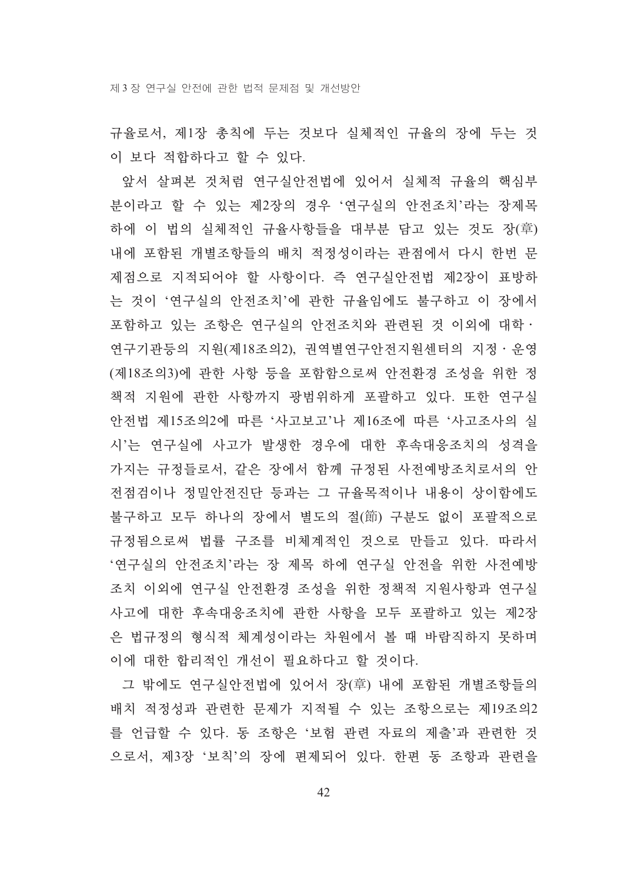규율로서, 제1장 총칙에 두는 것보다 실체적인 규율의 장에 두는 것 이 보다 적합하다고 할 수 있다.

앞서 살펴본 것처럼 연구실안전법에 있어서 실체적 규율의 핵심부 분이라고 할 수 있는 제2장의 경우 '연구실의 안전조치'라는 장제목 하에 이 법의 실체적인 규율사항들을 대부분 담고 있는 것도 장(章) 내에 포함된 개별조항들의 배치 적정성이라는 관점에서 다시 한번 문 제점으로 지적되어야 할 사항이다. 즉 연구실안전법 제2장이 표방하 는 것이 '연구실의 안전조치'에 관한 규율임에도 불구하고 이 장에서 포함하고 있는 조항은 연구실의 안전조치와 관련된 것 이외에 대학 · 연구기관등의 지원(제18조의2), 권역별연구안전지원센터의 지정·운영 (제18조의3)에 관한 사항 등을 포함함으로써 안전환경 조성을 위한 정 책적 지원에 관한 사항까지 광범위하게 포괄하고 있다. 또한 연구실 안전법 제15조의2에 따른 '사고보고'나 제16조에 따른 '사고조사의 실 시'는 연구실에 사고가 발생한 경우에 대한 후속대응조치의 성격을 가지는 규정들로서, 같은 장에서 함께 규정된 사전예방조치로서의 안 전점검이나 정밀안전진단 등과는 그 규율목적이나 내용이 상이함에도 불구하고 모두 하나의 장에서 별도의 절(節) 구분도 없이 포괄적으로 규정됨으로써 법률 구조를 비체계적인 것으로 만들고 있다. 따라서 '연구실의 안전조치'라는 장 제목 하에 연구실 안전을 위한 사전예방 조치 이외에 연구실 안전환경 조성을 위한 정책적 지원사항과 연구실 사고에 대한 후속대응조치에 관한 사항을 모두 포괄하고 있는 제2장 은 법규정의 형식적 체계성이라는 차워에서 볼 때 바람직하지 못하며 이에 대한 합리적인 개선이 필요하다고 할 것이다.

그 밖에도 연구실안전법에 있어서 장(章) 내에 포함된 개별조항들의 배치 적정성과 관련한 문제가 지적될 수 있는 조항으로는 제19조의2 를 언급할 수 있다. 동 조항은 '보험 관련 자료의 제출'과 관련한 것 으로서, 제3장 '보칙'의 장에 편제되어 있다. 한편 동 조항과 관련을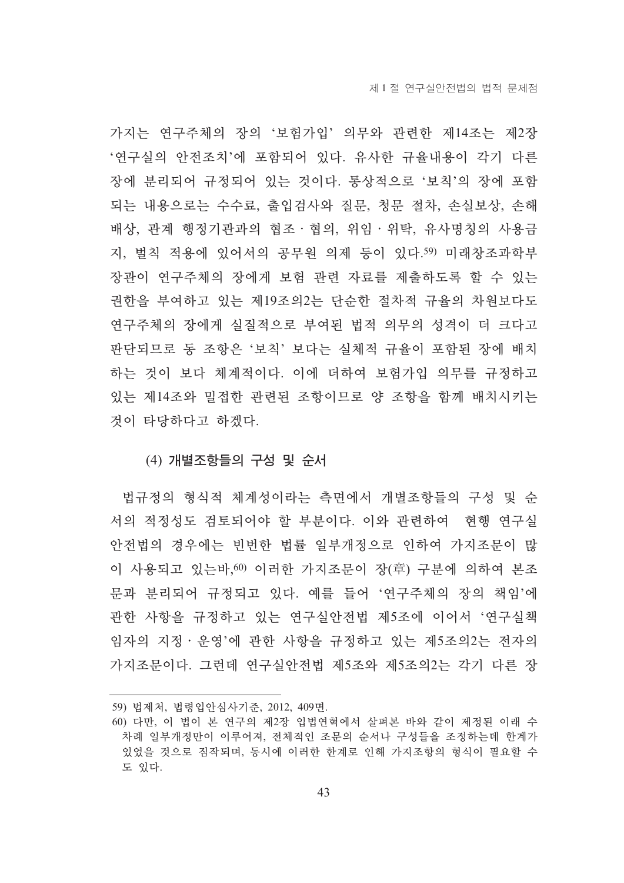가지는 연구주체의 장의 '보험가입' 의무와 관련한 제14조는 제2장 '연구실의 안전조치'에 포함되어 있다. 유사한 규율내용이 각기 다른 장에 분리되어 규정되어 있는 것이다. 통상적으로 '보칙'의 장에 포함 되는 내용으로는 수수료, 출입검사와 질문, 청문 절차, 손실보상, 손해 배상, 관계 행정기관과의 협조 · 협의, 위임 · 위탁, 유사명칭의 사용금 지, 벌칙 적용에 있어서의 공무원 의제 등이 있다.59) 미래창조과학부 장관이 연구주체의 장에게 보험 관련 자료를 제출하도록 할 수 있는 권한을 부여하고 있는 제19조의2는 단순한 절차적 규율의 차원보다도 연구주체의 장에게 실질적으로 부여된 법적 의무의 성격이 더 크다고 판단되므로 동 조항은 '보칙' 보다는 실체적 규율이 포함된 장에 배치 하는 것이 보다 체계적이다. 이에 더하여 보험가입 의무를 규정하고 있는 제14조와 밀접한 관련되 조항이므로 양 조항을 함께 배치시키는 것이 타당하다고 하겠다.

#### (4) 개별조항들의 구성 및 순서

법규정의 형식적 체계성이라는 측면에서 개별조항들의 구성 및 순 서의 적정성도 검토되어야 할 부분이다. 이와 관련하여 현행 연구실 안전법의 경우에는 비번한 법률 일부개정으로 인하여 가지조무이 많 이 사용되고 있는바, 60 이러한 가지조문이 장(章) 구분에 의하여 본조 문과 부리되어 규정되고 있다. 예를 들어 '여구주체의 장의 책임'에 관한 사항을 규정하고 있는 연구실안전법 제5조에 이어서 '연구실책 임자의 지정 · 운영'에 관한 사항을 규정하고 있는 제5조의2는 전자의 가지조문이다. 그런데 연구실안전법 제5조와 제5조의2는 각기 다른 장

<sup>59)</sup> 법제처, 법령입안심사기준, 2012, 409면.

<sup>60)</sup> 다만, 이 법이 본 연구의 제2장 입법연혁에서 살펴본 바와 같이 제정된 이래 수 차례 일부개정만이 이루어져, 전체적인 조문의 순서나 구성들을 조정하는데 한계가 있었을 것으로 짐작되며, 동시에 이러한 한계로 인해 가지조항의 형식이 필요할 수 도 있다.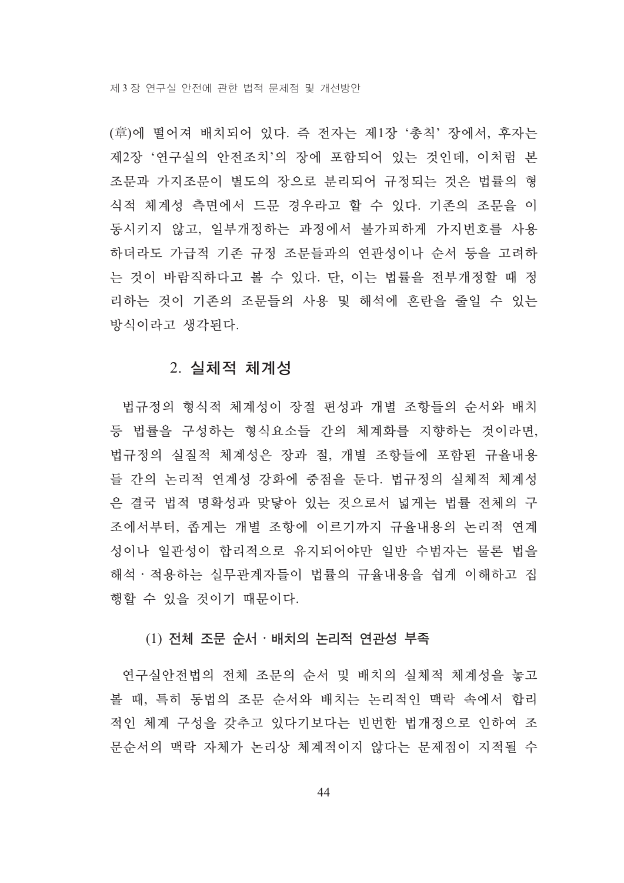(章)에 떨어져 배치되어 있다. 즉 전자는 제1장 '총칙' 장에서, 후자는 제2장 '연구실의 안전조치'의 장에 포함되어 있는 것인데, 이처럼 본 조문과 가지조문이 별도의 장으로 분리되어 규정되는 것은 법률의 형 식적 체계성 측면에서 드문 경우라고 할 수 있다. 기존의 조문을 이 동시키지 않고, 일부개정하는 과정에서 불가피하게 가지번호를 사용 하더라도 가급적 기존 규정 조문들과의 연관성이나 순서 등을 고려하 는 것이 바람직하다고 볼 수 있다. 단, 이는 법률을 전부개정할 때 정 리하는 것이 기존의 조문들의 사용 및 해석에 혼란을 줄일 수 있는 방식이라고 생각된다.

## 2. 실체적 체계성

법규정의 형식적 체계성이 장절 편성과 개별 조항들의 순서와 배치 등 법률을 구성하는 형식요소들 간의 체계화를 지향하는 것이라면, 법규정의 실질적 체계성은 장과 절, 개별 조항들에 포함된 규율내용 들 간의 논리적 연계성 강화에 중점을 둔다. 법규정의 실체적 체계성 은 결국 법적 명확성과 맞닿아 있는 것으로서 넓게는 법률 전체의 구 조에서부터, 좁게는 개별 조항에 이르기까지 규율내용의 논리적 연계 성이나 일관성이 합리적으로 유지되어야만 일반 수범자는 물론 법을 해석·적용하는 실무관계자들이 법률의 규율내용을 쉽게 이해하고 집 행할 수 있을 것이기 때문이다.

#### (1) 전체 조문 순서 · 배치의 논리적 연관성 부족

연구실안전법의 전체 조문의 순서 및 배치의 실체적 체계성을 놓고 볼 때, 특히 동법의 조문 순서와 배치는 논리적인 맥락 속에서 합리 적인 체계 구성을 갖추고 있다기보다는 빈번한 법개정으로 인하여 조 문순서의 맥락 자체가 논리상 체계적이지 않다는 문제점이 지적될 수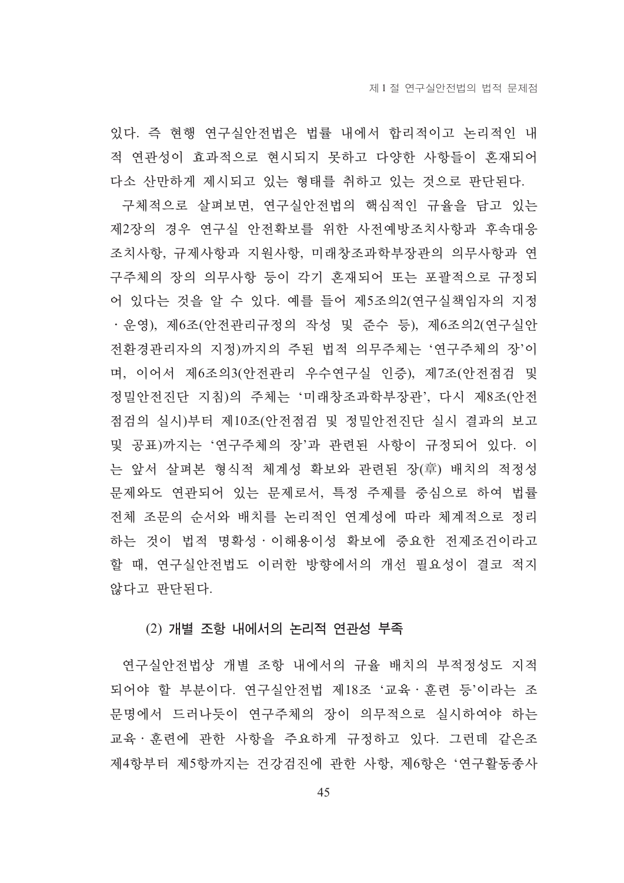있다. 즉 현행 연구실안전법은 법률 내에서 합리적이고 논리적인 내 적 연관성이 효과적으로 현시되지 못하고 다양한 사항들이 혼재되어 다소 산만하게 제시되고 있는 형태를 취하고 있는 것으로 판단된다.

구체적으로 살펴보면, 연구실안전법의 핵심적인 규율을 담고 있는 제2장의 경우 연구실 안전확보를 위한 사전예방조치사항과 후속대응 조치사항, 규제사항과 지원사항, 미래창조과학부장관의 의무사항과 연 구주체의 장의 의무사항 등이 각기 혼재되어 또는 포괄적으로 규정되 어 있다는 것을 알 수 있다. 예를 들어 제5조의2(연구실책임자의 지정 ·운영), 제6조(안전관리규정의 작성 및 준수 등), 제6조의2(연구실안 전환경관리자의 지정)까지의 주된 법적 의무주체는 '연구주체의 장'이 며, 이어서 제6조의3(안전관리 우수연구실 인증), 제7조(안전점검 및 정밀안전진단 지침)의 주체는'미래창조과학부장관' 다시 제8조(안전 점검의 실시)부터 제10조(안전점검 및 정밀안전진단 실시 결과의 보고 및 공표)까지는 '연구주체의 장'과 관련된 사항이 규정되어 있다. 이 는 앞서 살펴본 형식적 체계성 확보와 관련된 장(章) 배치의 적정성 문제와도 연관되어 있는 문제로서, 특정 주제를 중심으로 하여 법률 전체 조문의 순서와 배치를 논리적인 연계성에 따라 체계적으로 정리 하는 것이 법적 명확성 이해용이성 확보에 중요한 전제조건이라고 할 때, 연구실안전법도 이러한 방향에서의 개선 필요성이 결코 적지 않다고 판단된다.

## (2) 개별 조항 내에서의 논리적 연관성 부족

연구실안전법상 개별 조항 내에서의 규율 배치의 부적정성도 지적 되어야 할 부분이다. 연구실안전법 제18조 '교육·훈련 등'이라는 조 문명에서 드러나듯이 연구주체의 장이 의무적으로 실시하여야 하는 교육 · 훈련에 관한 사항을 주요하게 규정하고 있다. 그런데 같은조 제4항부터 제5항까지는 거강검지에 과한 사항, 제6항은 '여구활동종사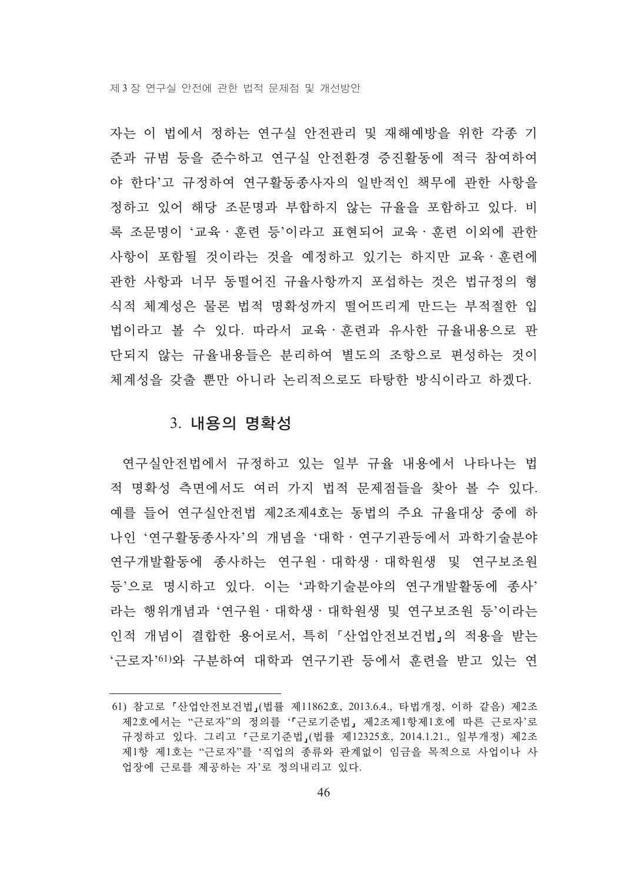자는 이 법에서 정하는 연구실 안전관리 및 재해예방을 위한 각종 기 준과 규범 등을 준수하고 연구실 안전화경 증진활동에 적극 참여하여 야 한다'고 규정하여 연구활동종사자의 일반적인 책무에 관한 사항을 정하고 있어 해당 조문명과 부합하지 않는 규율을 포함하고 있다. 비 록 조문명이 '교육·훈련 등'이라고 표현되어 교육·훈련 이외에 관한 사항이 포함될 것이라는 것을 예정하고 있기는 하지만 교육·훈련에 관한 사항과 너무 동떨어진 규율사항까지 포섭하는 것은 법규정의 형 식적 체계성은 물론 법적 명확성까지 떨어뜨리게 만드는 부적절한 입 법이라고 볼 수 있다. 따라서 교육 · 훈련과 유사한 규율내용으로 판 단되지 않는 규율내용들은 분리하여 별도의 조항으로 편성하는 것이 체계성을 갖출 뿐만 아니라 논리적으로도 타탕한 방식이라고 하겠다.

## 3. 내용의 명확성

연구실안전법에서 규정하고 있는 일부 규율 내용에서 나타나는 법 적 명확성 측면에서도 여러 가지 법적 뮤제점들을 찾아 볼 수 있다. 예를 들어 연구실안전법 제2조제4호는 동법의 주요 규율대상 중에 하 나인 '여구활동종사자'의 개념을 '대학 · 여구기과등에서 과학기술부야 연구개발활동에 종사하는 연구원·대학생·대학원생 및 연구보조원 등'으로 명시하고 있다. 이는 '과학기술분야의 연구개발활동에 종사' 라는 행위개념과 '연구원·대학생·대학원생 및 연구보조원 등'이라는 인적 개념이 결합한 용어로서, 특히「산업안전보건법」의 적용을 받는 '근로자'61)와 구분하여 대학과 연구기관 등에서 훈련을 받고 있는 연

<sup>61)</sup> 참고로 『산업안전보건법』(법률 제11862호, 2013.6.4., 타법개정, 이하 같음) 제2조 제2호에서는 "근로자"의 정의를 ''근로기준법」제2조제1항제1호에 따른 근로자'로 규정하고 있다. 그리고 「근로기준법」(법률 제12325호, 2014.1.21., 일부개정) 제2조 제1항 제1호는 "근로자"를 '직업의 종류와 관계없이 임금을 목적으로 사업이나 사 업장에 근로를 제공하는 자'로 정의내리고 있다.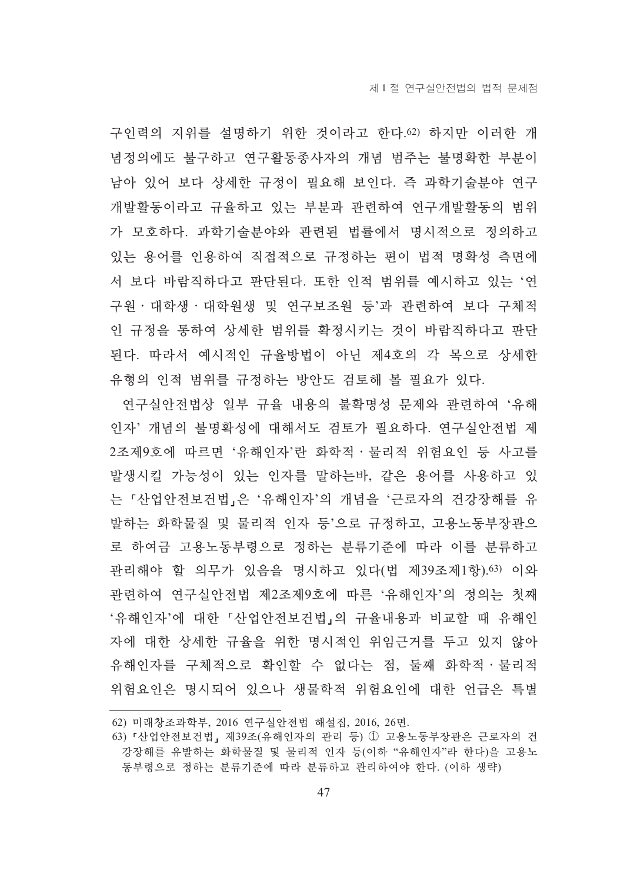구인력의 지위를 설명하기 위한 것이라고 한다. 62) 하지만 이러한 개 념정의에도 불구하고 연구활동종사자의 개념 범주는 불명확한 부분이 남아 있어 보다 상세한 규정이 필요해 보인다. 즉 과학기술분야 연구 개발활동이라고 규율하고 있는 부분과 관련하여 연구개발활동의 범위 가 모호하다. 과학기술분야와 관련된 법률에서 명시적으로 정의하고 있는 용어를 인용하여 직접적으로 규정하는 편이 법적 명확성 측면에 서 보다 바람직하다고 파다되다. 또한 인적 범위를 예시하고 있는 '여 구원·대학생·대학원생 및 연구보조원 등'과 관련하여 보다 구체적 인 규정을 통하여 상세한 범위를 확정시키는 것이 바람직하다고 판단 된다. 따라서 예시적인 규율방법이 아닌 제4호의 각 목으로 상세한 유형의 인적 범위를 규정하는 방안도 검토해 볼 필요가 있다.

연구실안전법상 일부 규율 내용의 불확명성 문제와 관련하여 '유해 인자' 개념의 불명확성에 대해서도 검토가 필요하다. 연구실안전법 제 2조제9호에 따르면 '유해인자'란 화학적 · 물리적 위험요인 등 사고를 발생시킬 가능성이 있는 인자를 말하는바, 같은 용어를 사용하고 있 는 「사업안전보건법」은 '유해인자'의 개념을 '근로자의 건강장해를 유 발하는 화학물질 및 물리적 인자 등'으로 규정하고, 고용노동부장관으 로 하여금 고용노동부령으로 정하는 분류기준에 따라 이를 분류하고 관리해야 할 의무가 있음을 명시하고 있다(법 제39조제1항). 63) 이와 관련하여 연구실안전법 제2조제9호에 따른 '유해인자'의 정의는 첫째 '유해인자'에 대한 '산업안전보건법」의 규율내용과 비교할 때 유해인 자에 대한 상세한 규율을 위한 명시적인 위임근거를 두고 있지 않아 유해인자를 구체적으로 확인할 수 없다는 점, 둘째 화학적·물리적 위험요인은 명시되어 있으나 생물학적 위험요인에 대한 언급은 특별

<sup>62)</sup> 미래창조과학부, 2016 연구실안전법 해설집, 2016, 26면.

<sup>63) 「</sup>산업안전보건법」 제39조(유해인자의 관리 등) ① 고용노동부장관은 근로자의 건 강장해를 유발하는 화학물질 및 물리적 인자 등(이하 "유해인자"라 한다)을 고용노 동부령으로 정하는 분류기준에 따라 분류하고 관리하여야 한다. (이하 생략)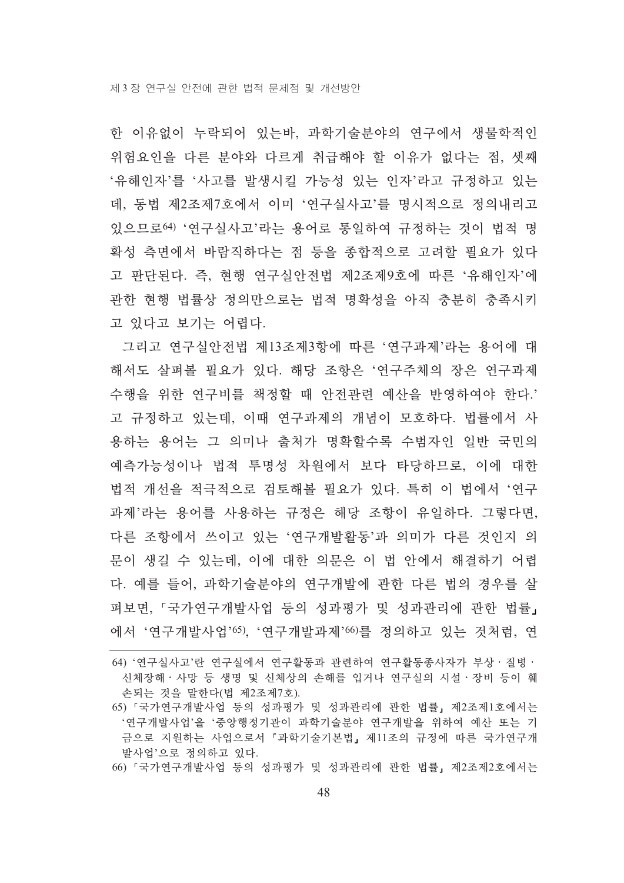한 이유없이 누락되어 있는바, 과학기술분야의 연구에서 생물학적인 위험요인을 다른 분야와 다르게 취급해야 할 이유가 없다는 점, 셋째 '유해인자'를 '사고를 발생시킬 가능성 있는 인자'라고 규정하고 있는 데, 동법 제2조제7호에서 이미 '연구실사고'를 명시적으로 정의내리고 있으므로<sup>64)</sup> '연구실사고'라는 용어로 통일하여 규정하는 것이 법적 명 확성 측면에서 바람직하다는 점 등을 종합적으로 고려할 필요가 있다 고 판단된다. 즉, 현행 연구실안전법 제2조제9호에 따른 '유해인자'에 과한 현행 법률상 정의만으로는 법적 명확성을 아직 충분히 충족시키 고 있다고 보기는 어렵다.

그리고 연구실안전법 제13조제3항에 따른 '연구과제'라는 용어에 대 해서도 살펴볼 필요가 있다. 해당 조항은 '연구주체의 장은 연구과제 수행을 위한 연구비를 책정할 때 안전관련 예산을 반영하여야 한다.' 고 규정하고 있는데, 이때 연구과제의 개념이 모호하다. 법률에서 사 용하는 용어는 그 의미나 출처가 명확할수록 수범자인 일반 국민의 예측가능성이나 법적 투명성 차원에서 보다 타당하므로, 이에 대한 법적 개서을 적극적으로 검토해볼 필요가 있다. 특히 이 법에서 '여구 과제'라는 용어를 사용하는 규정은 해당 조항이 유일하다. 그렇다면, 다른 조항에서 쓰이고 있는 '연구개발활동'과 의미가 다른 것인지 의 문이 생길 수 있는데, 이에 대한 의문은 이 법 안에서 해결하기 어렵 다. 예를 들어, 과학기술분야의 연구개발에 관한 다른 법의 경우를 살 펴보면, 「국가연구개발사업 등의 성과평가 및 성과관리에 관한 법률」 에서 '연구개발사업'65), '연구개발과제'66)를 정의하고 있는 것처럼, 연

66) 「국가연구개발사업 등의 성과평가 및 성과관리에 관한 법률」제2조제2호에서는

<sup>64) &#</sup>x27;연구실사고'란 연구실에서 연구활동과 관련하여 연구활동종사자가 부상 · 질병 · 신체장해·사망 등 생명 및 신체상의 손해를 입거나 연구실의 시설·장비 등이 훼 손되는 것을 말한다(법 제2조제7호).

<sup>65) 「</sup>국가연구개발사업 등의 성과평가 및 성과관리에 관한 법률」 제2조제1호에서는 '연구개발사업'을 '중앙행정기관이 과학기술분야 연구개발을 위하여 예산 또는 기 금으로 지원하는 사업으로서 『과학기술기본법』 제11조의 규정에 따른 국가연구개 발사업'으로 정의하고 있다.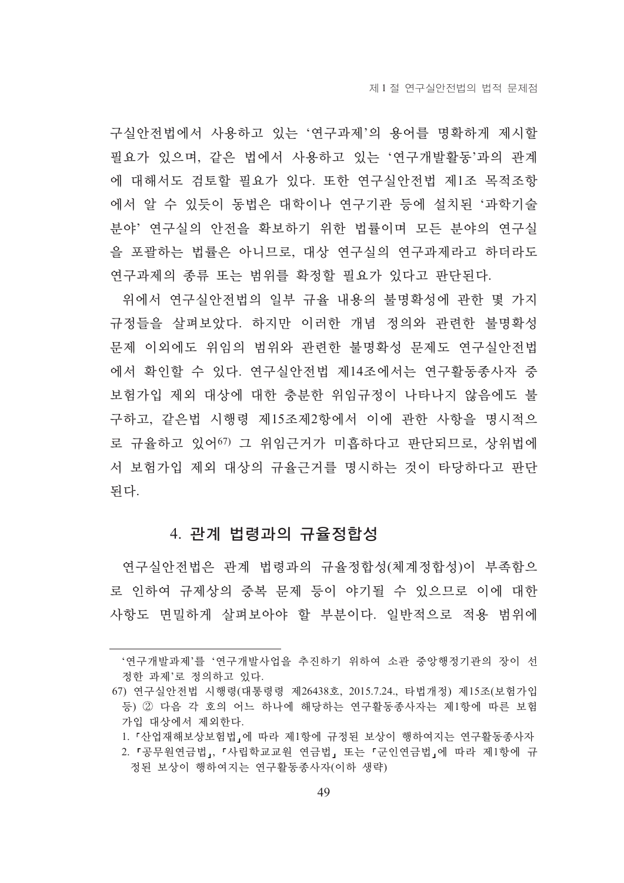구실안전법에서 사용하고 있는 '연구과제'의 용어를 명확하게 제시할 필요가 있으며, 같은 법에서 사용하고 있는 '연구개발활동'과의 관계 에 대해서도 검토할 필요가 있다. 또한 연구실안전법 제1조 목적조항 에서 알 수 있듯이 동법은 대학이나 연구기관 등에 설치된 '과학기술 분야' 연구실의 안전을 확보하기 위한 법률이며 모든 분야의 연구실 을 포괄하는 법률은 아니므로, 대상 여구실의 여구과제라고 하더라도 연구과제의 종류 또는 범위를 확정할 필요가 있다고 판단된다.

위에서 연구실안전법의 일부 규율 내용의 불명확성에 관한 몇 가지 규정들을 살펴보았다. 하지만 이러한 개념 정의와 관련한 불명확성 문제 이외에도 위임의 범위와 관련한 불명확성 문제도 연구실안전법 에서 확인할 수 있다. 연구실안전법 제14조에서는 연구활동종사자 중 보험가입 제외 대상에 대한 충분한 위임규정이 나타나지 않음에도 불 구하고, 같은법 시행령 제15조제2항에서 이에 과한 사항을 명시적으 로 규율하고 있어67) 그 위임근거가 미흡하다고 파다되므로, 상위법에 서 보험가입 제외 대상의 규율근거를 명시하는 것이 타당하다고 판단 되다.

## 4. 관계 법령과의 규율정합성

연구실안전법은 관계 법령과의 규율정합성(체계정합성)이 부족함으 로 인하여 규제상의 중복 문제 등이 야기될 수 있으므로 이에 대한 사항도 면밀하게 살펴보아야 할 부분이다. 일반적으로 적용 범위에

<sup>&#</sup>x27;연구개발과제'를 '연구개발사업을 추진하기 위하여 소관 중앙행정기관의 장이 선 정한 과제'로 정의하고 있다.

<sup>67)</sup> 연구실안전법 시행령(대통령령 제26438호, 2015.7.24., 타법개정) 제15조(보험가입 등) 2 다음 각 호의 어느 하나에 해당하는 연구활동종사자는 제1항에 따른 보험 가입 대상에서 제외하다.

<sup>1. 「</sup>산업재해보상보험법」에 따라 제1항에 규정된 보상이 행하여지는 연구활동종사자

<sup>2. 「</sup>공무원연금법」, 「사립학교교원 연금법」 또는 「군인연금법」에 따라 제1항에 규 정된 보상이 행하여지는 연구활동종사자(이하 생략)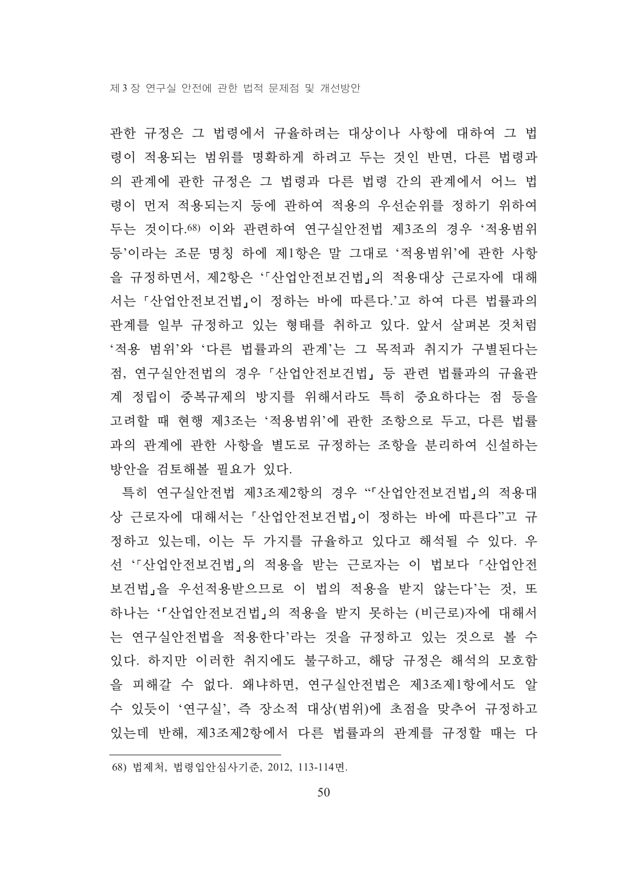관한 규정은 그 법령에서 규율하려는 대상이나 사항에 대하여 그 법 령이 적용되는 범위를 명확하게 하려고 두는 것인 반면, 다른 법령과 의 관계에 관한 규정은 그 법령과 다른 법령 간의 관계에서 어느 법 령이 먼저 적용되는지 등에 관하여 적용의 우선순위를 정하기 위하여 두는 것이다.68) 이와 관련하여 연구실안전법 제3조의 경우 '적용범위 등'이라는 조문 명칭 하에 제1항은 말 그대로 '적용범위'에 관한 사항 을 규정하면서, 제2항은 '「산업안전보건법」의 적용대상 근로자에 대해 서는 「산업안전보건법」이 정하는 바에 따른다.'고 하여 다른 법률과의 관계를 일부 규정하고 있는 형태를 취하고 있다. 앞서 살펴본 것처럼 '적용 범위'와 '다른 법률과의 관계'는 그 목적과 취지가 구별된다는 점, 여구실아저법의 경우 「사업아저보거법」 등 과려 법률과의 규율과 계 정립이 중복규제의 방지를 위해서라도 특히 중요하다는 점 등을 고려할 때 현행 제3조는 '적용범위'에 관한 조항으로 두고, 다른 법률 과의 관계에 관한 사항을 별도로 규정하는 조항을 분리하여 신설하는 방안을 검토해볼 필요가 있다.

특히 연구실안전법 제3조제2항의 경우 "'산업안전보건법」의 적용대 상 근로자에 대해서는 「산업안전보건법」이 정하는 바에 따른다"고 규 정하고 있는데, 이는 두 가지를 규율하고 있다고 해석될 수 있다. 우 선 '「산업안전보건법」의 적용을 받는 근로자는 이 법보다 「산업안전 보건법」을 우선적용받으므로 이 법의 적용을 받지 않는다'는 것, 또 하나는 ''산업안전보건법」의 적용을 받지 못하는 (비근로)자에 대해서 는 연구실안전법을 적용한다'라는 것을 규정하고 있는 것으로 볼 수 있다. 하지만 이러한 취지에도 불구하고, 해당 규정은 해석의 모호함 을 피해갈 수 없다. 왜냐하면, 연구실안전법은 제3조제1항에서도 알 수 있듯이 '연구실', 즉 장소적 대상(범위)에 초점을 맞추어 규정하고 있는데 반해, 제3조제2항에서 다른 법률과의 관계를 규정할 때는 다

<sup>68)</sup> 법제처, 법령입안심사기준, 2012, 113-114면.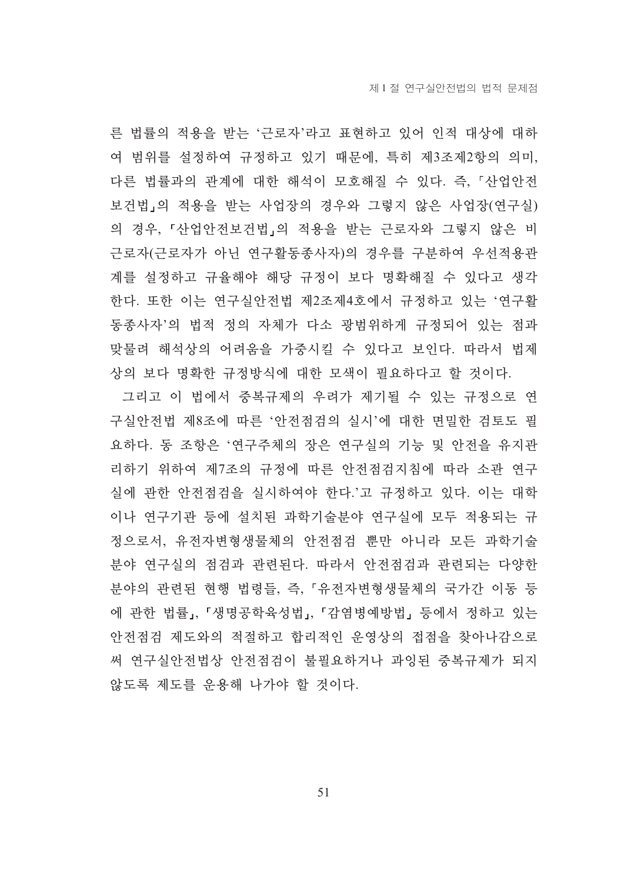른 법률의 적용을 받는 '근로자'라고 표현하고 있어 인적 대상에 대하 여 범위를 설정하여 규정하고 있기 때문에, 특히 제3조제2항의 의미, 다른 법률과의 관계에 대한 해석이 모호해질 수 있다. 즉, 「산업안전 보건법」의 적용을 받는 사업장의 경우와 그렇지 않은 사업장(연구실) 의 경우, 「산업안전보건법」의 적용을 받는 근로자와 그렇지 않은 비 근로자(근로자가 아닌 연구활동종사자)의 경우를 구분하여 우선적용관 계를 설정하고 규율해야 해당 규정이 보다 명확해질 수 있다고 생각 한다. 또한 이는 연구실안전법 제2조제4호에서 규정하고 있는 '연구활 동종사자'의 법적 정의 자체가 다소 광범위하게 규정되어 있는 점과 맞물려 해석상의 어려움을 가중시킬 수 있다고 보인다. 따라서 법제 상의 보다 명확한 규정방식에 대한 모색이 필요하다고 할 것이다.

그리고 이 법에서 중복규제의 우려가 제기될 수 있는 규정으로 연 구실안전법 제8조에 따른 '안전점검의 실시'에 대한 면밀한 검토도 필 요하다. 동 조항은 '연구주체의 장은 연구실의 기능 및 안전을 유지관 리하기 위하여 제7조의 규정에 따른 안전점검지침에 따라 소관 연구 실에 관한 안전점검을 실시하여야 한다.'고 규정하고 있다. 이는 대학 이나 연구기관 등에 설치된 과학기술분야 연구실에 모두 적용되는 규 정으로서, 유전자변형생물체의 안전점검 뿐만 아니라 모든 과학기술 분야 연구실의 점검과 관련된다. 따라서 안전점검과 관련되는 다양한 분야의 관련된 현행 법령들, 즉, 「유전자변형생물체의 국가간 이동 등 에 관한 법률」, 「생명공학육성법」, 「감염병예방법」 등에서 정하고 있는 안전점검 제도와의 적절하고 합리적인 운영상의 접점을 찾아나갂으로 써 연구실안전법상 안전점검이 불필요하거나 과잉된 중복규제가 되지 않도록 제도를 유용해 나가야 할 것이다.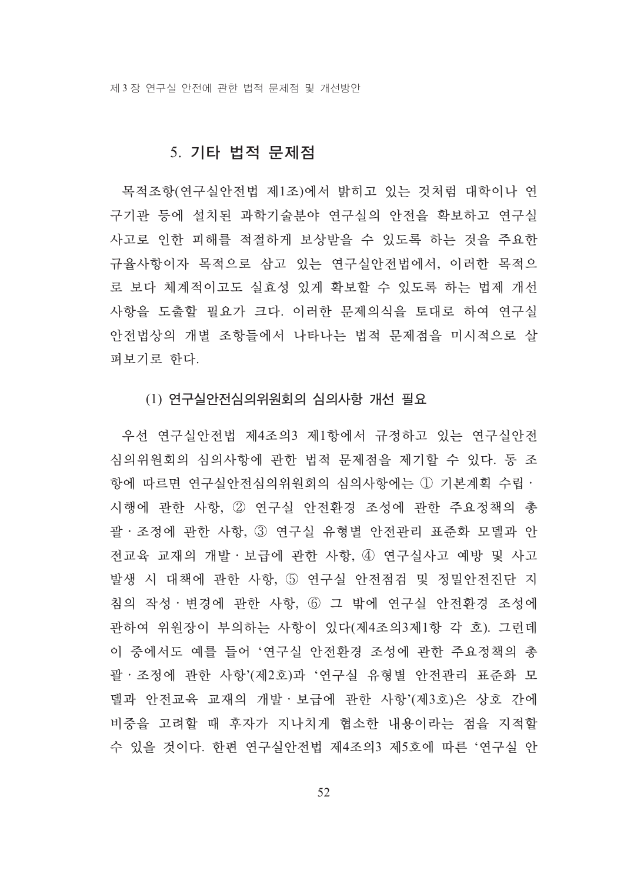## 5. 기타 법적 문제점

목적조항(연구실안전법 제1조)에서 밝히고 있는 것처럼 대학이나 연 구기관 등에 설치된 과학기술분야 연구실의 안전을 확보하고 연구실 사고로 인한 피해를 적절하게 보상받을 수 있도록 하는 것을 주요한 규율사항이자 목적으로 삼고 있는 연구실안전법에서, 이러한 목적으 로 보다 체계적이고도 실효성 있게 확보할 수 있도록 하는 법제 개선 사항을 도출할 필요가 크다. 이러한 문제의식을 토대로 하여 연구실 안전법상의 개별 조항들에서 나타나는 법적 문제점을 미시적으로 살 펴보기로 한다.

#### (1) 연구실안전심의위원회의 심의사항 개선 필요

우선 연구실안전법 제4조의3 제1항에서 규정하고 있는 연구실안전 심의위원회의 심의사항에 관한 법적 문제점을 제기할 수 있다. 동 조 항에 따르면 연구실안전심의위원회의 심의사항에는 ① 기본계획 수립· 시행에 관한 사항, ② 연구실 안전환경 조성에 관한 주요정책의 총 괄 · 조정에 관한 사항, 3 연구실 유형별 안전관리 표준화 모델과 안 전교육 교재의 개발·보급에 관한 사항, ④ 연구실사고 예방 및 사고 발생 시 대책에 관한 사항, 5 연구실 안전점검 및 정밀안전진단 지 침의 작성 · 변경에 관한 사항, 6 그 밖에 연구실 안전환경 조성에 관하여 위원장이 부의하는 사항이 있다(제4조의3제1항 각 호). 그런데 이 중에서도 예를 들어 '연구실 안전환경 조성에 관한 주요정책의 총 괄·조정에 관한 사항'(제2호)과'연구실 유형별 안전관리 표준화 모 델과 안전교육 교재의 개발 · 보급에 관한 사항'(제3호)은 상호 간에 비중을 고려할 때 후자가 지나치게 협소한 내용이라는 점을 지적할 수 있을 것이다. 한편 연구실안전법 제4조의3 제5호에 따른 '연구실 안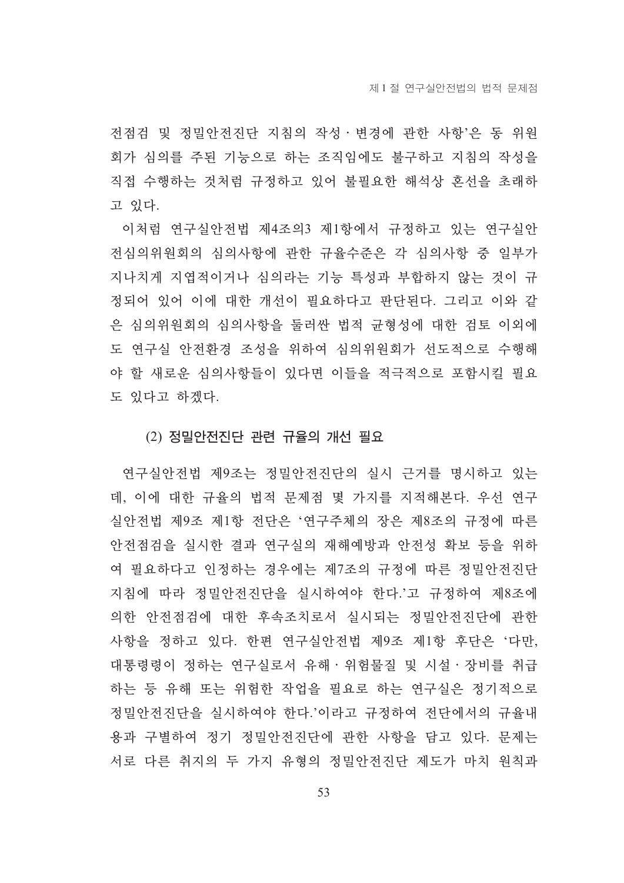전점검 및 정밀안전진단 지침의 작성 · 변경에 관한 사항'은 동 위원 회가 심의를 주된 기능으로 하는 조직임에도 불구하고 지침의 작성을 직접 수행하는 것처럼 규정하고 있어 불필요한 해석상 혼선을 초래하 고 있다.

이처럼 연구실안전법 제4조의3 제1항에서 규정하고 있는 연구실안 전심의위원회의 심의사항에 관한 규율수준은 각 심의사항 중 일부가 지나치게 지엽적이거나 심의라는 기능 특성과 부합하지 않는 것이 규 정되어 있어 이에 대한 개선이 필요하다고 판단된다. 그리고 이와 같 은 심의위원회의 심의사항을 둘러싼 법적 균형성에 대한 검토 이외에 도 연구실 안전환경 조성을 위하여 심의위원회가 선도적으로 수행해 야 할 새로운 심의사항들이 있다면 이들을 적극적으로 포함시킬 필요 도 있다고 하겠다.

#### (2) 정밀안전진단 관련 규율의 개선 필요

연구실안전법 제9조는 정밀안전진단의 실시 근거를 명시하고 있는 데, 이에 대한 규율의 법적 문제점 몇 가지를 지적해본다. 우선 연구 실안전법 제9조 제1항 전단은 '연구주체의 장은 제8조의 규정에 따른 안전점검을 실시한 결과 여구실의 재해예방과 안전성 확보 등을 위하 여 필요하다고 인정하는 경우에는 제7조의 규정에 따른 정밀안전진단 지침에 따라 정밀안전진다을 실시하여야 한다.'고 규정하여 제8조에 의한 안전점검에 대한 후속조치로서 실시되는 정밀안전진단에 관한 사항을 정하고 있다. 한편 연구실안전법 제9조 제1항 후단은 '다만, 대통령령이 정하는 연구실로서 유해 위험물질 및 시설 장비를 취급 하는 등 유해 또는 위험한 작업을 필요로 하는 연구실은 정기적으로 정밀안전진단을 실시하여야 한다.'이라고 규정하여 전단에서의 규율내 용과 구별하여 정기 정밀안전진단에 관한 사항을 담고 있다. 문제는 서로 다른 취지의 두 가지 유형의 정밀안전진단 제도가 마치 워칙과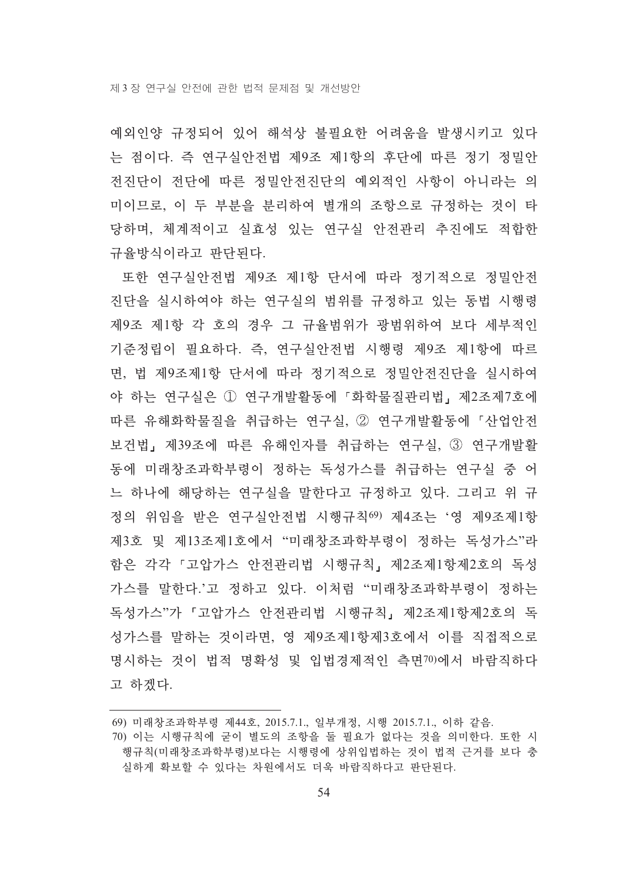예외인양 규정되어 있어 해석상 불필요한 어려움을 발생시키고 있다 는 점이다. 즉 연구실안전법 제9조 제1항의 후단에 따른 정기 정밀안 전진단이 전단에 따른 정밀안전진단의 예외적인 사항이 아니라는 의 미이므로, 이 두 부분을 분리하여 별개의 조항으로 규정하는 것이 타 당하며, 체계적이고 실효성 있는 연구실 안전관리 추진에도 적합한 규율방식이라고 판단된다.

또한 연구실안전법 제9조 제1항 단서에 따라 정기적으로 정밀안전 진단을 실시하여야 하는 연구실의 범위를 규정하고 있는 동법 시행령 제9조 제1항 각 호의 경우 그 규율범위가 광범위하여 보다 세부적인 기준정립이 필요하다. 즉, 연구실안전법 시행령 제9조 제1항에 따르 면, 법 제9조제1항 단서에 따라 정기적으로 정밀안전진단을 실시하여 야 하는 연구실은 ① 연구개발활동에 「화학물질관리법」제2조제7호에 따른 유해화학물질을 취급하는 연구실, 2 연구개발활동에 「산업안전 보건법, 제39조에 따른 유해인자를 취급하는 연구실, 3 연구개발활 동에 미래창조과학부령이 정하는 독성가스를 취급하는 연구실 중 어 느 하나에 해당하는 연구실을 말한다고 규정하고 있다. 그리고 위 규 정의 위임을 받은 연구실안전법 시행규칙69) 제4조는 '영 제9조제1항 제3호 및 제13조제1호에서 "미래창조과학부령이 정하는 독성가스"라 함은 각각 「고압가스 안전관리법 시행규칙」 제2조제1항제2호의 독성 가스를 말한다.'고 정하고 있다. 이처럼 "미래창조과학부령이 정하는 독성가스"가 「고압가스 안전관리법 시행규칙」 제2조제1항제2호의 독 성가스를 말하는 것이라면, 영 제9조제1항제3호에서 이를 직접적으로 명시하는 것이 법적 명확성 및 입법경제적인 측면70)에서 바람직하다 고 하겠다.

<sup>69)</sup> 미래창조과학부령 제44호, 2015.7.1., 일부개정, 시행 2015.7.1., 이하 같음.

<sup>70)</sup> 이는 시행규칙에 굳이 별도의 조항을 둘 필요가 없다는 것을 의미한다. 또한 시 행규칙(미래창조과학부령)보다는 시행령에 상위입법하는 것이 법적 근거를 보다 충 실하게 확보할 수 있다는 차원에서도 더욱 바람직하다고 판단된다.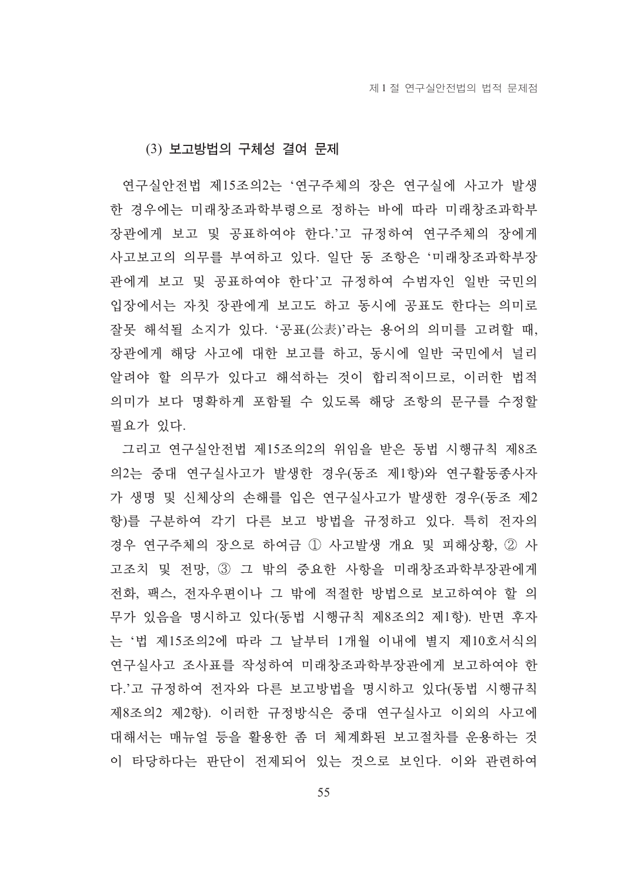## (3) 보고방법의 구체성 결여 문제

연구실안전법 제15조의2는 '연구주체의 장은 연구실에 사고가 발생 한 경우에는 미래창조과학부령으로 정하는 바에 따라 미래창조과학부 장관에게 보고 및 공표하여야 한다.'고 규정하여 연구주체의 장에게 사고보고의 의무를 부여하고 있다. 일단 동 조항은 '미래창조과학부장 관에게 보고 및 공표하여야 한다'고 규정하여 수범자인 일반 국민의 입장에서는 자칫 장관에게 보고도 하고 동시에 공표도 한다는 의미로 잘못 해석될 소지가 있다. '공표(公表)'라는 용어의 의미를 고려할 때, 장관에게 해당 사고에 대한 보고를 하고, 동시에 일반 국민에서 널리 알려야 할 의무가 있다고 해석하는 것이 합리적이므로, 이러한 법적 의미가 보다 명확하게 포함될 수 있도록 해당 조항의 문구를 수정할 필요가 있다.

그리고 연구실안전법 제15조의2의 위임을 받은 동법 시행규칙 제8조 의2는 중대 연구실사고가 발생한 경우(동조 제1항)와 연구활동종사자 가 생명 및 신체상의 손해를 입은 연구실사고가 발생한 경우(동조 제2 항)를 구분하여 각기 다른 보고 방법을 규정하고 있다. 특히 전자의 경우 연구주체의 장으로 하여금 ① 사고발생 개요 및 피해상황, 2 사 고조치 및 전망, 3 그 밖의 중요한 사항을 미래창조과학부장관에게 전화, 팩스, 전자우편이나 그 밖에 적절한 방법으로 보고하여야 할 의 무가 있음을 명시하고 있다(동법 시행규칙 제8조의2 제1항). 반면 후자 는 '법 제15조의2에 따라 그 날부터 1개월 이내에 별지 제10호서식의 연구실사고 조사표를 작성하여 미래창조과학부장관에게 보고하여야 한 다.'고 규정하여 전자와 다른 보고방법을 명시하고 있다(동법 시행규칙 제8조의2 제2항). 이러한 규정방식은 중대 연구실사고 이외의 사고에 대해서는 매뉴얼 등을 활용한 좀 더 체계화된 보고절차를 운용하는 것 이 타당하다는 판단이 전제되어 있는 것으로 보인다. 이와 관련하여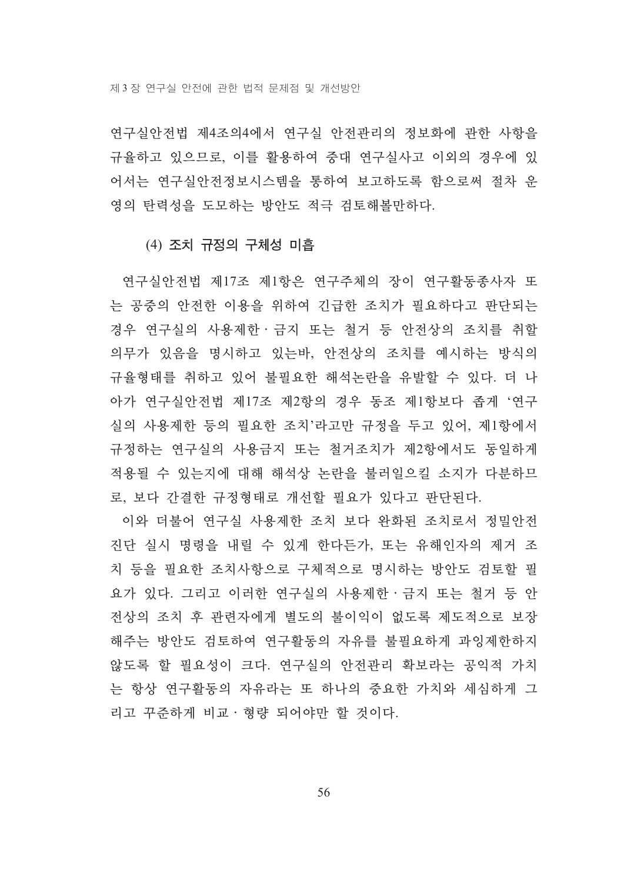연구실안전법 제4조의4에서 연구실 안전관리의 정보화에 관한 사항을 규율하고 있으므로, 이를 활용하여 중대 연구실사고 이외의 경우에 있 어서는 연구실안전정보시스템을 통하여 보고하도록 함으로써 절차 운 영의 탄력성을 도모하는 방안도 적극 검토해볼만하다.

#### (4) 조치 규정의 구체성 미흡

연구실안전법 제17조 제1항은 연구주체의 장이 연구활동종사자 또 는 공중의 안전한 이용을 위하여 긴급한 조치가 필요하다고 판단되는 경우 연구실의 사용제한·금지 또는 철거 등 안전상의 조치를 취할 의무가 있음을 명시하고 있는바, 안전상의 조치를 예시하는 방식의 규율형태를 취하고 있어 불필요한 해석논란을 유발할 수 있다. 더 나 아가 연구실안전법 제17조 제2항의 경우 동조 제1항보다 좁게 '연구 실의 사용제한 등의 필요한 조치'라고만 규정을 두고 있어, 제1항에서 규정하는 연구실의 사용금지 또는 철거조치가 제2항에서도 동일하게 적용될 수 있는지에 대해 해석상 논란을 불러일으킬 소지가 다분하므 로, 보다 간결한 규정형태로 개선할 필요가 있다고 판단된다.

이와 더불어 연구실 사용제한 조치 보다 완화된 조치로서 정밀안전 진단 실시 명령을 내릴 수 있게 한다든가, 또는 유해인자의 제거 조 치 등을 필요한 조치사항으로 구체적으로 명시하는 방안도 검토할 필 요가 있다. 그리고 이러한 연구실의 사용제한 · 금지 또는 철거 등 안 전상의 조치 후 관련자에게 별도의 불이익이 없도록 제도적으로 보장 해주는 방안도 검토하여 연구활동의 자유를 불필요하게 과잉제한하지 않도록 할 필요성이 크다. 연구실의 안전관리 확보라는 공익적 가치 는 항상 연구활동의 자유라는 또 하나의 중요한 가치와 세심하게 그 리고 꾸준하게 비교 · 형량 되어야만 할 것이다.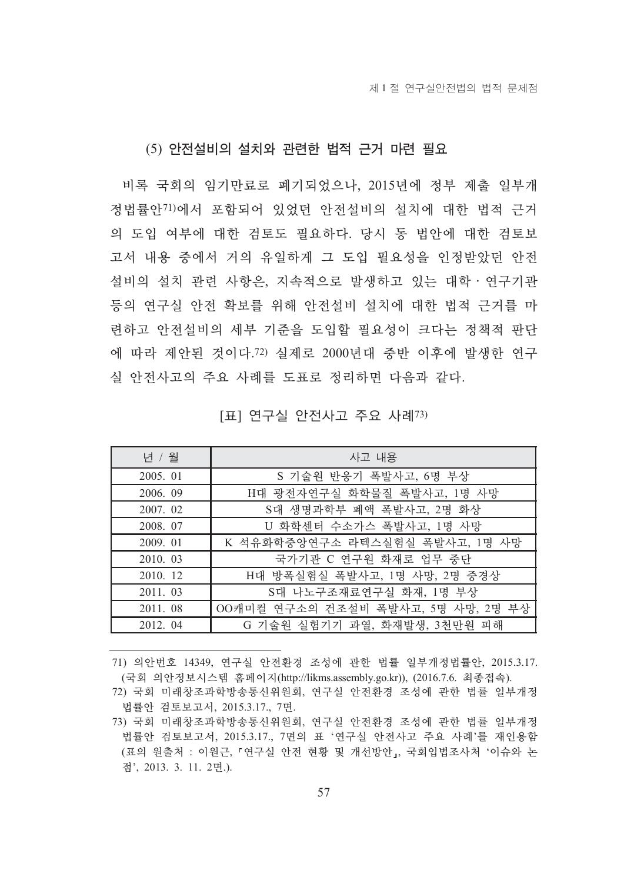#### (5) 안전설비의 설치와 관련한 법적 근거 마련 필요

비록 국회의 임기만료로 폐기되었으나, 2015년에 정부 제출 일부개 정법률안71)에서 포함되어 있었던 안전설비의 설치에 대한 법적 근거 의 도입 여부에 대한 검토도 필요하다. 당시 동 법안에 대한 검토보 고서 내용 중에서 거의 유일하게 그 도입 필요성을 인정받았던 안전 설비의 설치 관련 사항은, 지속적으로 발생하고 있는 대학 · 연구기관 등의 여구실 아저 확보를 위해 아저설비 설치에 대한 법적 근거를 마 련하고 안전설비의 세부 기준을 도입할 필요성이 크다는 정책적 판단 에 따라 제안된 것이다.72) 실제로 2000년대 중반 이후에 발생한 연구 실 안전사고의 주요 사례를 도표로 정리하면 다음과 같다.

[표] 연구실 안전사고 주요 사례<sup>73)</sup>

| 년 / 월    | 사고 내용                              |
|----------|------------------------------------|
| 2005. 01 | S 기술원 반응기 폭발사고, 6명 부상              |
| 2006. 09 | H대 광전자연구실 화학물질 폭발사고, 1명 사망         |
| 2007. 02 | S대 생명과학부 폐액 폭발사고, 2명 화상            |
| 2008. 07 | U 화학센터 수소가스 폭발사고, 1명 사망            |
| 2009. 01 | K 석유화학중앙연구소 라텍스실험실 폭발사고, 1명 사망     |
| 2010. 03 | 국가기관 C 연구원 화재로 업무 중단               |
| 2010. 12 | H대 방폭실험실 폭발사고, 1명 사망, 2명 중경상       |
| 2011. 03 | S대 나노구조재료연구실 화재, 1명 부상             |
| 2011. 08 | 00캐미컬 연구소의 건조설비 폭발사고, 5명 사망, 2명 부상 |
| 2012. 04 | G 기술원 실험기기 과열, 화재발생, 3천만원 피해       |

<sup>71)</sup> 의안번호 14349, 연구실 안전환경 조성에 관한 법률 일부개정법률안, 2015.3.17. (국회 의안정보시스템 홈페이지(http://likms.assembly.go.kr)), (2016.7.6. 최종접속).

<sup>72)</sup> 국회 미래창조과학방송통신위원회, 연구실 안전환경 조성에 관한 법률 일부개정 법률안 검토보고서, 2015.3.17., 7면.

<sup>73)</sup> 국회 미래창조과학방송통신위원회, 연구실 안전환경 조성에 관한 법률 일부개정 법률안 검토보고서, 2015.3.17., 7면의 표 '연구실 안전사고 주요 사례'를 재인용함 (표의 원출처 : 이원근, 「연구실 안전 현황 및 개선방안」, 국회입법조사처 '이슈와 논 점', 2013. 3. 11. 2면.).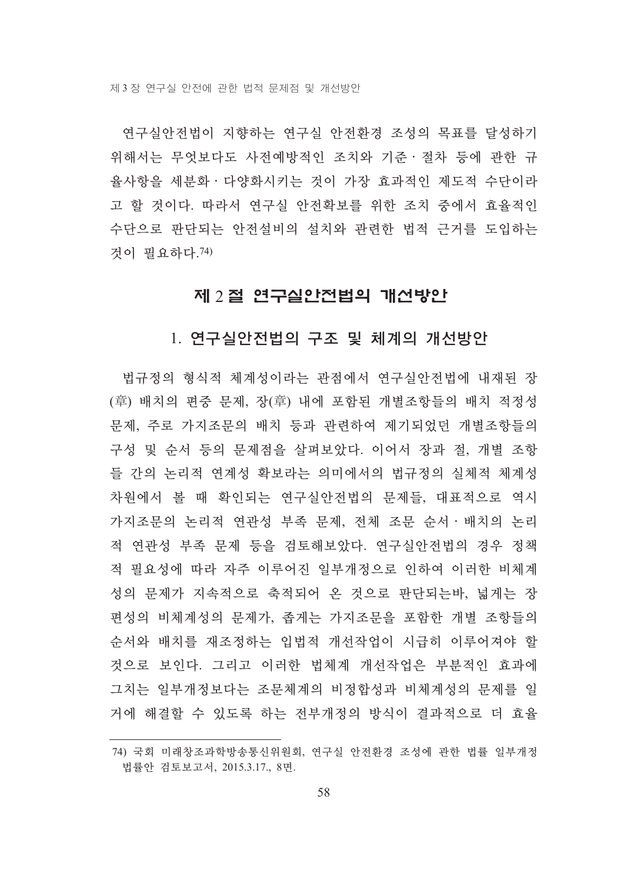연구실안전법이 지향하는 연구실 안전환경 조성의 목표를 달성하기 위해서는 무엇보다도 사전예방적인 조치와 기준 절차 등에 관한 규 율사항을 세분화 · 다양화시키는 것이 가장 효과적인 제도적 수단이라 고 할 것이다. 따라서 연구실 안전확보를 위한 조치 중에서 효율적인 수단으로 판단되는 안전설비의 설치와 관련한 법적 근거를 도입하는 것이 필요하다.74)

## 제 2절 연구실안전법의 개선방안

## 1. 연구실안전법의 구조 및 체계의 개선방안

법규정의 형식적 체계성이라는 관점에서 연구실안전법에 내재된 장 (章) 배치의 편중 문제, 장(章) 내에 포함된 개별조항들의 배치 적정성 문제, 주로 가지조문의 배치 등과 관련하여 제기되었던 개별조항들의 구성 및 순서 등의 문제점을 살펴보았다. 이어서 장과 절, 개별 조항 들 간의 논리적 연계성 확보라는 의미에서의 법규정의 실체적 체계성 차원에서 볼 때 확인되는 연구실안전법의 문제들, 대표적으로 역시 가지조문의 논리적 연관성 부족 문제, 전체 조문 순서 · 배치의 논리 적 연관성 부족 문제 등을 검토해보았다. 연구실안전법의 경우 정책 적 필요성에 따라 자주 이루어지 일부개정으로 이하여 이러한 비체계 성의 문제가 지속적으로 축적되어 온 것으로 판단되는바, 넓게는 장 편성의 비체계성의 문제가, 좁게는 가지조문을 포함한 개별 조항들의 순서와 배치를 재조정하는 입법적 개선작업이 시급히 이루어져야 할 것으로 보인다. 그리고 이러한 법체계 개선작업은 부분적인 효과에 그치는 일부개정보다는 조문체계의 비정합성과 비체계성의 문제를 일 거에 해결할 수 있도록 하는 전부개정의 방식이 결과적으로 더 효율

<sup>74)</sup> 국회 미래창조과학방송통신위원회, 연구실 안전화경 조성에 관한 법률 일부개정 법률안 검토보고서, 2015.3.17., 8면.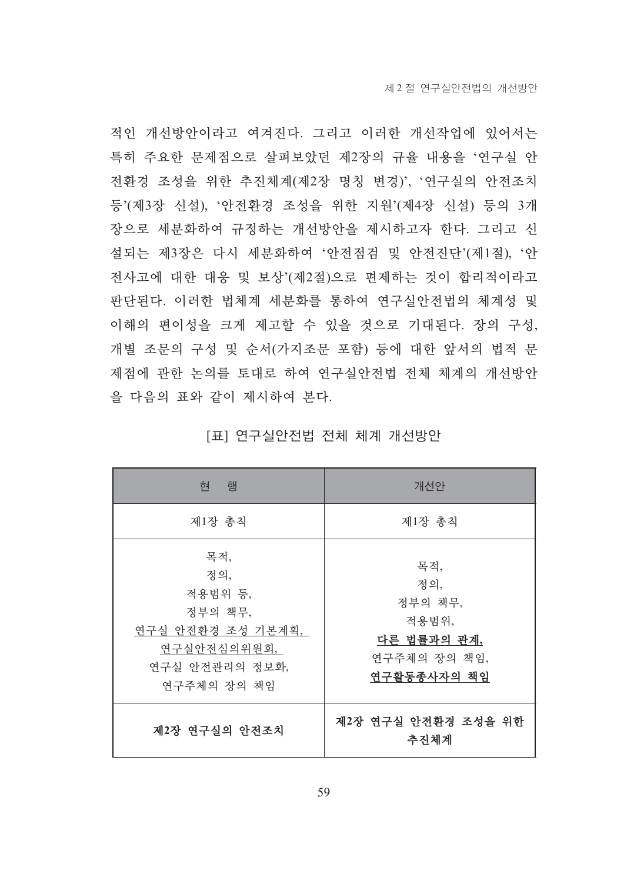적인 개선방안이라고 여겨진다. 그리고 이러한 개선작업에 있어서는 특히 주요한 문제점으로 살펴보았던 제2장의 규율 내용을 '연구실 안 전환경 조성을 위한 추진체계(제2장 명칭 변경)', '연구실의 안전조치 등'(제3장 신설), '안전환경 조성을 위한 지원'(제4장 신설) 등의 3개 장으로 세분화하여 규정하는 개선방안을 제시하고자 한다. 그리고 신 설되는 제3장은 다시 세분화하여 '안전점검 및 안전진단'(제1절), '안 전사고에 대한 대응 및 보상'(제2절)으로 편제하는 것이 합리적이라고 판단된다. 이러한 법체계 세분화를 통하여 연구실안전법의 체계성 및 이해의 편이성을 크게 제고할 수 있을 것으로 기대된다. 장의 구성, 개별 조문의 구성 및 순서(가지조문 포함) 등에 대한 앞서의 법적 문 제점에 관한 논의를 토대로 하여 여구실안전법 전체 체계의 개선방안 을 다음의 표와 같이 제시하여 본다.

| - 행<br>현                                                                                              | 개선안                                                                          |
|-------------------------------------------------------------------------------------------------------|------------------------------------------------------------------------------|
| 제1장 총칙                                                                                                | 제1장 총칙                                                                       |
| 목적,<br>정의,<br>적용범위 등,<br>정부의 책무,<br>연구실 안전환경 조성 기본계획,<br>연구실안전심의위원회,<br>연구실 안전관리의 정보화,<br>연구주체의 장의 책임 | 목적,<br>정의,<br>정부의 책무,<br>적용범위,<br>다른 법률과의 관계,<br>연구주체의 장의 책임,<br>연구활동종사자의 책임 |
| 제2장 연구실의 안전조치                                                                                         | 제2장 연구실 안전환경 조성을 위한<br>추진체계                                                  |

[표] 연구실안전법 전체 체계 개선방안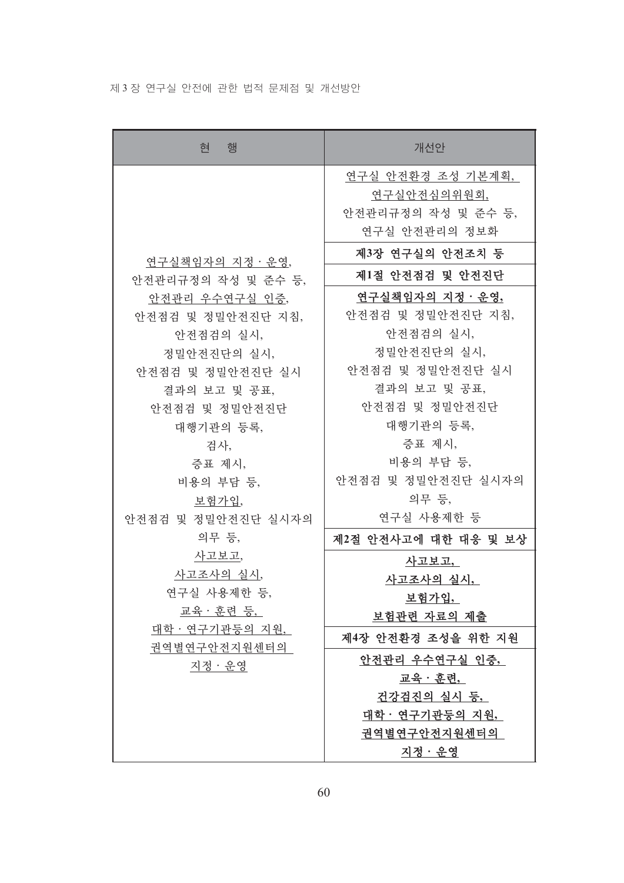| 현<br>행                                                                                                                                                                                         | 개선안                                                                                                                                                                                                     |
|------------------------------------------------------------------------------------------------------------------------------------------------------------------------------------------------|---------------------------------------------------------------------------------------------------------------------------------------------------------------------------------------------------------|
|                                                                                                                                                                                                | 연구실 안전환경 조성 기본계획,<br>연구실안전심의위원회,<br>안전관리규정의 작성 및 준수 등,<br>연구실 안전관리의 정보화                                                                                                                                 |
|                                                                                                                                                                                                | 제3장 연구실의 안전조치 등                                                                                                                                                                                         |
| 연구실책임자의 지정 · 운영,                                                                                                                                                                               | 제1절 안전점검 및 안전진단                                                                                                                                                                                         |
| 안전관리규정의 작성 및 준수 등,<br>안전관리 우수연구실 인증,<br>안전점검 및 정밀안전진단 지침,<br>안전점검의 실시,<br>정밀안전진단의 실시,<br>안전점검 및 정밀안전진단 실시<br>결과의 보고 및 공표,<br>안전점검 및 정밀안전진단<br>대행기관의 등록,<br>검사,<br>증표 제시,<br>비용의 부담 등,<br>보험가입, | 연구실책임자의 지정 · 운영,<br>안전점검 및 정밀안전진단 지침,<br>안전점검의 실시,<br>정밀안전진단의 실시,<br>안전점검 및 정밀안전진단 실시<br>결과의 보고 및 공표,<br>안전점검 및 정밀안전진단<br>대행기관의 등록,<br>증표 제시,<br>비용의 부담 등,<br>안전점검 및 정밀안전진단 실시자의<br>의무 등,<br>연구실 사용제한 등 |
| 안전점검 및 정밀안전진단 실시자의<br>의무 등,                                                                                                                                                                    | 제2절 안전사고에 대한 대응 및 보상                                                                                                                                                                                    |
| 사고보고,<br>사고조사의 실시,<br>연구실 사용제한 등,<br>교육ㆍ훈련 등,                                                                                                                                                  | <u> 사고보고,</u><br>사고조사의 실시,<br><u>보험가입,</u><br>보험관련 자료의 제출                                                                                                                                               |
| 대학 · 연구기관등의 지원,<br>권역별연구안전지원센터의                                                                                                                                                                | 제4장 안전환경 조성을 위한 지원                                                                                                                                                                                      |
| <u> 지정 · 운영</u>                                                                                                                                                                                | 안전관리 우수연구실 인증,<br>교육 · 훈련,<br>건강검진의 실시 등,<br>대학 · 연구기관등의 지원,<br>권역별연구안전지원센터의<br>지정·운영                                                                                                                   |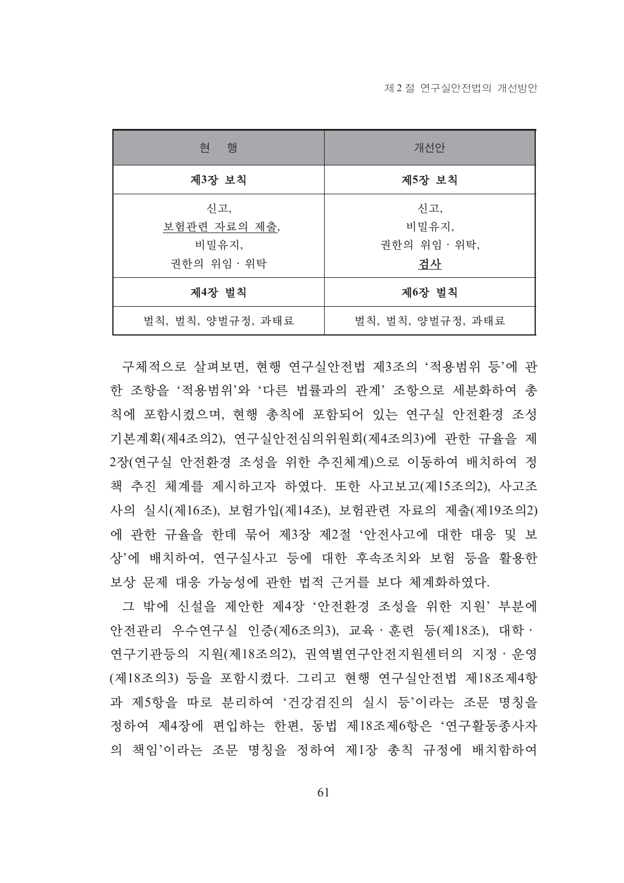| 현 행                                         | 개선안                                |
|---------------------------------------------|------------------------------------|
| 제3장 보칙                                      | 제5장 보칙                             |
| 신고,<br>보험관련 자료의 제출,<br>비밀유지,<br>권한의 위임 · 위탁 | 신고,<br>비밀유지,<br>권한의 위임 · 위탁,<br>검사 |
| 제4장 벌칙                                      | 제6장 벌칙                             |
| 벌칙, 벌칙, 양벌규정, 과태료                           | 벌칙, 벌칙, 양벌규정, 과태료                  |

구체적으로 살펴보면, 현행 연구실안전법 제3조의 '적용범위 등'에 관 한 조항을 '적용범위'와 '다른 법률과의 관계' 조항으로 세분화하여 총 칙에 포함시켰으며, 현행 총칙에 포함되어 있는 연구실 안전환경 조성 기본계획(제4조의2), 연구실안전심의위원회(제4조의3)에 관한 규율을 제 2장(연구실 안전환경 조성을 위한 추진체계)으로 이동하여 배치하여 정 책 추진 체계를 제시하고자 하였다. 또한 사고보고(제15조의2), 사고조 사의 실시(제16조), 보험가입(제14조), 보험관련 자료의 제출(제19조의2) 에 관한 규율을 한데 묶어 제3장 제2절 '안전사고에 대한 대응 및 보 상'에 배치하여, 연구실사고 등에 대한 후속조치와 보험 등을 활용한 보상 문제 대응 가능성에 관한 법적 근거를 보다 체계화하였다.

그 밖에 신설을 제안한 제4장 '안전환경 조성을 위한 지원' 부분에 안전관리 우수연구실 인증(제6조의3), 교육·훈련 등(제18조), 대학· 연구기관등의 지원(제18조의2), 권역별연구안전지원센터의 지정 · 운영 (제18조의3) 등을 포함시켰다. 그리고 현행 연구실안전법 제18조제4항 과 제5항을 따로 분리하여 '건강검진의 실시 등'이라는 조문 명칭을 정하여 제4장에 편입하는 한편, 동법 제18조제6항은 '연구활동종사자 의 책임'이라는 조문 명칭을 정하여 제1장 총칙 규정에 배치함하여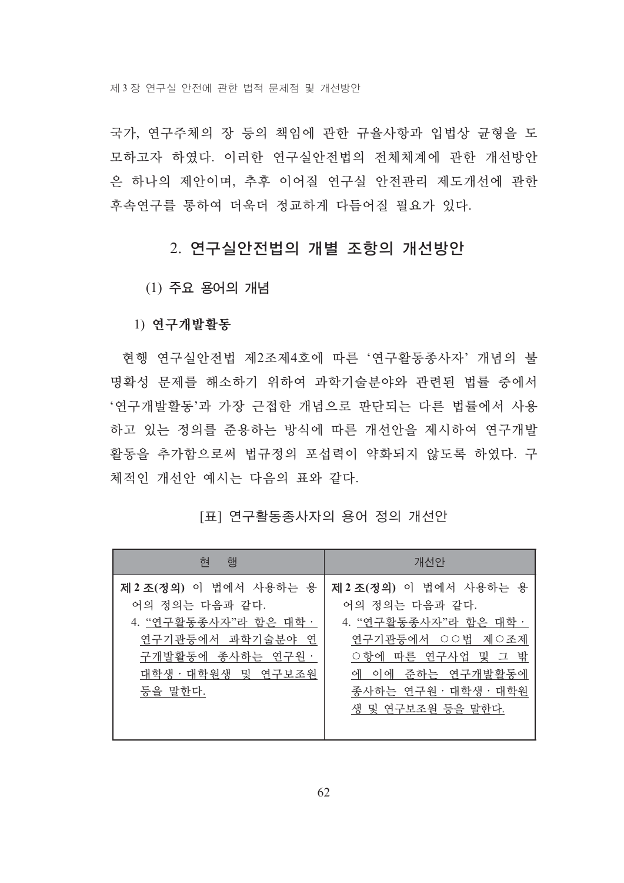국가, 연구주체의 장 등의 책임에 관한 규율사항과 입법상 균형을 도 모하고자 하였다. 이러한 연구실안전법의 전체체계에 관한 개선방안 은 하나의 제안이며, 추후 이어질 연구실 안전관리 제도개선에 관한 후속연구를 통하여 더욱더 정교하게 다듬어질 필요가 있다.

## 2. 연구실안전법의 개별 조항의 개선방안

(1) 주요 용어의 개념

1) 연구개발활동

현행 연구실안전법 제2조제4호에 따른 '연구활동종사자' 개념의 불 명확성 문제를 해소하기 위하여 과학기술분야와 관련된 법률 중에서 '연구개발활동'과 가장 근접한 개념으로 판단되는 다른 법률에서 사용 하고 있는 정의를 준용하는 방식에 따른 개선안을 제시하여 연구개발 활동을 추가함으로써 법규정의 포섭력이 약화되지 않도록 하였다. 구 체적인 개서아 예시는 다음의 표와 같다.

## [표] 연구활동종사자의 용어 정의 개선안

| 행<br>현                                                                                                                                     | 개선안                                                                                                                                                                      |
|--------------------------------------------------------------------------------------------------------------------------------------------|--------------------------------------------------------------------------------------------------------------------------------------------------------------------------|
| 제 2 조(정의) 이 법에서 사용하는 용<br>어의 정의는 다음과 같다.<br>4. "연구활동종사자"라 함은 대학 ·<br>연구기관등에서 과학기술분야 연<br>구개발활동에 종사하는 연구원·<br>대학생 · 대학원생 및 연구보조원<br>등을 말한다. | 제 2 조(정의) 이 법에서 사용하는 용<br>어의 정의는 다음과 같다.<br>4. "연구활동종사자"라 함은 대학 ·<br>연구기관등에서 ○○법 제○조제<br>○ 항에 따른 연구사업 및 그 밖<br>에 이에 준하는 연구개발활동에<br>종사하는 연구워·대학생·대학워<br>생 및 연구보조원 등을 말한다. |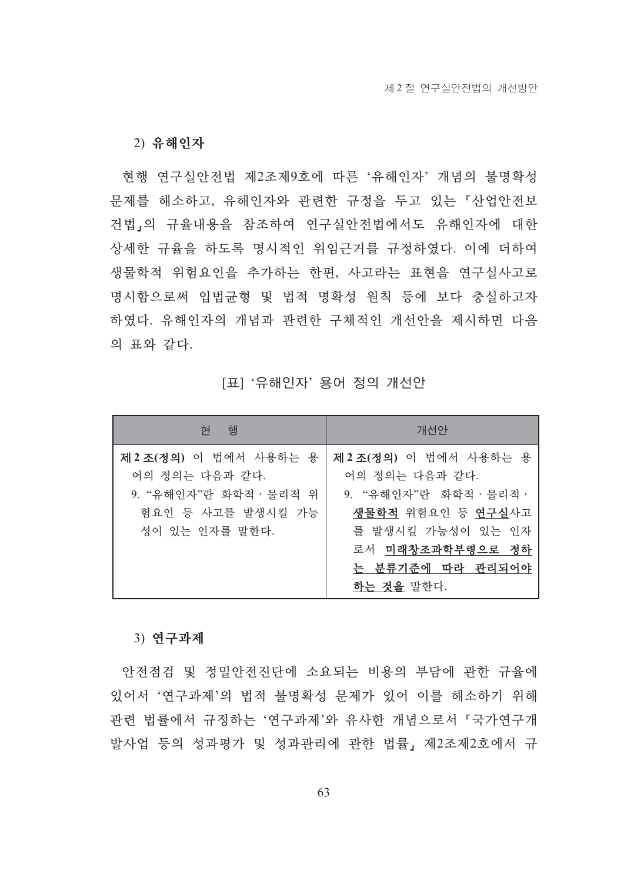2) 유해인자

현행 연구실안전법 제2조제9호에 따른 '유해인자' 개념의 불명확성 문제를 해소하고, 유해인자와 관련한 규정을 두고 있는 「산업안전보 건법」의 규율내용을 참조하여 연구실안전법에서도 유해인자에 대한 상세한 규율을 하도록 명시적인 위임근거를 규정하였다. 이에 더하여 생물학적 위험요인을 추가하는 한편, 사고라는 표현을 연구실사고로 명시함으로써 입법균형 및 법적 명확성 원칙 등에 보다 충실하고자 하였다. 유해인자의 개념과 관련한 구체적인 개선안을 제시하면 다음 의 표와 같다.

#### [표] '유해인자' 용어 정의 개선안

| 현 행                                                                                                       | 개선안                                                                                                                                                                |
|-----------------------------------------------------------------------------------------------------------|--------------------------------------------------------------------------------------------------------------------------------------------------------------------|
| 제 2 조(정의) 이 법에서 사용하는 용<br>어의 정의는 다음과 같다.<br>9. "유해인자"란 화학적 · 물리적 위<br>험요인 등 사고를 발생시킬 가능<br>성이 있는 인자를 말한다. | 제 2 조(정의) 이 법에서 사용하는 용<br>어의 정의는 다음과 같다.<br>9. "유해인자"란 화학적 · 물리적 ·<br>생물학적 위험요인 등 연구실사고<br>를 발생시킬 가능성이 있는 인자<br>로서 미래창조과학부령으로 정하<br>는 분류기준에 따라 관리되어야<br>하는 것을 말한다. |

#### 3) 여구과제

안전점검 및 정밀안전진단에 소요되는 비용의 부담에 관한 규율에 있어서 '연구과제'의 법적 불명확성 문제가 있어 이를 해소하기 위해 관련 법률에서 규정하는 '연구과제'와 유사한 개념으로서 「국가연구개 발사업 등의 성과평가 및 성과관리에 관한 법률, 제2조제2호에서 규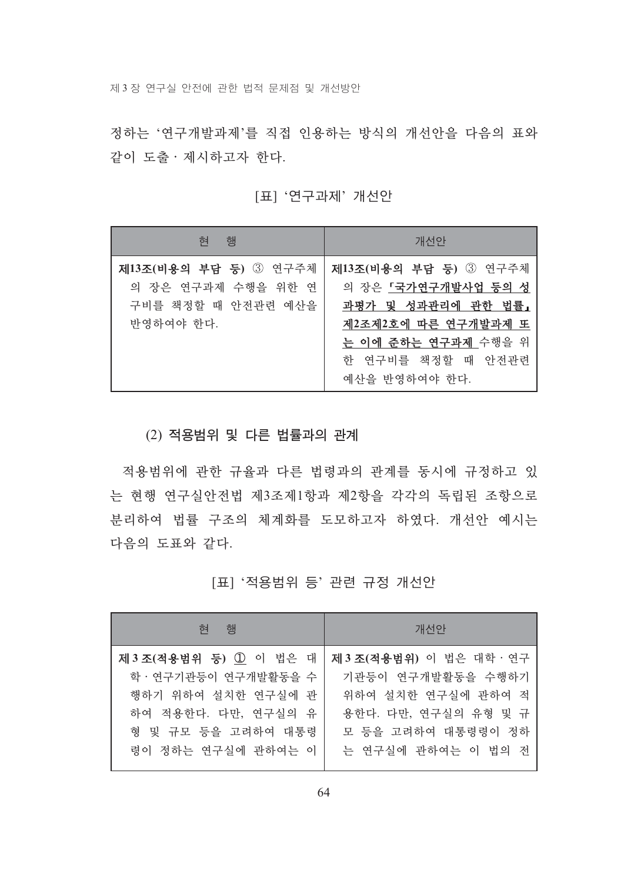정하는 '연구개발과제'를 직접 인용하는 방식의 개선안을 다음의 표와 같이 도출 · 제시하고자 한다.

| 현 행                   | 개선안                   |
|-----------------------|-----------------------|
| 제13조(비용의 부담 등) 3 연구주체 | 제13조(비용의 부담 등) 3 연구주체 |
| 의 장은 연구과제 수행을 위한 연    | 의 장은 『국가연구개발사업 등의 성   |
| 구비를 책정할 때 안전관련 예산을    | 과평가 및 성과관리에 관한 법률,    |
| 반영하여야 한다.             | 제2조제2호에 따른 연구개발과제 또   |
|                       | 는 이에 준하는 연구과제 수행을 위   |
|                       | 한 연구비를 책정할 때 안전관련     |
|                       | 예산을 반영하여야 한다.         |

[표] '연구과제' 개선안

## (2) 적용범위 및 다른 법률과의 관계

적용범위에 관한 규율과 다른 법령과의 관계를 동시에 규정하고 있 는 현행 연구실안전법 제3조제1항과 제2항을 각각의 독립된 조항으로 분리하여 법률 구조의 체계화를 도모하고자 하였다. 개선안 예시는 다음의 도표와 같다.

[표] '적용범위 등' 관련 규정 개선안

| 개선안                    |
|------------------------|
| 제3조(적용범위) 이 법은 대학 · 연구 |
| 기관등이 연구개발활동을 수행하기      |
| 위하여 설치한 연구실에 관하여 적     |
| 용한다. 다만, 연구실의 유형 및 규   |
| 모 등을 고려하여 대통령령이 정하     |
| 는 연구실에 관하여는 이 법의 전     |
|                        |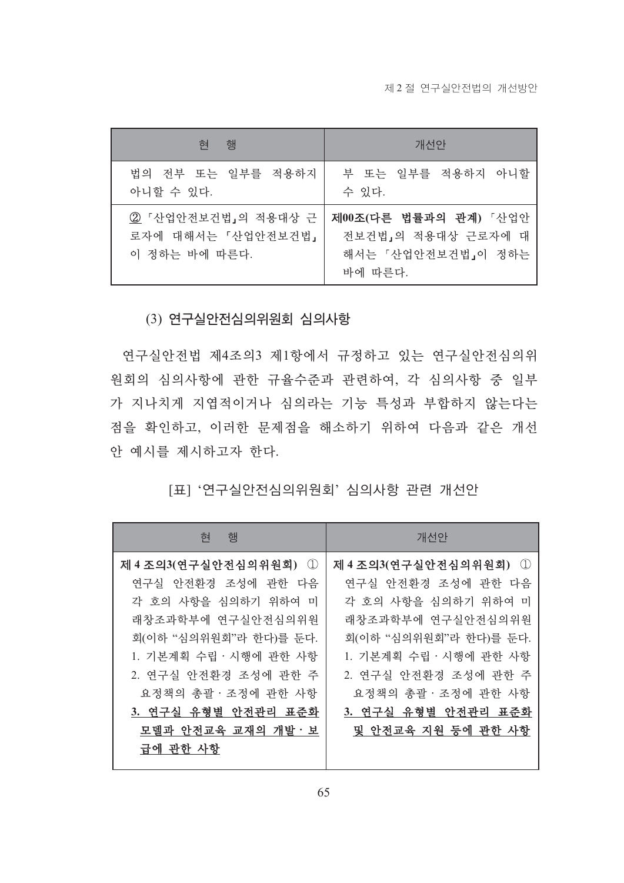| 행<br>협                                                     | 개선안                                                                          |
|------------------------------------------------------------|------------------------------------------------------------------------------|
| 법의 전부 또는 일부를 적용하지<br>아니할 수 있다.                             | 부 또는 일부를 적용하지 아니할<br>수 있다.                                                   |
| 2 「산업안전보건법」의 적용대상 근<br>로자에 대해서는 「산업안전보건법」<br>이 정하는 바에 따른다. | 제00조(다른 법률과의 관계) 「산업안<br>전보건법」의 적용대상 근로자에 대<br>해서는 「산업안전보건법」이 정하는<br>바에 따른다. |

(3) 연구실안전심의위원회 심의사항

연구실안전법 제4조의3 제1항에서 규정하고 있는 연구실안전심의위 원회의 심의사항에 관한 규율수준과 관련하여, 각 심의사항 중 일부 가 지나치게 지엽적이거나 심의라는 기능 특성과 부합하지 않는다는 점을 확인하고, 이러한 문제점을 해소하기 위하여 다음과 같은 개선 안 예시를 제시하고자 한다.

[표] '연구실안전심의위원회' 심의사항 관련 개선안

| 행<br>현                 | 개선안                    |
|------------------------|------------------------|
| 제 4 조의3(연구실안전심의위원회) ①  | 제 4 조의3(연구실안전심의위원회) ①  |
| 연구실 안전환경 조성에 관한 다음     | 연구실 안전환경 조성에 관한 다음     |
| 각 호의 사항을 심의하기 위하여 미    | 각 호의 사항을 심의하기 위하여 미    |
| 래창조과학부에 연구실안전심의위원      | 래창조과학부에 연구실안전심의위원      |
| 회(이하 "심의위원회"라 한다)를 둔다. | 회(이하 "심의위원회"라 한다)를 둔다. |
| 1. 기본계획 수립 · 시행에 관한 사항 | 1. 기본계획 수립·시행에 관한 사항   |
| 2. 연구실 안전환경 조성에 관한 주   | 2. 연구실 안전환경 조성에 관한 주   |
| 요정책의 총괄·조정에 관한 사항      | 요정책의 총괄·조정에 관한 사항      |
| 3. 연구실 유형별 안전관리 표준화    | 3. 연구실 유형별 안전관리 표준화    |
| 모델과 안전교육 교재의 개발 · 보    | 및 안전교육 지원 등에 관한 사항     |
| 급에 관한 사항               |                        |
|                        |                        |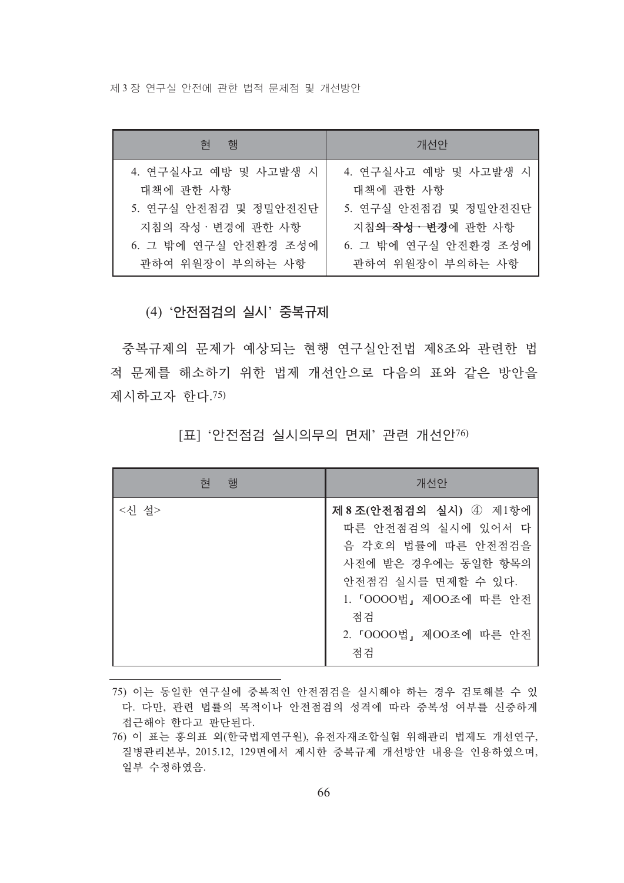| 현 행                                                                                                     | 개선안                                                                                                                |
|---------------------------------------------------------------------------------------------------------|--------------------------------------------------------------------------------------------------------------------|
| 4. 연구실사고 예방 및 사고발생 시<br>대책에 관한 사항<br>5. 연구실 안전점검 및 정밀안전진단<br>지침의 작성 · 변경에 관한 사항<br>6. 그 밖에 연구실 안전환경 조성에 | 4. 연구실사고 예방 및 사고발생 시<br>대책에 관한 사항<br>5. 연구실 안전점검 및 정밀안전진단<br>지침 <del>의 작성ㆍ변경</del> 에 관한 사항<br>6. 그 밖에 연구실 안전환경 조성에 |
| 관하여 위원장이 부의하는 사항                                                                                        | 관하여 위원장이 부의하는 사항                                                                                                   |

(4) '안전점검의 실시' 중복규제

중복규제의 문제가 예상되는 현행 연구실안전법 제8조와 관련한 법 적 문제를 해소하기 위한 법제 개선안으로 다음의 표와 같은 방안을 제시하고자 하다. 75)

[표] '안전점검 실시의무의 면제' 관련 개선안76)

| 협<br>행 | 개선안                                                                                                                                                                            |
|--------|--------------------------------------------------------------------------------------------------------------------------------------------------------------------------------|
| <신 설>  | 제 8 조(안전점검의 실시) 4 제1항에<br>따른 안전점검의 실시에 있어서 다<br>음 각호의 법률에 따른 안전점검을<br>사전에 받은 경우에는 동일한 항목의<br>안전점검 실시를 면제할 수 있다.<br>1. 『0000법』 제00조에 따른 안전<br>점검<br>2. 『0000법』제00조에 따른 안전<br>점검 |

75) 이는 동일한 연구실에 중복적인 안전점검을 실시해야 하는 경우 검토해볼 수 있 다. 다만, 관련 법률의 목적이나 안전점검의 성격에 따라 중복성 여부를 신중하게 접근해야 한다고 판단된다.

76) 이 표는 홍의표 외(한국법제연구원), 유전자재조합실험 위해관리 법제도 개선연구, 질병관리본부, 2015.12, 129면에서 제시한 중복규제 개선방안 내용을 인용하였으며, 일부 수정하였음.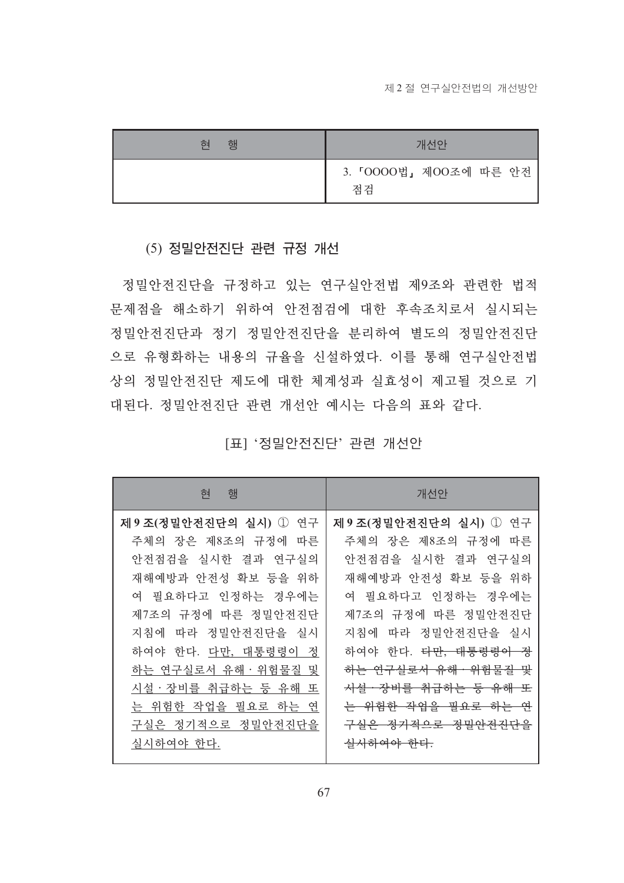| 행<br>़व | 개선안                          |
|---------|------------------------------|
|         | 3. 『0000법』 제00조에 따른 안전<br>점검 |

## (5) 정밀안전진단 관련 규정 개선

정밀안전진단을 규정하고 있는 연구실안전법 제9조와 관련한 법적 문제점을 해소하기 위하여 안전점검에 대한 후속조치로서 실시되는 정밀안전진단과 정기 정밀안전진단을 분리하여 별도의 정밀안전진단 으로 유형화하는 내용의 규율을 신설하였다. 이를 통해 연구실안전법 상의 정밀안전진단 제도에 대한 체계성과 실효성이 제고될 것으로 기 대된다. 정밀안전진단 관련 개선안 예시는 다음의 표와 같다.

## [표] '정밀안전진단' 관련 개선안

| 현<br>행                 | 개선안                            |
|------------------------|--------------------------------|
| 제 9 조(정밀안전진단의 실시) ① 연구 | 제 9 조(정밀안전진단의 실시) ① 연구         |
| 주체의 장은 제8조의 규정에 따른     | 주체의 장은 제8조의 규정에 따른             |
| 안전점검을 실시한 결과 연구실의      | 안전점검을 실시한 결과 연구실의              |
| 재해예방과 안전성 확보 등을 위하     | 재해예방과 안전성 확보 등을 위하             |
| 여 필요하다고 인정하는 경우에는      | 여 필요하다고 인정하는 경우에는              |
| 제7조의 규정에 따른 정밀안전진단     | 제7조의 규정에 따른 정밀안전진단             |
| 지침에 따라 정밀안전진단을 실시      | 지침에 따라 정밀안전진단을 실시              |
| 하여야 한다. 다만, 대통령령이 정    | 하여야 한다. <del>다만, 대통령령이 정</del> |
| 하는 연구실로서 유해ㆍ위험물질 및     | <del>하는 연구실로서 유해·위험물질 및</del>  |
| 시설·장비를 취급하는 등 유해 또     | <del>시설·장비를 취급하는 등 유해 또</del>  |
| 는 위험한 작업을 필요로 하는 연     | <del>는 위험한 작업을 필요로 하는 연</del>  |
| 구실은 정기적으로 정밀안전진단을      | <del>구실은 정기적으로 정밀안전진단을</del>   |
| 실시하여야 한다.              | <del>실시하여야 한다.</del>           |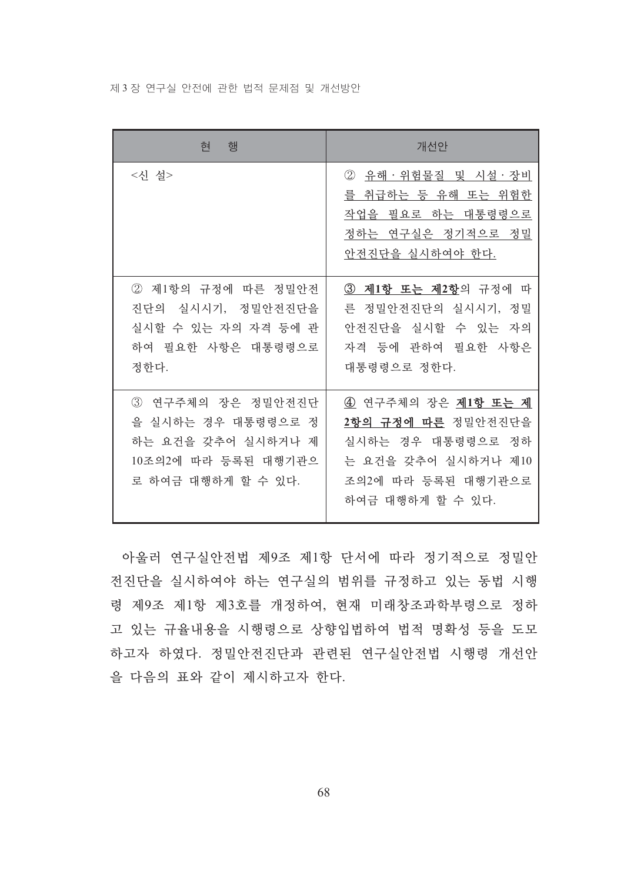| 협<br>행                                                                                                     | 개선안                                                                                                                                     |
|------------------------------------------------------------------------------------------------------------|-----------------------------------------------------------------------------------------------------------------------------------------|
| <신 설>                                                                                                      | (2)<br>_ 유해·위험물질 및 시설·장비<br>를 취급하는 등 유해 또는 위험한<br>작업을 필요로 하는 대통령령으로<br>정하는 연구실은 정기적으로 정밀<br>안전진단을 실시하여야 한다.                             |
| ② 제1항의 규정에 따른 정밀안전<br>실시시기, 정밀안전진단을<br>진단의<br>실시할 수 있는 자의 자격 등에 관<br>하여 필요한 사항은 대통령령으로<br>정한다.             | $\circledS$<br>제1항 또는 제2항의 규정에 따<br>른 정밀안전진단의 실시시기, 정밀<br>안전진단을 실시할 수 있는<br>자의<br>자격 등에 과하여 필요한 사항은<br>대통령령으로 정한다.                      |
| 3 연구주체의 장은 정밀안전진단<br>을 실시하는 경우 대통령령으로 정<br>하는 요건을 갖추어 실시하거나 제<br>10조의2에 따라 등록된 대행기관으<br>로 하여금 대행하게 할 수 있다. | 4) 연구주체의 장은 <b>제1항 또는 제</b><br>2항의 규정에 따른 정밀안전진단을<br>실시하는 경우 대통령령으로 정하<br>는 요건을 갖추어 실시하거나 제10<br>조의2에 따라 등록된 대행기관으로<br>하여금 대행하게 할 수 있다. |

아울러 연구실안전법 제9조 제1항 단서에 따라 정기적으로 정밀안 전진단을 실시하여야 하는 연구실의 범위를 규정하고 있는 동법 시행 령 제9조 제1항 제3호를 개정하여, 현재 미래창조과학부령으로 정하 고 있는 규율내용을 시행령으로 상향입법하여 법적 명확성 등을 도모 하고자 하였다. 정밀안전진단과 관련된 연구실안전법 시행령 개선안 을 다음의 표와 같이 제시하고자 한다.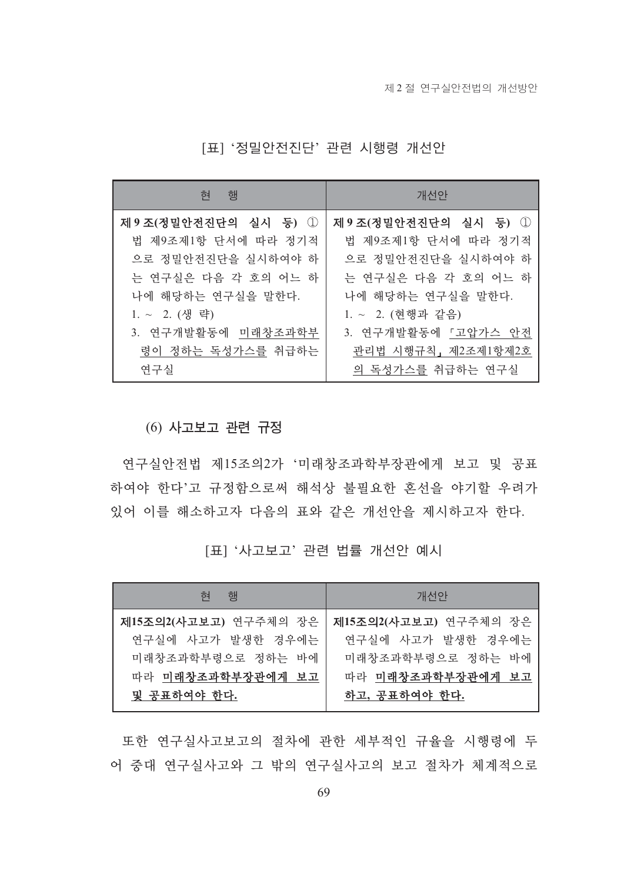| 행<br>현               | 개선안                  |
|----------------------|----------------------|
| 제 9조(정밀안전진단의 실시 등) ① | 제 9조(정밀안전진단의 실시 등) ① |
| 법 제9조제1항 단서에 따라 정기적  | 법 제9조제1항 단서에 따라 정기적  |
| 으로 정밀안전진단을 실시하여야 하   | 으로 정밀안전진단을 실시하여야 하   |
| 는 연구실은 다음 각 호의 어느 하  | 는 연구실은 다음 각 호의 어느 하  |
| 나에 해당하는 연구실을 말한다.    | 나에 해당하는 연구실을 말한다.    |
| 1. ~ 2. (생 략)        | 1. ~ 2. (현행과 같음)     |
| 3. 연구개발활동에 미래창조과학부   | 3. 연구개발활동에 「고압가스 안전  |
| 령이 정하는 독성가스를 취급하는    | 관리법 시행규칙, 제2조제1항제2호  |
| 연구실                  | 의 독성가스를 취급하는 연구실     |

[표] '정밀안전진단' 관련 시행령 개선안

(6) 사고보고 관련 규정

연구실안전법 제15조의2가 '미래창조과학부장관에게 보고 및 공표 하여야 한다'고 규정함으로써 해석상 불필요한 혼선을 야기할 우려가 있어 이를 해소하고자 다음의 표와 같은 개선안을 제시하고자 한다.

[표] '사고보고' 관련 법률 개선안 예시

| 현 행                   | 개선안                   |
|-----------------------|-----------------------|
| 제15조의2(사고보고) 연구주체의 장은 | 제15조의2(사고보고) 연구주체의 장은 |
| 연구실에 사고가 발생한 경우에는     | 연구실에 사고가 발생한 경우에는     |
| 미래창조과학부령으로 정하는 바에     | 미래창조과학부령으로 정하는 바에     |
| 따라 미래창조과학부장관에게 보고     | 따라 미래창조과학부장관에게 보고     |
| 및 공표하여야 한다.           | 하고, 공표하여야 한다.         |

또한 연구실사고보고의 절차에 관한 세부적인 규율을 시행령에 두 어 중대 연구실사고와 그 밖의 연구실사고의 보고 절차가 체계적으로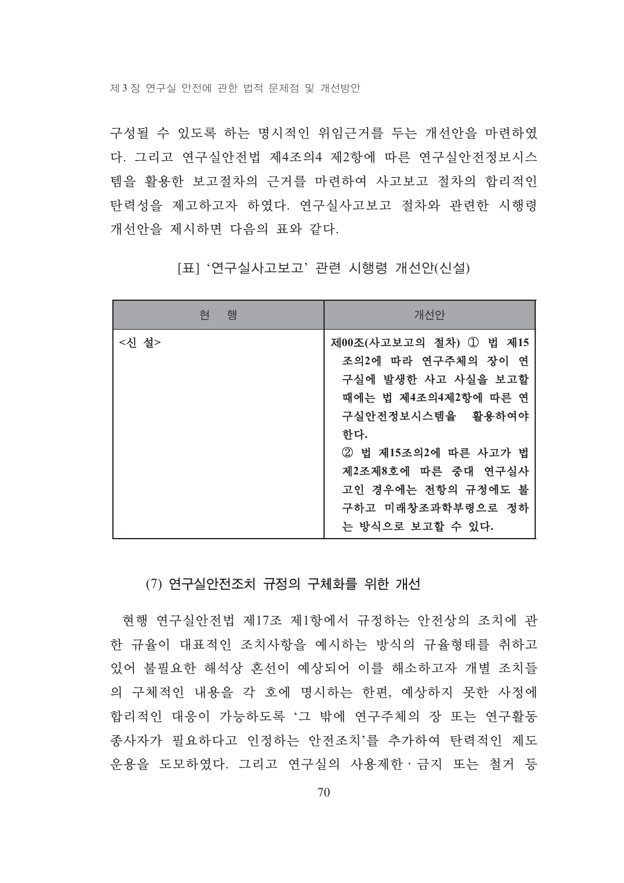구성될 수 있도록 하는 명시적인 위임근거를 두는 개선안을 마련하였 다. 그리고 연구실안전법 제4조의4 제2항에 따른 연구실안전정보시스 템을 활용한 보고절차의 근거를 마련하여 사고보고 절차의 합리적인 탄력성을 제고하고자 하였다. 연구실사고보고 절차와 관련한 시행령 개선안을 제시하면 다음의 표와 같다.

| 현<br>행 | 개선안                                                                                                                                                                                                                                |
|--------|------------------------------------------------------------------------------------------------------------------------------------------------------------------------------------------------------------------------------------|
| <신 설>  | 제00조(사고보고의 절차) ① 법 제15<br>조의2에 따라 연구주체의 장이 연<br>구실에 발생한 사고 사실을 보고할<br>때에는 법 제4조의4제2항에 따른 연<br>구실안전정보시스템을 활용하여야<br>한다.<br>② 법 제15조의2에 따른 사고가 법<br>제2조제8호에 따른 중대 연구실사<br>고인 경우에는 전항의 규정에도 불<br>구하고 미래창조과학부령으로 정하<br>는 방식으로 보고할 수 있다. |

[표] '연구실사고보고' 관련 시행령 개선안(신설)

#### (7) 연구실안전조치 규정의 구체화를 위한 개선

현행 연구실안전법 제17조 제1항에서 규정하는 안전상의 조치에 관 한 규율이 대표적인 조치사항을 예시하는 방식의 규율형태를 취하고 있어 불필요한 해석상 혼선이 예상되어 이를 해소하고자 개별 조치들 의 구체적인 내용을 각 호에 명시하는 한편, 예상하지 못한 사정에 합리적인 대응이 가능하도록 '그 밖에 연구주체의 장 또는 연구활동 종사자가 필요하다고 인정하는 안전조치'를 추가하여 탄력적인 제도 운용을 도모하였다. 그리고 연구실의 사용제한 금지 또는 철거 등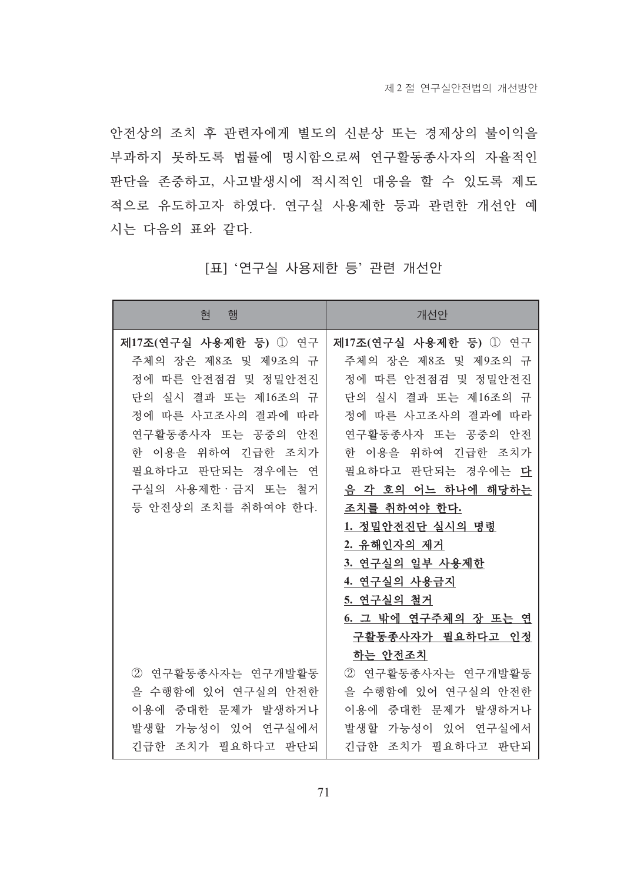안전상의 조치 후 관련자에게 별도의 신분상 또는 경제상의 불이익을 부과하지 못하도록 법률에 명시함으로써 연구활동종사자의 자율적인 판단을 존중하고, 사고발생시에 적시적인 대응을 할 수 있도록 제도 적으로 유도하고자 하였다. 연구실 사용제한 등과 관련한 개선안 예 시는 다음의 표와 같다.

| 행<br>현                                                                                                                                                                                                                                          | 개선안                                                                                                                                                                                                                                                                                                                                                                            |
|-------------------------------------------------------------------------------------------------------------------------------------------------------------------------------------------------------------------------------------------------|--------------------------------------------------------------------------------------------------------------------------------------------------------------------------------------------------------------------------------------------------------------------------------------------------------------------------------------------------------------------------------|
| 제17조(연구실 사용제한 등) ① 연구<br>주체의 장은 제8조 및 제9조의 규<br>정에 따른 안전점검 및 정밀안전진<br>실시 결과 또는 제16조의 규<br>단의<br>정에 따른 사고조사의<br>결과에<br>따라<br>연구활동종사자 또는 공중의<br>안전<br>한<br>이용을 위하여 긴급한 조치가<br>필요하다고 판단되는 경우에는<br>엮<br>구실의 사용제한 금지 또는<br>철거<br>등 안전상의 조치를 취하여야 한다. | 제17조(연구실 사용제한 등) 1 연구<br>주체의 장은 제8조 및 제9조의 규<br>정에 따른 안전점검 및 정밀안전진<br>실시 결과 또는 제16조의 규<br>단의<br>정에 따른 사고조사의<br>결과에<br>따라<br>연구활동종사자 또는 공중의<br>아전<br>한 이용을 위하여 긴급한 조치가<br>필요하다고<br>판단되는 경우에는 다<br>음 각 호의 어느 하나에 해당하는<br>조치를 취하여야 한다.<br>1. 정밀안전진단 실시의 명령<br>2. 유해인자의 제거<br>3. 연구실의 일부 사용제한<br>4. 연구실의 사용금지<br>5. 연구실의 철거<br>6. 그 밖에 연구주체의 장 또는 연<br>구활동종사자가 필요하다고 인정<br>하는 안전조치 |
| (2)<br>연구활동종사자는 연구개발활동<br>을 수행함에 있어 연구실의 안전한<br>이용에 중대한 문제가 발생하거나<br>가능성이 있어 연구실에서<br>발생할<br>긴급한<br>조치가 필요하다고 판단되                                                                                                                               | ② 연구활동종사자는 연구개발활동<br>을 수행함에 있어 연구실의 안전한<br>이용에 중대한 문제가 발생하거나<br>가능성이 있어 연구실에서<br>발생할<br>긴급한 조치가 필요하다고 판단되                                                                                                                                                                                                                                                                      |

[표] '연구실 사용제한 등' 관련 개선안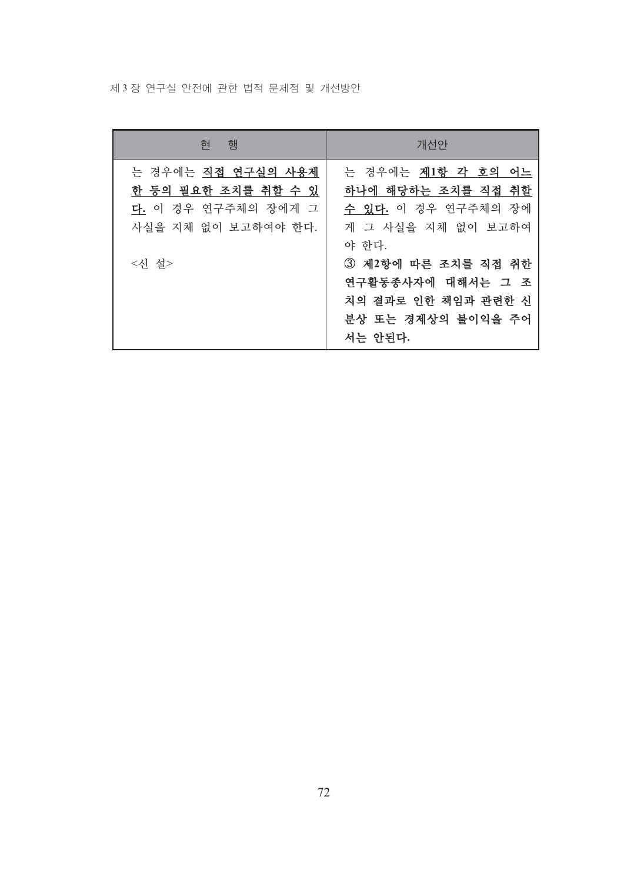| 행<br>현                                                                                                  | 개선안                                                                                                                                                                                                |
|---------------------------------------------------------------------------------------------------------|----------------------------------------------------------------------------------------------------------------------------------------------------------------------------------------------------|
| 는 경우에는 <u>직접 연구실의 사용제</u><br>한 등의 필요한 조치를 취할 수 있<br>다. 이 경우 연구주체의 장에게 그<br>사실을 지체 없이 보고하여야 한다.<br><신 설> | 는 경우에는 제1항 각 호의 어느<br>하나에 해당하는 조치를 직접 취할<br>수 있다. 이 경우 연구주체의 장에<br>게 그 사실을 지체 없이 보고하여<br>야 한다.<br>③ 제2항에 따른 조치를 직접 취한<br>연구활동종사자에 대해서는 그 조<br>치의 결과로 인한 책임과 관련한 신<br>분상 또는 경제상의 불이익을 주어<br>서는 안된다. |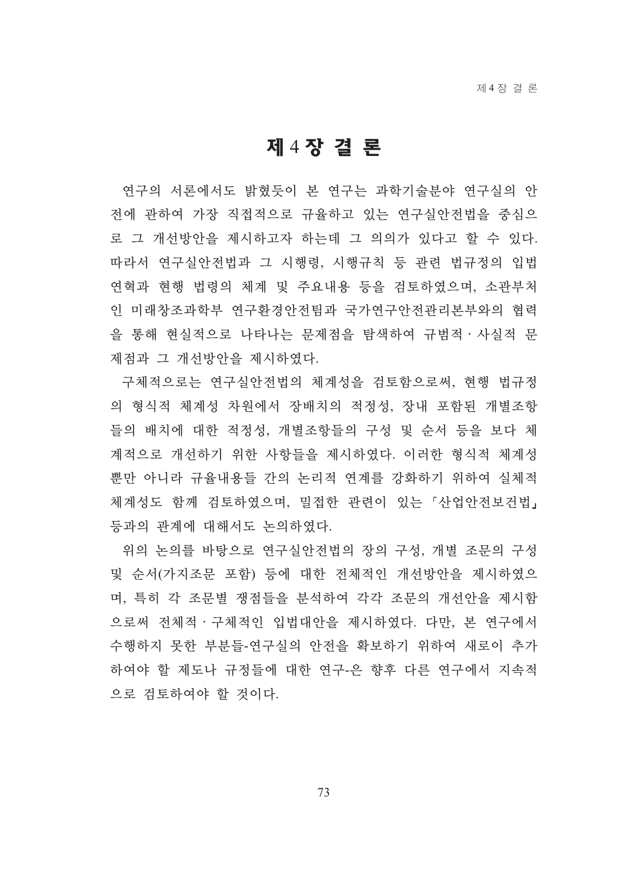## 제 4 장 결 론

연구의 서론에서도 밝혔듯이 본 연구는 과학기술분야 연구실의 안 전에 관하여 가장 직접적으로 규율하고 있는 연구실안전법을 중심으 로 그 개선방안을 제시하고자 하는데 그 의의가 있다고 할 수 있다. 따라서 연구실안전법과 그 시행령, 시행규칙 등 관련 법규정의 입법 연혁과 현행 법령의 체계 및 주요내용 등을 검토하였으며, 소관부처 인 미래창조과학부 연구화경안전팀과 국가연구안전관리본부와의 협력 을 통해 현실적으로 나타나는 문제점을 탐색하여 규범적 사실적 문 제점과 그 개선방안을 제시하였다.

구체적으로는 연구실안전법의 체계성을 검토함으로써, 현행 법규정 의 형식적 체계성 차원에서 장배치의 적정성, 장내 포함된 개별조항 들의 배치에 대한 적정성, 개별조항들의 구성 및 순서 등을 보다 체 계적으로 개선하기 위한 사항들을 제시하였다. 이러한 형식적 체계성 뿐만 아니라 규율내용들 간의 논리적 연계를 강화하기 위하여 실체적 체계성도 함께 검토하였으며, 밀접한 관련이 있는 「사업안전보건법」 등과의 관계에 대해서도 논의하였다.

위의 논의를 바탕으로 연구실안전법의 장의 구성, 개별 조문의 구성 및 순서(가지조문 포함) 등에 대한 전체적인 개선방안을 제시하였으 며, 특히 각 조문별 쟁점들을 분석하여 각각 조문의 개선안을 제시함 으로써 전체적·구체적인 입법대안을 제시하였다. 다만, 본 연구에서 수행하지 못한 부분들-연구실의 안전을 확보하기 위하여 새로이 추가 하여야 할 제도나 규정들에 대한 연구-은 향후 다른 연구에서 지속적 으로 검토하여야 할 것이다.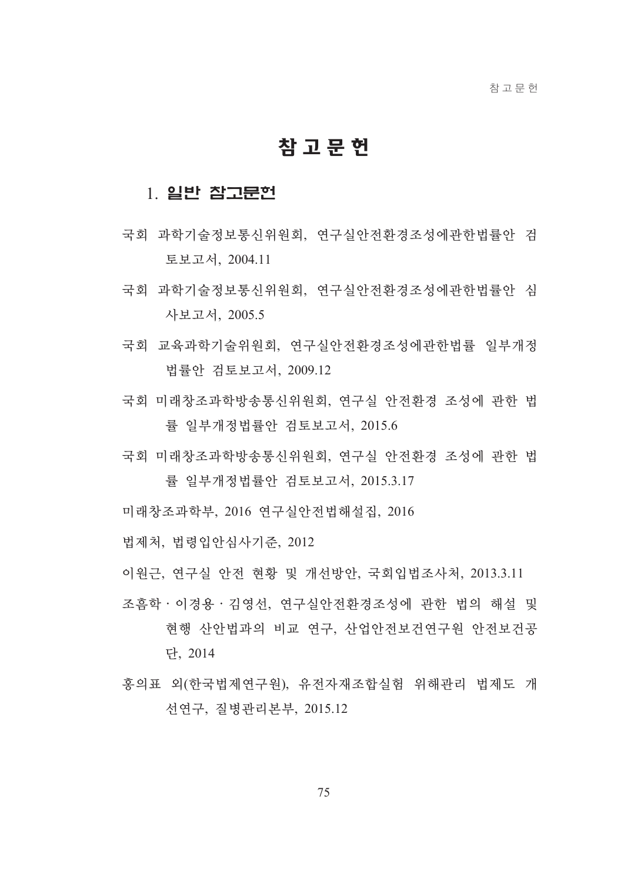## 참고문헌

## 1. 일반 참고문헌

- 국회 과학기술정보통신위원회, 연구실안전환경조성에관한법률안 검 토보고서, 2004.11
- 국회 과학기술정보통신위워회, 여구실안전화경조성에과한법률안 심 사보고서, 2005.5
- 국회 교육과학기술위워회, 연구실안전환경조성에관한법률 일부개정 법률안 검토보고서, 2009.12
- 국회 미래창조과학방송통신위원회, 연구실 안전환경 조성에 관한 법 률 일부개정법률안 검토보고서, 2015.6
- 국회 미래창조과학방송통시위워회, 여구실 아저화경 조성에 과하 법 률 일부개정법률안 검토보고서, 2015.3.17
- 미래창조과학부, 2016 여구실안전법해설집, 2016
- 법제처, 법령입안심사기준, 2012
- 이워근, 연구실 안전 현황 및 개선방안, 국회입법조사처, 2013.3.11
- 조흠학 · 이경용 · 김영선, 연구실안전화경조성에 관한 법의 해설 및 현행 사아법과의 비교 여구, 사업아전보거여구워 아전보거공 다. 2014
- 홍의표 외(한국법제여구워), 유전자재조합실험 위해관리 법제도 개 선연구, 질병관리본부, 2015.12